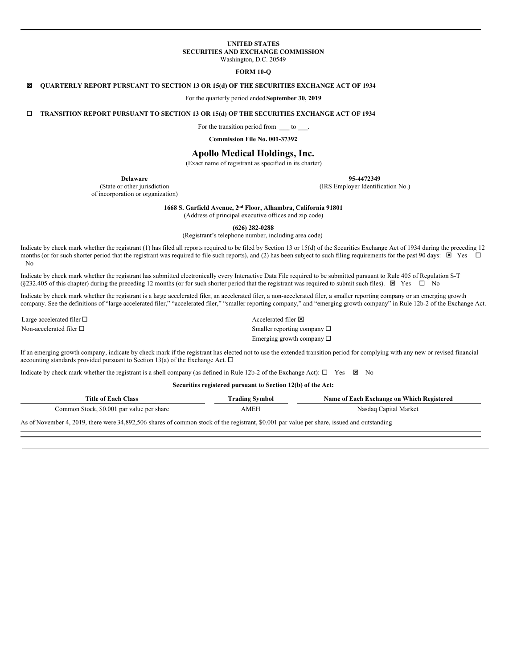# **UNITED STATES SECURITIES AND EXCHANGE COMMISSION**

Washington, D.C. 20549

# **FORM 10-Q**

# ý **QUARTERLY REPORT PURSUANT TO SECTION 13 OR 15(d) OF THE SECURITIES EXCHANGE ACT OF 1934**

For the quarterly period ended **September 30, 2019**

¨ **TRANSITION REPORT PURSUANT TO SECTION 13 OR 15(d) OF THE SECURITIES EXCHANGE ACT OF 1934**

For the transition period from to

**Commission File No. 001-37392**

# **Apollo Medical Holdings, Inc.**

(Exact name of registrant as specified in its charter)

**Delaware**

(State or other jurisdiction of incorporation or organization) **95-4472349**

(IRS Employer Identification No.)

**1668 S. Garfield Avenue, 2nd Floor, Alhambra, California 91801**

(Address of principal executive offices and zip code)

**(626) 282-0288**

(Registrant's telephone number, including area code)

Indicate by check mark whether the registrant (1) has filed all reports required to be filed by Section 13 or 15(d) of the Securities Exchange Act of 1934 during the preceding 12 months (or for such shorter period that the registrant was required to file such reports), and (2) has been subject to such filing requirements for the past 90 days:  $\boxtimes$  Yes  $\Box$ No

Indicate by check mark whether the registrant has submitted electronically every Interactive Data File required to be submitted pursuant to Rule 405 of Regulation S-T (§232.405 of this chapter) during the preceding 12 months (or for such shorter period that the registrant was required to submit such files).  $\boxtimes$  Yes  $\Box$  No

Indicate by check mark whether the registrant is a large accelerated filer, an accelerated filer, a non-accelerated filer, a smaller reporting company or an emerging growth company. See the definitions of "large accelerated filer," "accelerated filer," "smaller reporting company," and "emerging growth company" in Rule 12b-2 of the Exchange Act.

Large accelerated filer  $\square$ Non-accelerated filer  $\square$  Smaller reporting company  $\square$ Emerging growth company  $\square$ 

If an emerging growth company, indicate by check mark if the registrant has elected not to use the extended transition period for complying with any new or revised financial accounting standards provided pursuant to Section 13(a) of the Exchange Act.  $\Box$ 

Indicate by check mark whether the registrant is a shell company (as defined in Rule 12b-2 of the Exchange Act):  $\Box$  Yes  $\boxtimes$  No

**Securities registered pursuant to Section 12(b) of the Act:**

| Title of Each Class                       | Frading Symbol | Name of Each Exchange on Which Registered |
|-------------------------------------------|----------------|-------------------------------------------|
| Common Stock, \$0.001 par value per share | AMEP           | Nasdaq Capital Market                     |

As of November 4, 2019, there were 34,892,506 shares of common stock of the registrant, \$0.001 par value per share, issued and outstanding**.**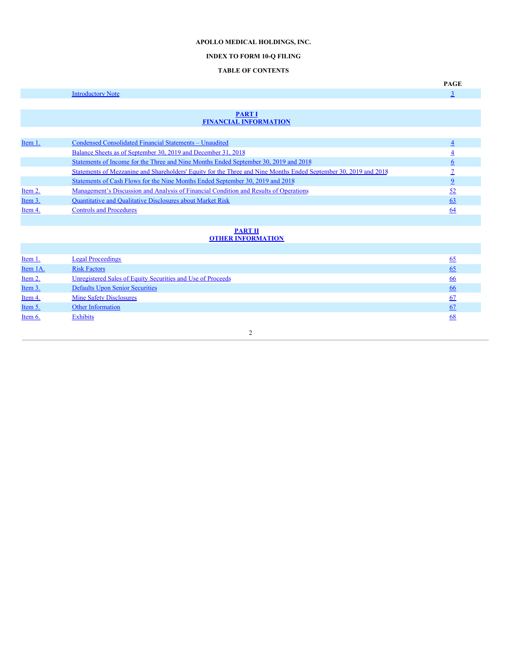# **APOLLO MEDICAL HOLDINGS, INC.**

# **INDEX TO FORM 10-Q FILING**

# **TABLE OF CONTENTS**

<span id="page-1-0"></span>

|           |                                                                                                                  | <b>PAGE</b>    |
|-----------|------------------------------------------------------------------------------------------------------------------|----------------|
|           | <b>Introductory Note</b>                                                                                         | $\overline{3}$ |
|           |                                                                                                                  |                |
|           | <b>PART I</b><br><b>FINANCIAL INFORMATION</b>                                                                    |                |
|           |                                                                                                                  |                |
| Item 1.   | Condensed Consolidated Financial Statements - Unaudited                                                          | $\overline{4}$ |
|           | Balance Sheets as of September 30, 2019 and December 31, 2018                                                    | $\overline{4}$ |
|           | Statements of Income for the Three and Nine Months Ended September 30, 2019 and 2018                             | 6              |
|           | Statements of Mezzanine and Shareholders' Equity for the Three and Nine Months Ended September 30, 2019 and 2018 |                |
|           | Statements of Cash Flows for the Nine Months Ended September 30, 2019 and 2018                                   | $\overline{2}$ |
| Item $2.$ | Management's Discussion and Analysis of Financial Condition and Results of Operations                            | 52             |
| Item 3.   | <b>Quantitative and Qualitative Disclosures about Market Risk</b>                                                | 63             |
| Item 4.   | <b>Controls and Procedures</b>                                                                                   | 64             |
|           |                                                                                                                  |                |
|           | <b>PART II</b><br><b>OTHER INFORMATION</b>                                                                       |                |
|           |                                                                                                                  |                |

| Item 1.  | <b>Legal Proceedings</b>                                    | 65        |
|----------|-------------------------------------------------------------|-----------|
| Item 1A. | <b>Risk Factors</b>                                         | <u>65</u> |
| Item 2.  | Unregistered Sales of Equity Securities and Use of Proceeds | <u>66</u> |
| Item 3.  | <b>Defaults Upon Senior Securities</b>                      | <u>66</u> |
| Item 4.  | <b>Mine Safety Disclosures</b>                              | 67        |
| Item 5.  | <b>Other Information</b>                                    | 67        |
| Item 6.  | <b>Exhibits</b>                                             | 68        |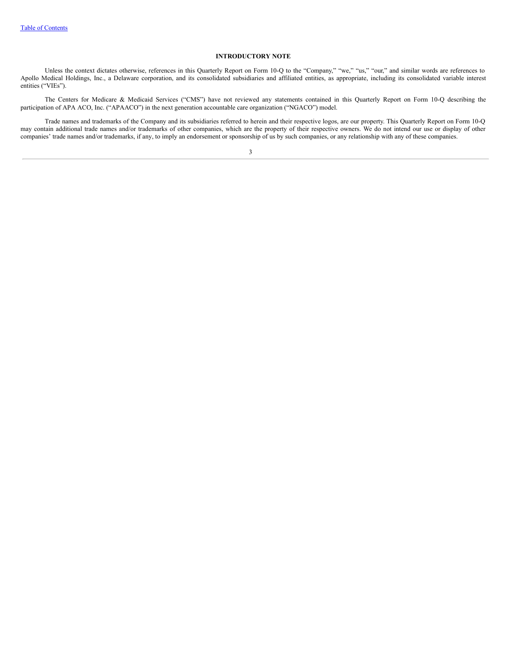# **INTRODUCTORY NOTE**

<span id="page-2-0"></span>Unless the context dictates otherwise, references in this Quarterly Report on Form 10-Q to the "Company," "we," "us," "our," and similar words are references to Apollo Medical Holdings, Inc., a Delaware corporation, and its consolidated subsidiaries and affiliated entities, as appropriate, including its consolidated variable interest entities ("VIEs").

The Centers for Medicare & Medicaid Services ("CMS") have not reviewed any statements contained in this Quarterly Report on Form 10-Q describing the participation of APA ACO, Inc. ("APAACO") in the next generation accountable care organization ("NGACO") model.

Trade names and trademarks of the Company and its subsidiaries referred to herein and their respective logos, are our property. This Quarterly Report on Form 10-Q may contain additional trade names and/or trademarks of other companies, which are the property of their respective owners. We do not intend our use or display of other companies' trade names and/or trademarks, if any, to imply an endorsement or sponsorship of us by such companies, or any relationship with any of these companies.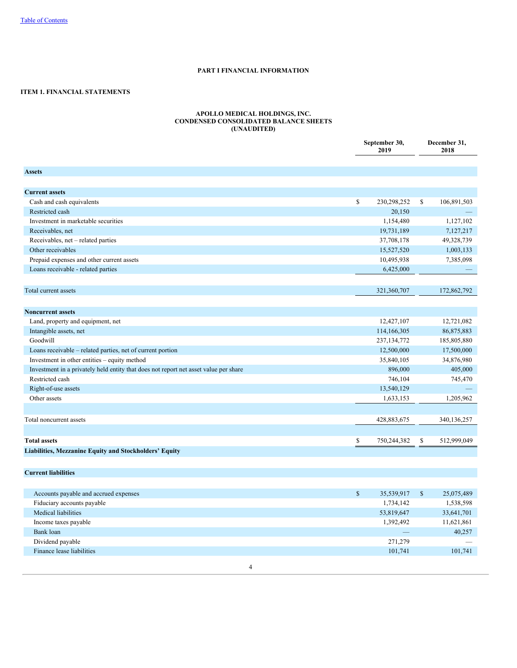# **PART I FINANCIAL INFORMATION**

# <span id="page-3-2"></span><span id="page-3-1"></span><span id="page-3-0"></span>**ITEM 1. FINANCIAL STATEMENTS**

#### **APOLLO MEDICAL HOLDINGS, INC. CONDENSED CONSOLIDATED BALANCE SHEETS (UNAUDITED)**

|                                                                                      | September 30,<br>2019 |    | December 31,<br>2018 |
|--------------------------------------------------------------------------------------|-----------------------|----|----------------------|
|                                                                                      |                       |    |                      |
| <b>Assets</b>                                                                        |                       |    |                      |
|                                                                                      |                       |    |                      |
| <b>Current assets</b>                                                                |                       |    |                      |
| Cash and cash equivalents                                                            | \$<br>230,298,252     | \$ | 106,891,503          |
| Restricted cash                                                                      | 20,150                |    |                      |
| Investment in marketable securities                                                  | 1,154,480             |    | 1,127,102            |
| Receivables, net                                                                     | 19,731,189            |    | 7,127,217            |
| Receivables, net - related parties                                                   | 37,708,178            |    | 49,328,739           |
| Other receivables                                                                    | 15,527,520            |    | 1,003,133            |
| Prepaid expenses and other current assets                                            | 10,495,938            |    | 7,385,098            |
| Loans receivable - related parties                                                   | 6,425,000             |    |                      |
|                                                                                      |                       |    |                      |
| Total current assets                                                                 | 321,360,707           |    | 172,862,792          |
|                                                                                      |                       |    |                      |
| <b>Noncurrent assets</b>                                                             |                       |    |                      |
| Land, property and equipment, net                                                    | 12,427,107            |    | 12,721,082           |
| Intangible assets, net                                                               | 114,166,305           |    | 86,875,883           |
| Goodwill                                                                             | 237,134,772           |    | 185,805,880          |
| Loans receivable - related parties, net of current portion                           | 12,500,000            |    | 17,500,000           |
| Investment in other entities - equity method                                         | 35,840,105            |    | 34,876,980           |
| Investment in a privately held entity that does not report net asset value per share | 896,000               |    | 405,000              |
| Restricted cash                                                                      | 746,104               |    | 745,470              |
| Right-of-use assets                                                                  | 13,540,129            |    |                      |
| Other assets                                                                         | 1,633,153             |    | 1,205,962            |
|                                                                                      |                       |    |                      |
| Total noncurrent assets                                                              | 428,883,675           |    | 340,136,257          |
|                                                                                      |                       |    |                      |
| <b>Total assets</b>                                                                  | \$<br>750,244,382     | S  | 512,999,049          |
| Liabilities, Mezzanine Equity and Stockholders' Equity                               |                       |    |                      |
|                                                                                      |                       |    |                      |

**Current liabilities**

| Accounts payable and accrued expenses | 35,539,917 | S | 25,075,489 |
|---------------------------------------|------------|---|------------|
| Fiduciary accounts payable            | 1,734,142  |   | 1,538,598  |
| Medical liabilities                   | 53,819,647 |   | 33,641,701 |
| Income taxes payable                  | 1,392,492  |   | 11,621,861 |
| Bank loan                             |            |   | 40,257     |
| Dividend payable                      | 271,279    |   |            |
| Finance lease liabilities             | 101,741    |   | 101,741    |
|                                       |            |   |            |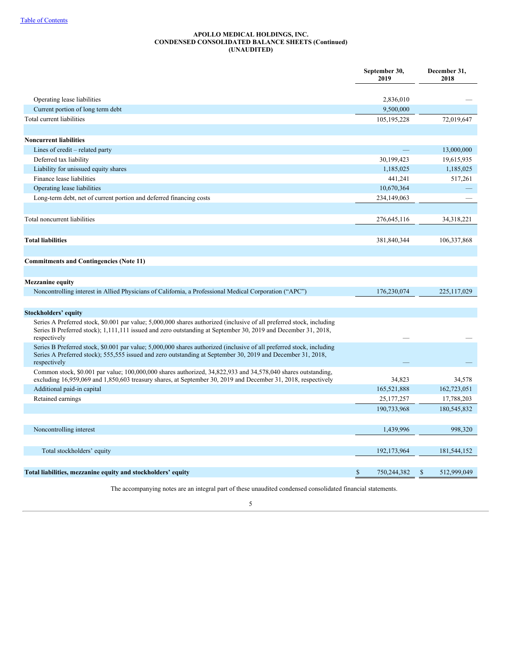## **APOLLO MEDICAL HOLDINGS, INC. CONDENSED CONSOLIDATED BALANCE SHEETS (Continued) (UNAUDITED)**

|                                                                                                                                                                                                                                                        | September 30,<br>2019 | December 31,<br>2018 |
|--------------------------------------------------------------------------------------------------------------------------------------------------------------------------------------------------------------------------------------------------------|-----------------------|----------------------|
| Operating lease liabilities                                                                                                                                                                                                                            | 2,836,010             |                      |
| Current portion of long term debt                                                                                                                                                                                                                      | 9,500,000             |                      |
| Total current liabilities                                                                                                                                                                                                                              | 105,195,228           | 72,019,647           |
|                                                                                                                                                                                                                                                        |                       |                      |
| <b>Noncurrent liabilities</b>                                                                                                                                                                                                                          |                       |                      |
| Lines of credit – related party                                                                                                                                                                                                                        |                       | 13,000,000           |
| Deferred tax liability                                                                                                                                                                                                                                 | 30,199,423            | 19,615,935           |
| Liability for unissued equity shares                                                                                                                                                                                                                   | 1,185,025             | 1,185,025            |
| Finance lease liabilities                                                                                                                                                                                                                              | 441,241               | 517,261              |
| Operating lease liabilities                                                                                                                                                                                                                            | 10,670,364            |                      |
| Long-term debt, net of current portion and deferred financing costs                                                                                                                                                                                    | 234,149,063           |                      |
|                                                                                                                                                                                                                                                        |                       |                      |
| Total noncurrent liabilities                                                                                                                                                                                                                           | 276,645,116           | 34,318,221           |
|                                                                                                                                                                                                                                                        |                       |                      |
| <b>Total liabilities</b>                                                                                                                                                                                                                               | 381,840,344           | 106, 337, 868        |
|                                                                                                                                                                                                                                                        |                       |                      |
| <b>Commitments and Contingencies (Note 11)</b>                                                                                                                                                                                                         |                       |                      |
|                                                                                                                                                                                                                                                        |                       |                      |
|                                                                                                                                                                                                                                                        |                       |                      |
| <b>Mezzanine equity</b>                                                                                                                                                                                                                                | 176,230,074           | 225,117,029          |
| Noncontrolling interest in Allied Physicians of California, a Professional Medical Corporation ("APC")                                                                                                                                                 |                       |                      |
|                                                                                                                                                                                                                                                        |                       |                      |
| <b>Stockholders' equity</b>                                                                                                                                                                                                                            |                       |                      |
| Series A Preferred stock, \$0.001 par value; 5,000,000 shares authorized (inclusive of all preferred stock, including<br>Series B Preferred stock); 1,111,111 issued and zero outstanding at September 30, 2019 and December 31, 2018,<br>respectively |                       |                      |
| Series B Preferred stock, \$0.001 par value; 5,000,000 shares authorized (inclusive of all preferred stock, including                                                                                                                                  |                       |                      |
| Series A Preferred stock); 555,555 issued and zero outstanding at September 30, 2019 and December 31, 2018,<br>respectively                                                                                                                            |                       |                      |
| Common stock, \$0.001 par value; 100,000,000 shares authorized, 34,822,933 and 34,578,040 shares outstanding,<br>excluding 16,959,069 and 1,850,603 treasury shares, at September 30, 2019 and December 31, 2018, respectively                         | 34,823                | 34,578               |
| Additional paid-in capital                                                                                                                                                                                                                             | 165,521,888           | 162,723,051          |
| Retained earnings                                                                                                                                                                                                                                      | 25, 177, 257          | 17,788,203           |
|                                                                                                                                                                                                                                                        | 190,733,968           | 180,545,832          |
|                                                                                                                                                                                                                                                        |                       |                      |
| Noncontrolling interest                                                                                                                                                                                                                                | 1,439,996             | 998,320              |
|                                                                                                                                                                                                                                                        |                       |                      |
| Total stockholders' equity                                                                                                                                                                                                                             | 192,173,964           | 181,544,152          |
|                                                                                                                                                                                                                                                        |                       |                      |
| Total liabilities, mezzanine equity and stockholders' equity                                                                                                                                                                                           | \$<br>750,244,382     | \$<br>512,999,049    |

The accompanying notes are an integral part of these unaudited condensed consolidated financial statements.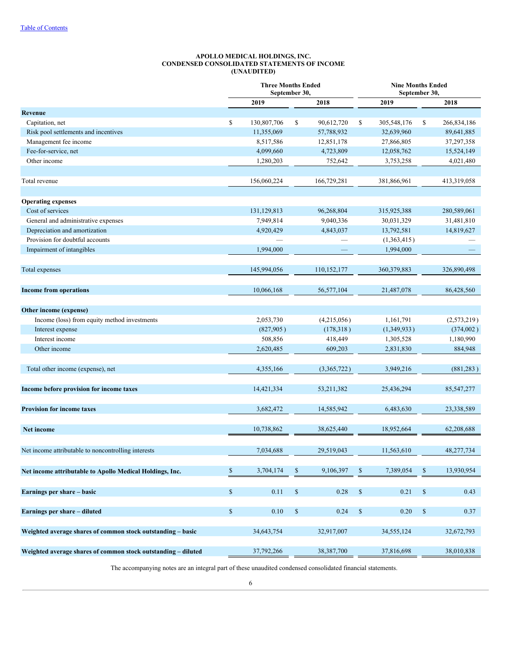#### **APOLLO MEDICAL HOLDINGS, INC. CONDENSED CONSOLIDATED STATEMENTS OF INCOME (UNAUDITED)**

<span id="page-5-0"></span>

|                                                               |              | <b>Three Months Ended</b><br>September 30, |              |              | <b>Nine Months Ended</b><br>September 30, |               |              |              |  |  |
|---------------------------------------------------------------|--------------|--------------------------------------------|--------------|--------------|-------------------------------------------|---------------|--------------|--------------|--|--|
|                                                               |              | 2019                                       |              | 2018         |                                           | 2019          |              | 2018         |  |  |
| Revenue                                                       |              |                                            |              |              |                                           |               |              |              |  |  |
| Capitation, net                                               | \$           | 130,807,706                                | \$           | 90,612,720   | \$                                        | 305,548,176   | \$           | 266,834,186  |  |  |
| Risk pool settlements and incentives                          |              | 11,355,069                                 |              | 57,788,932   |                                           | 32,639,960    |              | 89,641,885   |  |  |
| Management fee income                                         |              | 8,517,586                                  |              | 12,851,178   |                                           | 27,866,805    |              | 37,297,358   |  |  |
| Fee-for-service, net                                          |              | 4,099,660                                  |              | 4,723,809    |                                           | 12,058,762    |              | 15,524,149   |  |  |
| Other income                                                  |              | 1,280,203                                  |              | 752,642      |                                           | 3,753,258     |              | 4,021,480    |  |  |
| Total revenue                                                 |              | 156,060,224                                |              | 166,729,281  |                                           | 381,866,961   |              | 413,319,058  |  |  |
| <b>Operating expenses</b>                                     |              |                                            |              |              |                                           |               |              |              |  |  |
| Cost of services                                              |              | 131,129,813                                |              | 96,268,804   |                                           | 315,925,388   |              | 280,589,061  |  |  |
| General and administrative expenses                           |              | 7,949,814                                  |              | 9,040,336    |                                           | 30,031,329    |              | 31,481,810   |  |  |
| Depreciation and amortization                                 |              | 4,920,429                                  |              | 4,843,037    |                                           | 13,792,581    |              | 14,819,627   |  |  |
| Provision for doubtful accounts                               |              |                                            |              |              |                                           | (1,363,415)   |              |              |  |  |
| Impairment of intangibles                                     |              | 1,994,000                                  |              |              |                                           | 1,994,000     |              |              |  |  |
| Total expenses                                                |              | 145,994,056                                |              | 110,152,177  |                                           | 360, 379, 883 |              | 326,890,498  |  |  |
|                                                               |              |                                            |              |              |                                           |               |              |              |  |  |
| <b>Income from operations</b>                                 |              | 10,066,168                                 |              | 56,577,104   |                                           | 21,487,078    |              | 86,428,560   |  |  |
| Other income (expense)                                        |              |                                            |              |              |                                           |               |              |              |  |  |
| Income (loss) from equity method investments                  |              | 2,053,730                                  |              | (4,215,056)  |                                           | 1,161,791     |              | (2,573,219)  |  |  |
| Interest expense                                              |              | (827,905)                                  |              | (178, 318)   |                                           | (1,349,933)   |              | (374,002)    |  |  |
| Interest income                                               |              | 508,856                                    |              | 418,449      |                                           | 1,305,528     |              | 1,180,990    |  |  |
| Other income                                                  |              | 2,620,485                                  |              | 609,203      |                                           | 2,831,830     |              | 884,948      |  |  |
| Total other income (expense), net                             |              | 4,355,166                                  |              | (3,365,722)  |                                           | 3,949,216     |              | (881, 283)   |  |  |
| Income before provision for income taxes                      |              | 14,421,334                                 |              | 53, 211, 382 |                                           | 25,436,294    |              | 85, 547, 277 |  |  |
| <b>Provision for income taxes</b>                             |              | 3,682,472                                  |              | 14,585,942   |                                           | 6,483,630     |              | 23,338,589   |  |  |
|                                                               |              |                                            |              |              |                                           |               |              |              |  |  |
| <b>Net income</b>                                             |              | 10,738,862                                 |              | 38,625,440   |                                           | 18,952,664    |              | 62,208,688   |  |  |
| Net income attributable to noncontrolling interests           |              | 7,034,688                                  |              | 29,519,043   |                                           | 11,563,610    |              | 48,277,734   |  |  |
|                                                               |              |                                            |              |              |                                           | 7,389,054     |              |              |  |  |
| Net income attributable to Apollo Medical Holdings, Inc.      | $\mathbb{S}$ | 3,704,174                                  | \$           | 9,106,397    | \$                                        |               | \$           | 13,930,954   |  |  |
| Earnings per share - basic                                    | $\mathbb S$  | 0.11                                       | $\mathbb{S}$ | 0.28         | $\mathbb{S}$                              | 0.21          | $\$$         | 0.43         |  |  |
| Earnings per share - diluted                                  | $\mathbb S$  | 0.10                                       | $\mathbb{S}$ | 0.24         | $\mathbb{S}$                              | 0.20          | $\mathbb{S}$ | 0.37         |  |  |
| Weighted average shares of common stock outstanding – basic   |              | 34,643,754                                 |              | 32,917,007   |                                           | 34,555,124    |              | 32,672,793   |  |  |
|                                                               |              |                                            |              |              |                                           |               |              |              |  |  |
| Weighted average shares of common stock outstanding - diluted |              | 37,792,266                                 |              | 38,387,700   |                                           | 37,816,698    |              | 38,010,838   |  |  |

The accompanying notes are an integral part of these unaudited condensed consolidated financial statements.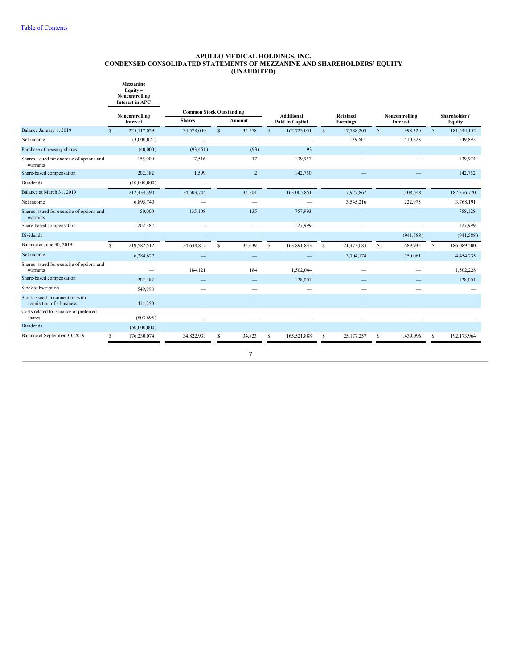#### <span id="page-6-0"></span>**APOLLO MEDICAL HOLDINGS, INC. CONDENSED CONSOLIDATED STATEMENTS OF MEZZANINE AND SHAREHOLDERS' EQUITY (UNAUDITED)**



|                                                              |              | Noncontrolling  | <b>Common Stock Outstanding</b> |   |                | <b>Additional</b> |                 | Retained     |                 | Noncontrolling |                 | Shareholders' |             |
|--------------------------------------------------------------|--------------|-----------------|---------------------------------|---|----------------|-------------------|-----------------|--------------|-----------------|----------------|-----------------|---------------|-------------|
|                                                              |              | <b>Interest</b> | <b>Shares</b>                   |   | Amount         |                   | Paid-in Capital |              | <b>Earnings</b> |                | <b>Interest</b> |               | Equity      |
| Balance January 1, 2019                                      | $\mathbf{s}$ | 225,117,029     | 34,578,040                      | S | 34,578         | <sup>S</sup>      | 162,723,051     | $\mathbf{s}$ | 17,788,203      | $\mathbf{s}$   | 998,320         | $\mathbf{s}$  | 181,544,152 |
| Net income                                                   |              | (3,000,021)     |                                 |   |                |                   |                 |              | 139,664         |                | 410,228         |               | 549,892     |
| Purchase of treasury shares                                  |              | (40,000)        | (93, 451)                       |   | (93)           |                   | 93              |              |                 |                |                 |               |             |
| Shares issued for exercise of options and<br>warrants        |              | 155,000         | 17,516                          |   | 17             |                   | 139,957         |              |                 |                |                 |               | 139,974     |
| Share-based compensation                                     |              | 202,382         | 1,599                           |   | $\overline{c}$ |                   | 142,750         |              |                 |                |                 |               | 142,752     |
| Dividends                                                    |              | (10,000,000)    | $\overline{\phantom{0}}$        |   |                |                   |                 |              |                 |                |                 |               |             |
| Balance at March 31, 2019                                    |              | 212,434,390     | 34,503,704                      |   | 34,504         |                   | 163,005,851     |              | 17,927,867      |                | 1,408,548       |               | 182,376,770 |
| Net income                                                   |              | 6,895,740       |                                 |   |                |                   |                 |              | 3,545,216       |                | 222,975         |               | 3,768,191   |
| Shares issued for exercise of options and<br>warrants        |              | 50,000          | 135,108                         |   | 135            |                   | 757,993         |              |                 |                |                 |               | 758,128     |
| Share-based compensation                                     |              | 202,382         |                                 |   |                |                   | 127,999         |              |                 |                |                 |               | 127,999     |
| Dividends                                                    |              |                 |                                 |   |                |                   |                 |              |                 |                | (941, 588)      |               | (941, 588)  |
| Balance at June 30, 2019                                     | S.           | 219,582,512     | 34,638,812                      | S | 34,639         | S                 | 163,891,843     | S            | 21,473,083      | S              | 689,935         | S             | 186,089,500 |
| Net income                                                   |              | 6,284,627       |                                 |   |                |                   |                 |              | 3,704,174       |                | 750,061         |               | 4,454,235   |
| Shares issued for exercise of options and<br>warrants        |              |                 | 184,121                         |   | 184            |                   | 1,502,044       |              |                 |                |                 |               | 1,502,228   |
| Share-based compensation                                     |              | 202,382         |                                 |   |                |                   | 128,001         |              |                 |                |                 |               | 128,001     |
| Stock subscription                                           |              | 549,998         |                                 |   |                |                   |                 |              |                 |                |                 |               |             |
| Stock issued in connection with<br>acquisition of a business |              | 414,250         |                                 |   |                |                   |                 |              |                 |                |                 |               |             |
| Costs related to issuance of preferred<br>shares             |              | (803, 695)      |                                 |   |                |                   |                 |              |                 |                |                 |               |             |
| <b>Dividends</b>                                             |              | (50,000,000)    |                                 |   |                |                   |                 |              |                 |                |                 |               |             |
| Balance at September 30, 2019                                | S.           | 176,230,074     | 34,822,933                      | S | 34,823         | S                 | 165,521,888     | S            | 25,177,257      | S              | 1,439,996       | S             | 192,173,964 |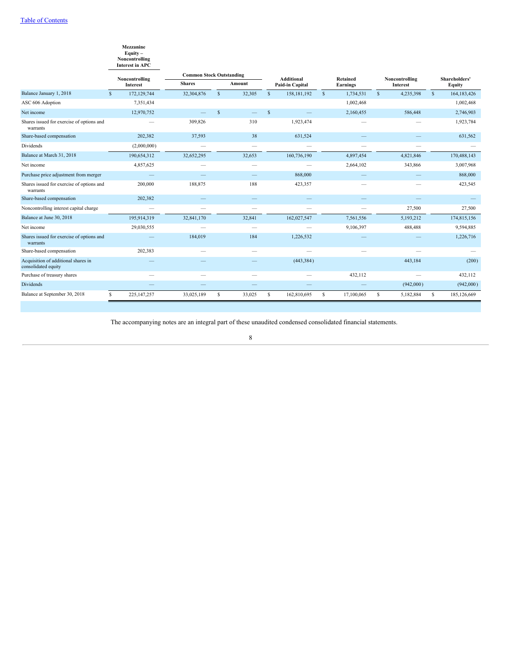# **Mezzanine Equity –**

| Noncontrolling         |  |
|------------------------|--|
| <b>Interest in APC</b> |  |

|                                                            | Noncontrolling                | <b>Common Stock Outstanding</b> |              |                                 | Additional<br>Retained |                 |              | Noncontrolling |              |                 | Shareholders' |               |
|------------------------------------------------------------|-------------------------------|---------------------------------|--------------|---------------------------------|------------------------|-----------------|--------------|----------------|--------------|-----------------|---------------|---------------|
|                                                            | <b>Interest</b>               | <b>Shares</b>                   |              | Amount                          |                        | Paid-in Capital |              | Earnings       |              | <b>Interest</b> |               | <b>Equity</b> |
| Balance January 1, 2018                                    | 172,129,744<br>$\mathcal{S}$  | 32,304,876                      | $\mathbb{S}$ | 32,305                          | $\mathcal{S}$          | 158, 181, 192   | $\mathbf{s}$ | 1,734,531      | $\mathbb{S}$ | 4,235,398       | $\mathbf{s}$  | 164, 183, 426 |
| ASC 606 Adoption                                           | 7,351,434                     |                                 |              |                                 |                        |                 |              | 1,002,468      |              |                 |               | 1,002,468     |
| Net income                                                 | 12,970,752                    |                                 | S            |                                 | S                      |                 |              | 2,160,455      |              | 586,448         |               | 2,746,903     |
| Shares issued for exercise of options and<br>warrants      |                               | 309,826                         |              | 310                             |                        | 1,923,474       |              |                |              |                 |               | 1,923,784     |
| Share-based compensation                                   | 202,382                       | 37,593                          |              | 38                              |                        | 631,524         |              |                |              |                 |               | 631,562       |
| Dividends                                                  | (2,000,000)                   | $\overline{\phantom{0}}$        |              | $\overbrace{\qquad \qquad }^{}$ |                        |                 |              |                |              |                 |               |               |
| Balance at March 31, 2018                                  | 190,654,312                   | 32,652,295                      |              | 32,653                          |                        | 160,736,190     |              | 4,897,454      |              | 4,821,846       |               | 170,488,143   |
| Net income                                                 | 4,857,625                     |                                 |              |                                 |                        |                 |              | 2,664,102      |              | 343,866         |               | 3,007,968     |
| Purchase price adjustment from merger                      |                               |                                 |              |                                 |                        | 868,000         |              |                |              |                 |               | 868,000       |
| Shares issued for exercise of options and<br>warrants      | 200,000                       | 188,875                         |              | 188                             |                        | 423,357         |              |                |              |                 |               | 423,545       |
| Share-based compensation                                   | 202,382                       |                                 |              |                                 |                        |                 |              |                |              |                 |               |               |
| Noncontrolling interest capital charge                     | $\overbrace{\phantom{aaaaa}}$ |                                 |              |                                 |                        |                 |              |                |              | 27,500          |               | 27,500        |
| Balance at June 30, 2018                                   | 195,914,319                   | 32,841,170                      |              | 32,841                          |                        | 162,027,547     |              | 7,561,556      |              | 5,193,212       |               | 174,815,156   |
| Net income                                                 | 29,030,555                    |                                 |              |                                 |                        |                 |              | 9,106,397      |              | 488,488         |               | 9,594,885     |
| Shares issued for exercise of options and<br>warrants      |                               | 184,019                         |              | 184                             |                        | 1,226,532       |              |                |              |                 |               | 1,226,716     |
| Share-based compensation                                   | 202,383                       |                                 |              |                                 |                        |                 |              |                |              |                 |               |               |
| Acquisition of additional shares in<br>consolidated equity |                               |                                 |              |                                 |                        | (443, 384)      |              |                |              | 443,184         |               | (200)         |
| Purchase of treasury shares                                |                               |                                 |              |                                 |                        |                 |              | 432,112        |              |                 |               | 432,112       |
| <b>Dividends</b>                                           |                               |                                 |              |                                 |                        |                 |              |                |              | (942,000)       |               | (942,000)     |
| Balance at September 30, 2018                              | 225, 147, 257<br>£.           | 33,025,189                      | s            | 33,025                          | s                      | 162,810,695     | S            | 17,100,065     | s            | 5,182,884       | s             | 185,126,669   |

The accompanying notes are an integral part of these unaudited condensed consolidated financial statements.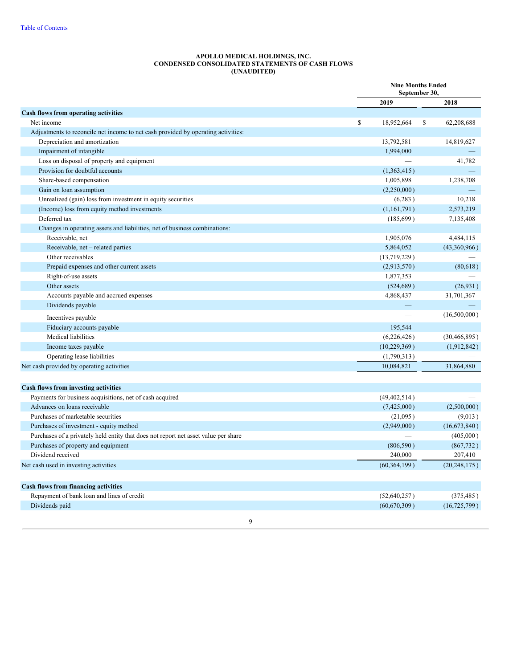#### **APOLLO MEDICAL HOLDINGS, INC. CONDENSED CONSOLIDATED STATEMENTS OF CASH FLOWS (UNAUDITED)**

<span id="page-8-0"></span>

|                                                                                     | <b>Nine Months Ended</b><br>September 30, |   |                |
|-------------------------------------------------------------------------------------|-------------------------------------------|---|----------------|
|                                                                                     | 2019                                      |   | 2018           |
| Cash flows from operating activities                                                |                                           |   |                |
| Net income                                                                          | \$<br>18,952,664                          | S | 62,208,688     |
| Adjustments to reconcile net income to net cash provided by operating activities:   |                                           |   |                |
| Depreciation and amortization                                                       | 13,792,581                                |   | 14,819,627     |
| Impairment of intangible                                                            | 1,994,000                                 |   |                |
| Loss on disposal of property and equipment                                          |                                           |   | 41,782         |
| Provision for doubtful accounts                                                     | (1,363,415)                               |   |                |
| Share-based compensation                                                            | 1,005,898                                 |   | 1,238,708      |
| Gain on loan assumption                                                             | (2,250,000)                               |   |                |
| Unrealized (gain) loss from investment in equity securities                         | (6,283)                                   |   | 10,218         |
| (Income) loss from equity method investments                                        | (1,161,791)                               |   | 2,573,219      |
| Deferred tax                                                                        | (185,699)                                 |   | 7,135,408      |
| Changes in operating assets and liabilities, net of business combinations:          |                                           |   |                |
| Receivable, net                                                                     | 1,905,076                                 |   | 4,484,115      |
| Receivable, net - related parties                                                   | 5,864,052                                 |   | (43,360,966)   |
| Other receivables                                                                   | (13,719,229)                              |   |                |
| Prepaid expenses and other current assets                                           | (2,913,570)                               |   | (80,618)       |
| Right-of-use assets                                                                 | 1,877,353                                 |   |                |
| Other assets                                                                        | (524, 689)                                |   | (26, 931)      |
| Accounts payable and accrued expenses                                               | 4,868,437                                 |   | 31,701,367     |
| Dividends payable                                                                   |                                           |   |                |
| Incentives payable                                                                  |                                           |   | (16,500,000)   |
| Fiduciary accounts payable                                                          | 195,544                                   |   |                |
| Medical liabilities                                                                 | (6,226,426)                               |   | (30, 466, 895) |
| Income taxes payable                                                                | (10, 229, 369)                            |   | (1,912,842)    |
| Operating lease liabilities                                                         | (1,790,313)                               |   |                |
| Net cash provided by operating activities                                           | 10,084,821                                |   | 31,864,880     |
|                                                                                     |                                           |   |                |
| Cash flows from investing activities                                                |                                           |   |                |
| Payments for business acquisitions, net of cash acquired                            | (49, 402, 514)                            |   |                |
| Advances on loans receivable                                                        | (7,425,000)                               |   | (2,500,000)    |
| Purchases of marketable securities                                                  | (21,095)                                  |   | (9,013)        |
| Purchases of investment - equity method                                             | (2,949,000)                               |   | (16,673,840)   |
| Purchases of a privately held entity that does not report net asset value per share |                                           |   | (405,000)      |
| Purchases of property and equipment                                                 | (806, 590)                                |   | (867, 732)     |
| Dividend received                                                                   | 240,000                                   |   | 207,410        |
| Net cash used in investing activities                                               | (60, 364, 199)                            |   | (20, 248, 175) |
| <b>Cash flows from financing activities</b>                                         |                                           |   |                |
| Repayment of bank loan and lines of credit                                          | (52,640,257)                              |   | (375, 485)     |
| Dividends paid                                                                      | (60,670,309)                              |   | (16, 725, 799) |
|                                                                                     |                                           |   |                |
| $\mathbf Q$                                                                         |                                           |   |                |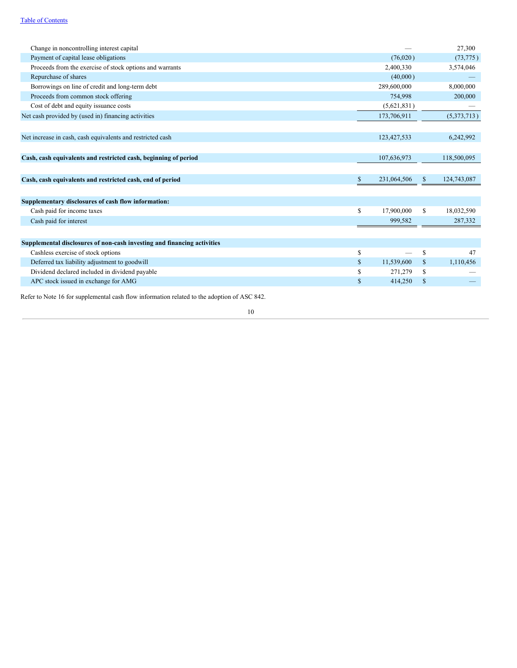| Change in noncontrolling interest capital                               |    |             |              | 27,300      |
|-------------------------------------------------------------------------|----|-------------|--------------|-------------|
| Payment of capital lease obligations                                    |    | (76,020)    |              | (73, 775)   |
| Proceeds from the exercise of stock options and warrants                |    | 2,400,330   |              | 3,574,046   |
| Repurchase of shares                                                    |    | (40,000)    |              |             |
| Borrowings on line of credit and long-term debt                         |    | 289,600,000 |              | 8,000,000   |
| Proceeds from common stock offering                                     |    | 754,998     |              | 200,000     |
| Cost of debt and equity issuance costs                                  |    | (5,621,831) |              |             |
| Net cash provided by (used in) financing activities                     |    | 173,706,911 |              | (5,373,713) |
| Net increase in cash, cash equivalents and restricted cash              |    | 123,427,533 |              | 6,242,992   |
| Cash, cash equivalents and restricted cash, beginning of period         |    | 107,636,973 |              | 118,500,095 |
| Cash, cash equivalents and restricted cash, end of period               | \$ | 231,064,506 | <sup>S</sup> | 124,743,087 |
| Supplementary disclosures of cash flow information:                     |    |             |              |             |
| Cash paid for income taxes                                              | S. | 17,900,000  | S            | 18,032,590  |
| Cash paid for interest                                                  |    | 999,582     |              | 287,332     |
|                                                                         |    |             |              |             |
| Supplemental disclosures of non-cash investing and financing activities |    |             |              |             |
| Cashless exercise of stock options                                      | \$ |             | \$           | 47          |
| Deferred tax liability adjustment to goodwill                           | \$ | 11,539,600  | \$           | 1,110,456   |
| Dividend declared included in dividend payable                          | \$ | 271,279     | \$           |             |
| APC stock issued in exchange for AMG                                    | \$ | 414,250     | $\mathbf S$  |             |

Refer to Note 16 for supplemental cash flow information related to the adoption of ASC 842.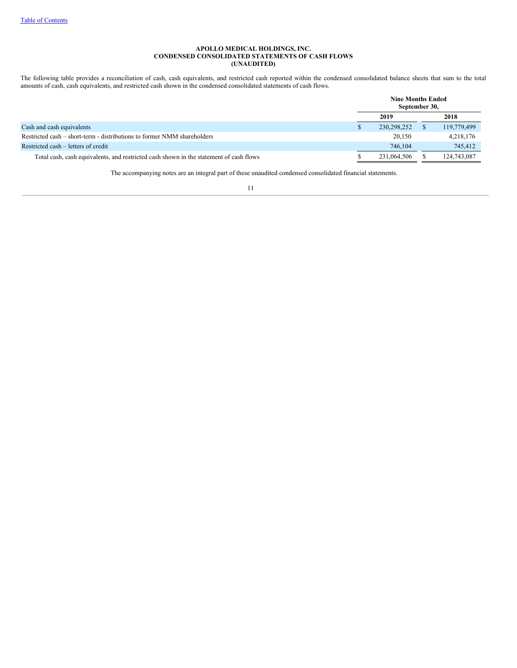# **APOLLO MEDICAL HOLDINGS, INC. CONDENSED CONSOLIDATED STATEMENTS OF CASH FLOWS (UNAUDITED)**

The following table provides a reconciliation of cash, cash equivalents, and restricted cash reported within the condensed consolidated balance sheets that sum to the total amounts of cash, cash equivalents, and restricted cash shown in the condensed consolidated statements of cash flows.

|                                                                                        | <b>Nine Months Ended</b><br>September 30, |             |
|----------------------------------------------------------------------------------------|-------------------------------------------|-------------|
|                                                                                        | 2019                                      | 2018        |
| Cash and cash equivalents                                                              | 230, 298, 252                             | 119,779,499 |
| Restricted cash – short-term - distributions to former NMM shareholders                | 20,150                                    | 4,218,176   |
| Restricted cash – letters of credit                                                    | 746,104                                   | 745,412     |
| Total cash, cash equivalents, and restricted cash shown in the statement of cash flows | 231,064,506                               | 124,743,087 |

The accompanying notes are an integral part of these unaudited condensed consolidated financial statements.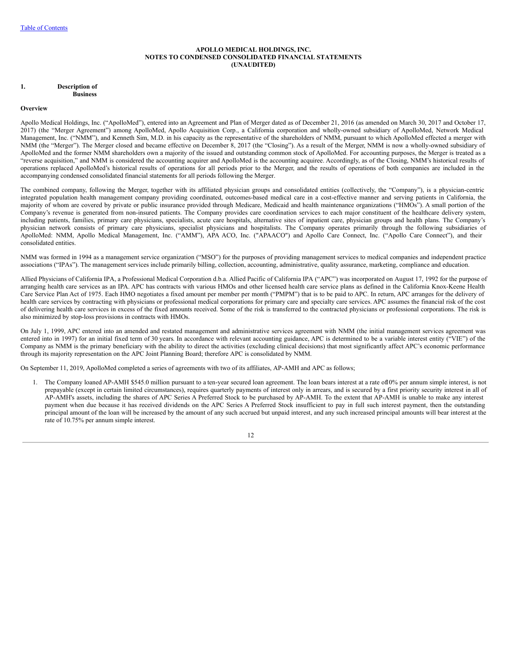## **APOLLO MEDICAL HOLDINGS, INC. NOTES TO CONDENSED CONSOLIDATED FINANCIAL STATEMENTS (UNAUDITED)**

#### **1. Description of Business**

#### **Overview**

Apollo Medical Holdings, Inc. ("ApolloMed"), entered into an Agreement and Plan of Merger dated as of December 21, 2016 (as amended on March 30, 2017 and October 17, 2017) (the "Merger Agreement") among ApolloMed, Apollo Acquisition Corp., a California corporation and wholly-owned subsidiary of ApolloMed, Network Medical Management, Inc. ("NMM"), and Kenneth Sim, M.D. in his capacity as the representative of the shareholders of NMM, pursuant to which ApolloMed effected a merger with NMM (the "Merger"). The Merger closed and became effective on December 8, 2017 (the "Closing"). As a result of the Merger, NMM is now a wholly-owned subsidiary of ApolloMed and the former NMM shareholders own a majority of the issued and outstanding common stock of ApolloMed. For accounting purposes, the Merger is treated as a "reverse acquisition," and NMM is considered the accounting acquirer and ApolloMed is the accounting acquiree. Accordingly, as of the Closing, NMM's historical results of operations replaced ApolloMed's historical results of operations for all periods prior to the Merger, and the results of operations of both companies are included in the accompanying condensed consolidated financial statements for all periods following the Merger.

The combined company, following the Merger, together with its affiliated physician groups and consolidated entities (collectively, the "Company"), is a physician-centric integrated population health management company providing coordinated, outcomes-based medical care in a cost-effective manner and serving patients in California, the majority of whom are covered by private or public insurance provided through Medicare, Medicaid and health maintenance organizations ("HMOs"). A small portion of the Company's revenue is generated from non-insured patients. The Company provides care coordination services to each major constituent of the healthcare delivery system, including patients, families, primary care physicians, specialists, acute care hospitals, alternative sites of inpatient care, physician groups and health plans. The Company's physician network consists of primary care physicians, specialist physicians and hospitalists. The Company operates primarily through the following subsidiaries of ApolloMed: NMM, Apollo Medical Management, Inc. ("AMM"), APA ACO, Inc. ("APAACO") and Apollo Care Connect, Inc. ("Apollo Care Connect"), and their consolidated entities.

NMM was formed in 1994 as a management service organization ("MSO") for the purposes of providing management services to medical companies and independent practice associations ("IPAs"). The management services include primarily billing, collection, accounting, administrative, quality assurance, marketing, compliance and education.

Allied Physicians of California IPA, a Professional Medical Corporation d.b.a. Allied Pacific of California IPA ("APC") was incorporated on August 17, 1992 for the purpose of arranging health care services as an IPA. APC has contracts with various HMOs and other licensed health care service plans as defined in the California Knox-Keene Health Care Service Plan Act of 1975. Each HMO negotiates a fixed amount per member per month ("PMPM") that is to be paid to APC. In return, APC arranges for the delivery of health care services by contracting with physicians or professional medical corporations for primary care and specialty care services. APC assumes the financial risk of the cost of delivering health care services in excess of the fixed amounts received. Some of the risk is transferred to the contracted physicians or professional corporations. The risk is also minimized by stop-loss provisions in contracts with HMOs.

On July 1, 1999, APC entered into an amended and restated management and administrative services agreement with NMM (the initial management services agreement was entered into in 1997) for an initial fixed term of 30 years. In accordance with relevant accounting guidance, APC is determined to be a variable interest entity ("VIE") of the Company as NMM is the primary beneficiary with the ability to direct the activities (excluding clinical decisions) that most significantly affect APC's economic performance through its majority representation on the APC Joint Planning Board; therefore APC is consolidated by NMM.

On September 11, 2019, ApolloMed completed a series of agreements with two of its affiliates, AP-AMH and APC as follows;

1. The Company loaned AP-AMH \$545.0 million pursuant to a ten-year secured loan agreement. The loan bears interest at a rate of10% per annum simple interest, is not prepayable (except in certain limited circumstances), requires quarterly payments of interest only in arrears, and is secured by a first priority security interest in all of AP-AMH's assets, including the shares of APC Series A Preferred Stock to be purchased by AP-AMH. To the extent that AP-AMH is unable to make any interest payment when due because it has received dividends on the APC Series A Preferred Stock insufficient to pay in full such interest payment, then the outstanding principal amount of the loan will be increased by the amount of any such accrued but unpaid interest, and any such increased principal amounts will bear interest at the rate of 10.75% per annum simple interest.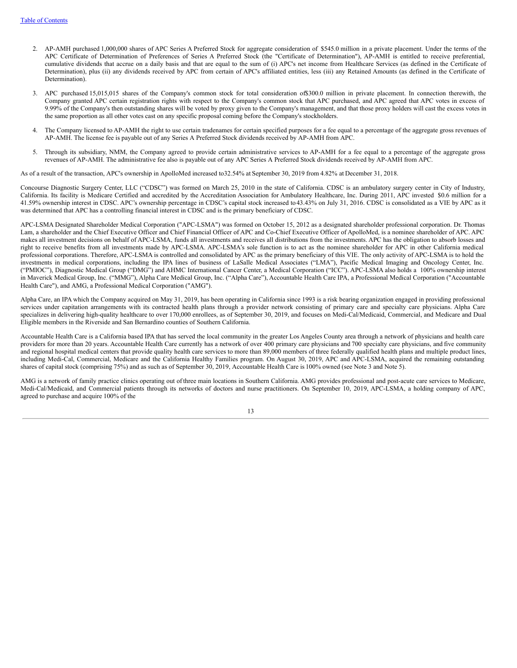- 2. AP-AMH purchased 1,000,000 shares of APC Series A Preferred Stock for aggregate consideration of \$545.0 million in a private placement. Under the terms of the APC Certificate of Determination of Preferences of Series A Preferred Stock (the "Certificate of Determination"), AP-AMH is entitled to receive preferential, cumulative dividends that accrue on a daily basis and that are equal to the sum of (i) APC's net income from Healthcare Services (as defined in the Certificate of Determination), plus (ii) any dividends received by APC from certain of APC's affiliated entities, less (iii) any Retained Amounts (as defined in the Certificate of Determination).
- 3. APC purchased 15,015,015 shares of the Company's common stock for total consideration of\$300.0 million in private placement. In connection therewith, the Company granted APC certain registration rights with respect to the Company's common stock that APC purchased, and APC agreed that APC votes in excess of 9.99% of the Company's then outstanding shares will be voted by proxy given to the Company's management, and that those proxy holders will cast the excess votes in the same proportion as all other votes cast on any specific proposal coming before the Company's stockholders.
- 4. The Company licensed to AP-AMH the right to use certain tradenames for certain specified purposes for a fee equal to a percentage of the aggregate gross revenues of AP-AMH. The license fee is payable out of any Series A Preferred Stock dividends received by AP-AMH from APC.
- 5. Through its subsidiary, NMM, the Company agreed to provide certain administrative services to AP-AMH for a fee equal to a percentage of the aggregate gross revenues of AP-AMH. The administrative fee also is payable out of any APC Series A Preferred Stock dividends received by AP-AMH from APC.

As of a result of the transaction, APC's ownership in ApolloMed increased to32.54% at September 30, 2019 from 4.82% at December 31, 2018.

Concourse Diagnostic Surgery Center, LLC ("CDSC") was formed on March 25, 2010 in the state of California. CDSC is an ambulatory surgery center in City of Industry, California. Its facility is Medicare Certified and accredited by the Accreditation Association for Ambulatory Healthcare, Inc. During 2011, APC invested \$0.6 million for a 41.59% ownership interest in CDSC. APC's ownership percentage in CDSC's capital stock increased to43.43% on July 31, 2016. CDSC is consolidated as a VIE by APC as it was determined that APC has a controlling financial interest in CDSC and is the primary beneficiary of CDSC.

APC-LSMA Designated Shareholder Medical Corporation ("APC-LSMA") was formed on October 15, 2012 as a designated shareholder professional corporation. Dr. Thomas Lam, a shareholder and the Chief Executive Officer and Chief Financial Officer of APC and Co-Chief Executive Officer of ApolloMed, is a nominee shareholder of APC. APC makes all investment decisions on behalf of APC-LSMA, funds all investments and receives all distributions from the investments. APC has the obligation to absorb losses and right to receive benefits from all investments made by APC-LSMA. APC-LSMA's sole function is to act as the nominee shareholder for APC in other California medical professional corporations. Therefore, APC-LSMA is controlled and consolidated by APC as the primary beneficiary of this VIE. The only activity of APC-LSMA is to hold the investments in medical corporations, including the IPA lines of business of LaSalle Medical Associates ("LMA"), Pacific Medical Imaging and Oncology Center, Inc. ("PMIOC"), Diagnostic Medical Group ("DMG") and AHMC International Cancer Center, a Medical Corporation ("ICC"). APC-LSMA also holds a 100% ownership interest in Maverick Medical Group, Inc. ("MMG"), Alpha Care Medical Group, Inc. ("Alpha Care"), Accountable Health Care IPA, a Professional Medical Corporation ("Accountable Health Care"), and AMG, a Professional Medical Corporation ("AMG").

Alpha Care, an IPA which the Company acquired on May 31, 2019, has been operating in California since 1993 is a risk bearing organization engaged in providing professional services under capitation arrangements with its contracted health plans through a provider network consisting of primary care and specialty care physicians. Alpha Care specializes in delivering high-quality healthcare to over 170,000 enrollees, as of September 30, 2019, and focuses on Medi-Cal/Medicaid, Commercial, and Medicare and Dual Eligible members in the Riverside and San Bernardino counties of Southern California.

Accountable Health Care is a California based IPA that has served the local community in the greater Los Angeles County area through a network of physicians and health care providers for more than 20 years. Accountable Health Care currently has a network of over 400 primary care physicians and 700 specialty care physicians, and five community and regional hospital medical centers that provide quality health care services to more than 89,000 members of three federally qualified health plans and multiple product lines, including Medi-Cal, Commercial, Medicare and the California Healthy Families program. On August 30, 2019, APC and APC-LSMA, acquired the remaining outstanding shares of capital stock (comprising 75%) and as such as of September 30, 2019, Accountable Health Care is 100% owned (see Note 3 and Note 5).

AMG is a network of family practice clinics operating out ofthree main locations in Southern California. AMG provides professional and post-acute care services to Medicare, Medi-Cal/Medicaid, and Commercial patients through its networks of doctors and nurse practitioners. On September 10, 2019, APC-LSMA, a holding company of APC, agreed to purchase and acquire 100% of the

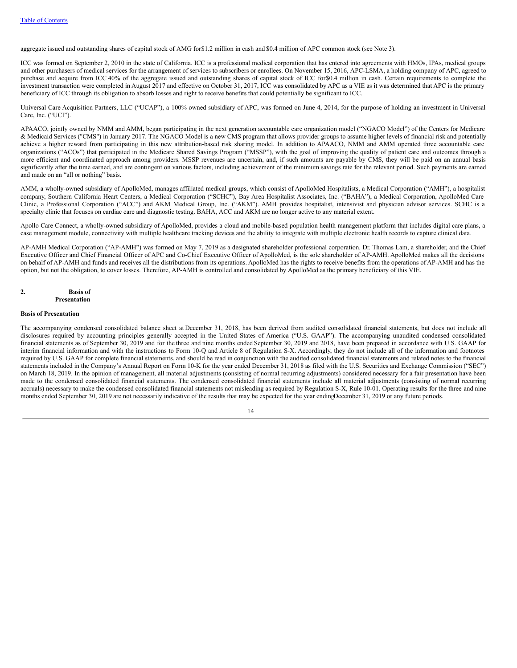aggregate issued and outstanding shares of capital stock of AMG for\$1.2 million in cash and \$0.4 million of APC common stock (see Note 3).

ICC was formed on September 2, 2010 in the state of California. ICC is a professional medical corporation that has entered into agreements with HMOs, IPAs, medical groups and other purchasers of medical services for the arrangement of services to subscribers or enrollees. On November 15, 2016, APC-LSMA, a holding company of APC, agreed to purchase and acquire from ICC 40% of the aggregate issued and outstanding shares of capital stock of ICC for\$0.4 million in cash. Certain requirements to complete the investment transaction were completed in August 2017 and effective on October 31, 2017, ICC was consolidated by APC as a VIE as it was determined that APC is the primary beneficiary of ICC through its obligation to absorb losses and right to receive benefits that could potentially be significant to ICC.

Universal Care Acquisition Partners, LLC ("UCAP"), a 100% owned subsidiary of APC, was formed on June 4, 2014, for the purpose of holding an investment in Universal Care, Inc. ("UCI").

APAACO, jointly owned by NMM and AMM, began participating in the next generation accountable care organization model ("NGACO Model") of the Centers for Medicare & Medicaid Services ("CMS") in January 2017. The NGACO Model is a new CMS program that allows provider groups to assume higher levels of financial risk and potentially achieve a higher reward from participating in this new attribution-based risk sharing model. In addition to APAACO, NMM and AMM operated three accountable care organizations ("ACOs") that participated in the Medicare Shared Savings Program ("MSSP"), with the goal of improving the quality of patient care and outcomes through a more efficient and coordinated approach among providers. MSSP revenues are uncertain, and, if such amounts are payable by CMS, they will be paid on an annual basis significantly after the time earned, and are contingent on various factors, including achievement of the minimum savings rate for the relevant period. Such payments are earned and made on an "all or nothing" basis.

AMM, a wholly-owned subsidiary of ApolloMed, manages affiliated medical groups, which consist of ApolloMed Hospitalists, a Medical Corporation ("AMH"), a hospitalist company, Southern California Heart Centers, a Medical Corporation ("SCHC"), Bay Area Hospitalist Associates, Inc. ("BAHA"), a Medical Corporation, ApolloMed Care Clinic, a Professional Corporation ("ACC") and AKM Medical Group, Inc. ("AKM"). AMH provides hospitalist, intensivist and physician advisor services. SCHC is a specialty clinic that focuses on cardiac care and diagnostic testing. BAHA, ACC and AKM are no longer active to any material extent.

Apollo Care Connect, a wholly-owned subsidiary of ApolloMed, provides a cloud and mobile-based population health management platform that includes digital care plans, a case management module, connectivity with multiple healthcare tracking devices and the ability to integrate with multiple electronic health records to capture clinical data.

AP-AMH Medical Corporation ("AP-AMH") was formed on May 7, 2019 as a designated shareholder professional corporation. Dr. Thomas Lam, a shareholder, and the Chief Executive Officer and Chief Financial Officer of APC and Co-Chief Executive Officer of ApolloMed, is the sole shareholder of AP-AMH. ApolloMed makes all the decisions on behalf of AP-AMH and funds and receives all the distributions from its operations. ApolloMed has the rights to receive benefits from the operations of AP-AMH and has the option, but not the obligation, to cover losses. Therefore, AP-AMH is controlled and consolidated by ApolloMed as the primary beneficiary of this VIE.

## **2. Basis of Presentation**

#### **Basis of Presentation**

The accompanying condensed consolidated balance sheet at December 31, 2018, has been derived from audited consolidated financial statements, but does not include all disclosures required by accounting principles generally accepted in the United States of America ("U.S. GAAP"). The accompanying unaudited condensed consolidated financial statements as of September 30, 2019 and for the three and nine months ended September 30, 2019 and 2018, have been prepared in accordance with U.S. GAAP for interim financial information and with the instructions to Form 10-Q and Article 8 of Regulation S-X. Accordingly, they do not include all of the information and footnotes required by U.S. GAAP for complete financial statements, and should be read in conjunction with the audited consolidated financial statements and related notes to the financial statements included in the Company's Annual Report on Form 10-K for the year ended December 31, 2018 as filed with the U.S. Securities and Exchange Commission ("SEC") on March 18, 2019. In the opinion of management, all material adjustments (consisting of normal recurring adjustments) considered necessary for a fair presentation have been made to the condensed consolidated financial statements. The condensed consolidated financial statements include all material adjustments (consisting of normal recurring accruals) necessary to make the condensed consolidated financial statements not misleading as required by Regulation S-X, Rule 10-01. Operating results for the three and nine months ended September 30, 2019 are not necessarily indicative of the results that may be expected for the year endingDecember 31, 2019 or any future periods.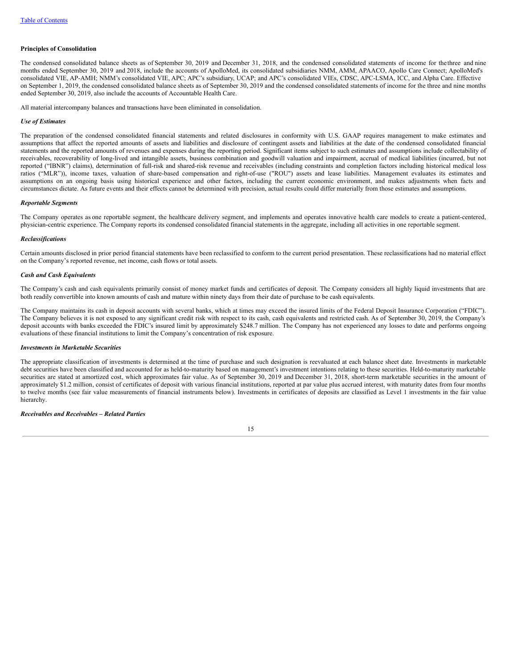#### **Principles of Consolidation**

The condensed consolidated balance sheets as of September 30, 2019 and December 31, 2018, and the condensed consolidated statements of income for the three and nine months ended September 30, 2019 and 2018, include the accounts of ApolloMed, its consolidated subsidiaries NMM, AMM, APAACO, Apollo Care Connect; ApolloMed's consolidated VIE, AP-AMH; NMM's consolidated VIE, APC; APC's subsidiary, UCAP; and APC's consolidated VIEs, CDSC, APC-LSMA, ICC, and Alpha Care. Effective on September 1, 2019, the condensed consolidated balance sheets as of September 30, 2019 and the condensed consolidated statements of income for the three and nine months ended September 30, 2019, also include the accounts of Accountable Health Care.

All material intercompany balances and transactions have been eliminated in consolidation.

#### *Use of Estimates*

The preparation of the condensed consolidated financial statements and related disclosures in conformity with U.S. GAAP requires management to make estimates and assumptions that affect the reported amounts of assets and liabilities and disclosure of contingent assets and liabilities at the date of the condensed consolidated financial statements and the reported amounts of revenues and expenses during the reporting period. Significant items subject to such estimates and assumptions include collectability of receivables, recoverability of long-lived and intangible assets, business combination and goodwill valuation and impairment, accrual of medical liabilities (incurred, but not reported ("IBNR") claims), determination of full-risk and shared-risk revenue and receivables (including constraints and completion factors including historical medical loss ratios ("MLR")), income taxes, valuation of share-based compensation and right-of-use ("ROU") assets and lease liabilities. Management evaluates its estimates and assumptions on an ongoing basis using historical experience and other factors, including the current economic environment, and makes adjustments when facts and circumstances dictate. As future events and their effects cannot be determined with precision, actual results could differ materially from those estimates and assumptions.

## *Reportable Segments*

The Company operates as one reportable segment, the healthcare delivery segment, and implements and operates innovative health care models to create a patient-centered, physician-centric experience. The Company reports its condensed consolidated financial statements in the aggregate, including all activities in one reportable segment.

#### *Reclassifications*

Certain amounts disclosed in prior period financial statements have been reclassified to conform to the current period presentation. These reclassifications had no material effect on the Company's reported revenue, net income, cash flows or total assets.

#### *Cash and Cash Equivalents*

The Company's cash and cash equivalents primarily consist of money market funds and certificates of deposit. The Company considers all highly liquid investments that are both readily convertible into known amounts of cash and mature within ninety days from their date of purchase to be cash equivalents.

The Company maintains its cash in deposit accounts with several banks, which at times may exceed the insured limits of the Federal Deposit Insurance Corporation ("FDIC"). The Company believes it is not exposed to any significant credit risk with respect to its cash, cash equivalents and restricted cash. As of September 30, 2019, the Company's deposit accounts with banks exceeded the FDIC's insured limit by approximately \$248.7 million. The Company has not experienced any losses to date and performs ongoing evaluations of these financial institutions to limit the Company's concentration of risk exposure.

# *Investments in Marketable Securities*

The appropriate classification of investments is determined at the time of purchase and such designation is reevaluated at each balance sheet date. Investments in marketable debt securities have been classified and accounted for as held-to-maturity based on management's investment intentions relating to these securities. Held-to-maturity marketable securities are stated at amortized cost, which approximates fair value. As of September 30, 2019 and December 31, 2018, short-term marketable securities in the amount of approximately \$1.2 million, consist of certificates of deposit with various financial institutions, reported at par value plus accrued interest, with maturity dates from four months to twelve months (see fair value measurements of financial instruments below). Investments in certificates of deposits are classified as Level 1 investments in the fair value hierarchy.

# *Receivables and Receivables – Related Parties*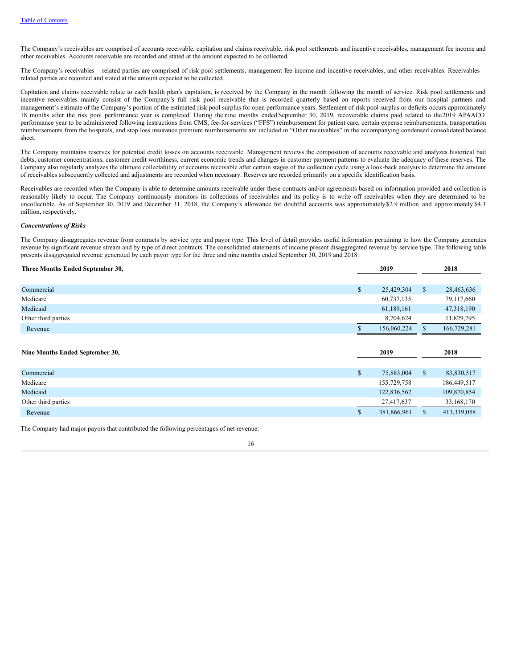The Company's receivables are comprised of accounts receivable, capitation and claims receivable, risk pool settlements and incentive receivables, management fee income and other receivables. Accounts receivable are recorded and stated at the amount expected to be collected.

The Company's receivables – related parties are comprised of risk pool settlements, management fee income and incentive receivables, and other receivables. Receivables – related parties are recorded and stated at the amount expected to be collected.

Capitation and claims receivable relate to each health plan's capitation, is received by the Company in the month following the month of service. Risk pool settlements and incentive receivables mainly consist of the Company's full risk pool receivable that is recorded quarterly based on reports received from our hospital partners and management's estimate of the Company's portion of the estimated risk pool surplus for open performance years. Settlement of risk pool surplus or deficits occurs approximately 18 months after the risk pool performance year is completed. During the nine months ended September 30, 2019, recoverable claims paid related to the2019 APAACO performance year to be administered following instructions from CMS, fee-for-services ("FFS") reimbursement for patient care, certain expense reimbursements, transportation reimbursements from the hospitals, and stop loss insurance premium reimbursements are included in "Other receivables" in the accompanying condensed consolidated balance sheet.

The Company maintains reserves for potential credit losses on accounts receivable. Management reviews the composition of accounts receivable and analyzes historical bad debts, customer concentrations, customer credit worthiness, current economic trends and changes in customer payment patterns to evaluate the adequacy of these reserves. The Company also regularly analyzes the ultimate collectability of accounts receivable after certain stages of the collection cycle using a look-back analysis to determine the amount of receivables subsequently collected and adjustments are recorded when necessary. Reserves are recorded primarily on a specific identification basis.

Receivables are recorded when the Company is able to determine amounts receivable under these contracts and/or agreements based on information provided and collection is reasonably likely to occur. The Company continuously monitors its collections of receivables and its policy is to write off receivables when they are determined to be uncollectible. As of September 30, 2019 and December 31, 2018, the Company's allowance for doubtful accounts was approximately\$2.9 million and approximately \$4.3 million, respectively.

#### *Concentrations of Risks*

The Company disaggregates revenue from contracts by service type and payor type. This level of detail provides useful information pertaining to how the Company generates revenue by significant revenue stream and by type of direct contracts. The consolidated statements of income present disaggregated revenue by service type. The following table presents disaggregated revenue generated by each payor type for the three and nine months ended September 30, 2019 and 2018:

| Three Months Ended September 30, | 2019             |              | 2018        |
|----------------------------------|------------------|--------------|-------------|
|                                  |                  |              |             |
| Commercial                       | \$<br>25,429,304 | $\mathbb{S}$ | 28,463,636  |
| Medicare                         | 60,737,135       |              | 79,117,660  |
| Medicaid                         | 61,189,161       |              | 47,318,190  |
| Other third parties              | 8,704,624        |              | 11,829,795  |
| Revenue                          | 156,060,224      |              | 166,729,281 |
|                                  |                  |              |             |
|                                  |                  |              |             |
|                                  | 2019             |              | 2018        |
| Nine Months Ended September 30,  |                  |              |             |
| Commercial                       | \$<br>75,883,004 | $\mathbb{S}$ | 83,830,517  |
| Medicare                         | 155,729,758      |              | 186,449,517 |
| Medicaid                         | 122,836,562      |              | 109,870,854 |
| Other third parties              | 27,417,637       |              | 33,168,170  |
| Revenue                          | 381,866,961      |              | 413,319,058 |

The Company had major payors that contributed the following percentages of net revenue: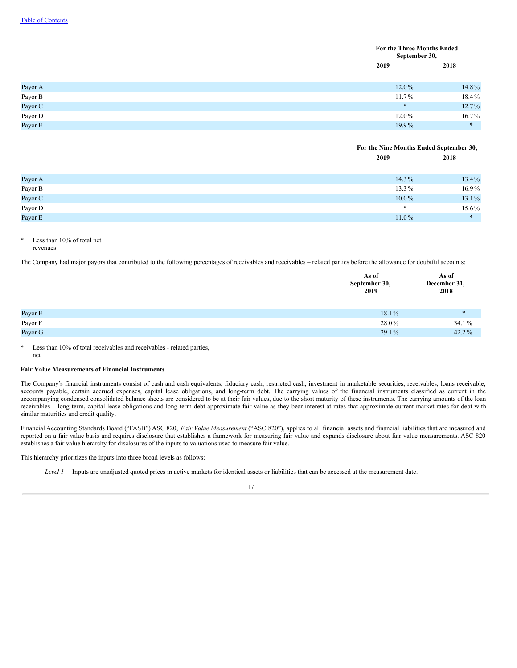|         | For the Three Months Ended<br>September 30, |          |
|---------|---------------------------------------------|----------|
|         | 2019                                        | 2018     |
| Payor A | 12.0%                                       | 14.8%    |
| Payor B | $11.7\%$                                    | $18.4\%$ |
| Payor C | $\ast$                                      | 12.7%    |
| Payor D | $12.0\%$                                    | $16.7\%$ |
| Payor E | 19.9%                                       | $*$      |

|               | For the Nine Months Ended September 30, |          |  |
|---------------|-----------------------------------------|----------|--|
|               | 2019                                    | 2018     |  |
|               |                                         |          |  |
| Payor A       | $14.3\%$                                | 13.4%    |  |
| Payor $\rm B$ | $13.3\%$                                | $16.9\%$ |  |
| Payor C       | $10.0\%$                                | 13.1%    |  |
| Payor D       | $\ast$                                  | 15.6%    |  |
| Payor E       | $11.0\%$                                | $*$      |  |

#### \* Less than 10% of total net revenues

The Company had major payors that contributed to the following percentages of receivables and receivables – related parties before the allowance for doubtful accounts:

|                   | As of<br>September 30,<br>2019 | As of<br>December 31,<br>2018 |
|-------------------|--------------------------------|-------------------------------|
|                   |                                |                               |
| Payor $\rm E$     | $18.1\%$                       | $\ast$                        |
| Payor $\mathbf F$ | 28.0%                          | 34.1%                         |
| Payor G           | $29.1\%$                       | 42.2%                         |

\* Less than 10% of total receivables and receivables - related parties, net

# **Fair Value Measurements of Financial Instruments**

The Company's financial instruments consist of cash and cash equivalents, fiduciary cash, restricted cash, investment in marketable securities, receivables, loans receivable, accounts payable, certain accrued expenses, capital lease obligations, and long-term debt. The carrying values of the financial instruments classified as current in the accompanying condensed consolidated balance sheets are considered to be at their fair values, due to the short maturity of these instruments. The carrying amounts of the loan receivables – long term, capital lease obligations and long term debt approximate fair value as they bear interest at rates that approximate current market rates for debt with similar maturities and credit quality.

Financial Accounting Standards Board ("FASB") ASC 820, *Fair Value Measurement* ("ASC 820"), applies to all financial assets and financial liabilities that are measured and reported on a fair value basis and requires disclosure that establishes a framework for measuring fair value and expands disclosure about fair value measurements. ASC 820 establishes a fair value hierarchy for disclosures of the inputs to valuations used to measure fair value.

This hierarchy prioritizes the inputs into three broad levels as follows:

*Level 1* —Inputs are unadjusted quoted prices in active markets for identical assets or liabilities that can be accessed at the measurement date.

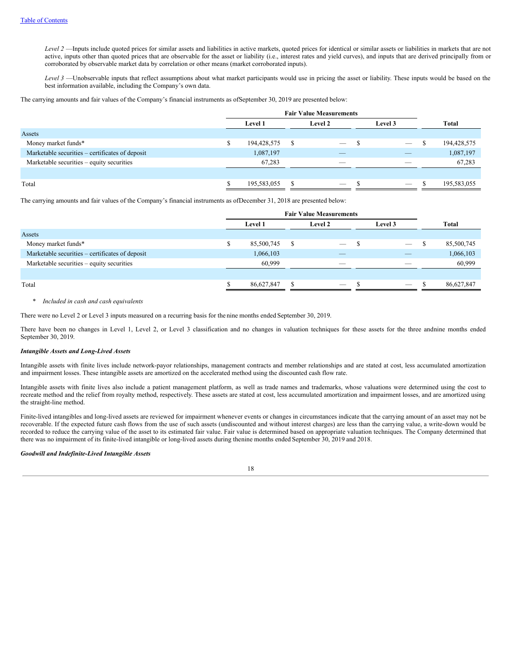*Level 2* —Inputs include quoted prices for similar assets and liabilities in active markets, quoted prices for identical or similar assets or liabilities in markets that are not active, inputs other than quoted prices that are observable for the asset or liability (i.e., interest rates and yield curves), and inputs that are derived principally from or corroborated by observable market data by correlation or other means (market corroborated inputs).

*Level 3* —Unobservable inputs that reflect assumptions about what market participants would use in pricing the asset or liability. These inputs would be based on the best information available, including the Company's own data.

The carrying amounts and fair values of the Company's financial instruments as ofSeptember 30, 2019 are presented below:

|                                                 | <b>Fair Value Measurements</b> |                |     |         |  |                                 |   |             |
|-------------------------------------------------|--------------------------------|----------------|-----|---------|--|---------------------------------|---|-------------|
|                                                 |                                | <b>Level 1</b> |     | Level 2 |  | Level 3                         |   | Total       |
| Assets                                          |                                |                |     |         |  |                                 |   |             |
| Money market funds*                             |                                | 194,428,575    | S   |         |  | $\hspace{0.1mm}-\hspace{0.1mm}$ | S | 194,428,575 |
| Marketable securities - certificates of deposit |                                | 1,087,197      |     | _       |  | $-$                             |   | 1,087,197   |
| Marketable securities – equity securities       |                                | 67,283         |     | _       |  | $\overline{\phantom{a}}$        |   | 67,283      |
|                                                 |                                |                |     |         |  |                                 |   |             |
| Total                                           |                                | 195,583,055    | \$. |         |  | $\overline{\phantom{a}}$        |   | 195,583,055 |

The carrying amounts and fair values of the Company's financial instruments as ofDecember 31, 2018 are presented below:

|                                                 | <b>Fair Value Measurements</b> |            |   |                                 |  |                                 |   |            |
|-------------------------------------------------|--------------------------------|------------|---|---------------------------------|--|---------------------------------|---|------------|
|                                                 |                                | Level 1    |   | Level 2                         |  | Level 3                         |   | Total      |
| Assets                                          |                                |            |   |                                 |  |                                 |   |            |
| Money market funds*                             |                                | 85,500,745 | S | $\hspace{0.1mm}-\hspace{0.1mm}$ |  | $\hspace{0.1mm}-\hspace{0.1mm}$ | ъ | 85,500,745 |
| Marketable securities – certificates of deposit |                                | 1,066,103  |   | $-$                             |  | $-$                             |   | 1,066,103  |
| Marketable securities – equity securities       |                                | 60,999     |   | $\overline{\phantom{a}}$        |  |                                 |   | 60,999     |
|                                                 |                                |            |   |                                 |  |                                 |   |            |
| Total                                           |                                | 86,627,847 | S |                                 |  |                                 |   | 86,627,847 |

# \* *Included in cash and cash equivalents*

There were no Level 2 or Level 3 inputs measured on a recurring basis for the nine months ended September 30, 2019.

There have been no changes in Level 1, Level 2, or Level 3 classification and no changes in valuation techniques for these assets for the three andnine months ended September 30, 2019.

# *Intangible Assets and Long-Lived Assets*

Intangible assets with finite lives include network-payor relationships, management contracts and member relationships and are stated at cost, less accumulated amortization and impairment losses. These intangible assets are amortized on the accelerated method using the discounted cash flow rate.

Intangible assets with finite lives also include a patient management platform, as well as trade names and trademarks, whose valuations were determined using the cost to recreate method and the relief from royalty method, respectively. These assets are stated at cost, less accumulated amortization and impairment losses, and are amortized using the straight-line method.

Finite-lived intangibles and long-lived assets are reviewed for impairment whenever events or changes in circumstances indicate that the carrying amount of an asset may not be recoverable. If the expected future cash flows from the use of such assets (undiscounted and without interest charges) are less than the carrying value, a write-down would be recorded to reduce the carrying value of the asset to its estimated fair value. Fair value is determined based on appropriate valuation techniques. The Company determined that there was no impairment of its finite-lived intangible or long-lived assets during thenine months ended September 30, 2019 and 2018.

# *Goodwill and Indefinite-Lived Intangible Assets*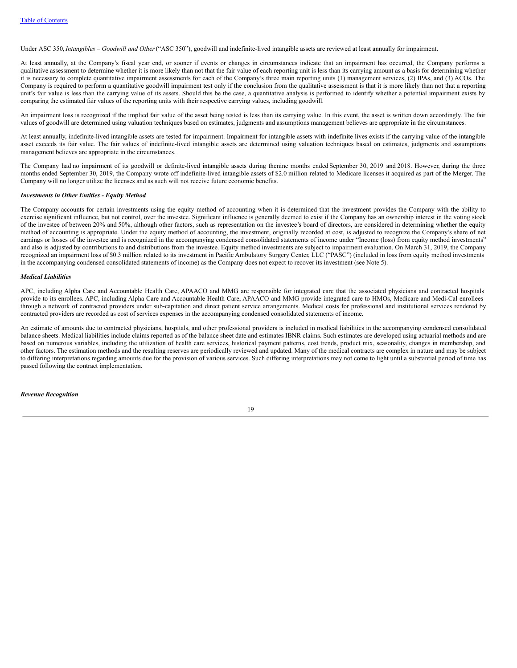Under ASC 350,*Intangibles – Goodwill and Other*("ASC 350"), goodwill and indefinite-lived intangible assets are reviewed at least annually for impairment.

At least annually, at the Company's fiscal year end, or sooner if events or changes in circumstances indicate that an impairment has occurred, the Company performs a qualitative assessment to determine whether it is more likely than not that the fair value of each reporting unit is less than its carrying amount as a basis for determining whether it is necessary to complete quantitative impairment assessments for each of the Company's three main reporting units (1) management services, (2) IPAs, and (3) ACOs. The Company is required to perform a quantitative goodwill impairment test only if the conclusion from the qualitative assessment is that it is more likely than not that a reporting unit's fair value is less than the carrying value of its assets. Should this be the case, a quantitative analysis is performed to identify whether a potential impairment exists by comparing the estimated fair values of the reporting units with their respective carrying values, including goodwill.

An impairment loss is recognized if the implied fair value of the asset being tested is less than its carrying value. In this event, the asset is written down accordingly. The fair values of goodwill are determined using valuation techniques based on estimates, judgments and assumptions management believes are appropriate in the circumstances.

At least annually, indefinite-lived intangible assets are tested for impairment. Impairment for intangible assets with indefinite lives exists if the carrying value of the intangible asset exceeds its fair value. The fair values of indefinite-lived intangible assets are determined using valuation techniques based on estimates, judgments and assumptions management believes are appropriate in the circumstances.

The Company had no impairment of its goodwill or definite-lived intangible assets during thenine months ended September 30, 2019 and 2018. However, during the three months ended September 30, 2019, the Company wrote off indefinite-lived intangible assets of \$2.0 million related to Medicare licenses it acquired as part of the Merger. The Company will no longer utilize the licenses and as such will not receive future economic benefits.

#### *Investments in Other Entities - Equity Method*

The Company accounts for certain investments using the equity method of accounting when it is determined that the investment provides the Company with the ability to exercise significant influence, but not control, over the investee. Significant influence is generally deemed to exist if the Company has an ownership interest in the voting stock of the investee of between 20% and 50%, although other factors, such as representation on the investee's board of directors, are considered in determining whether the equity method of accounting is appropriate. Under the equity method of accounting, the investment, originally recorded at cost, is adjusted to recognize the Company's share of net earnings or losses of the investee and is recognized in the accompanying condensed consolidated statements of income under "Income (loss) from equity method investments" and also is adjusted by contributions to and distributions from the investee. Equity method investments are subject to impairment evaluation. On March 31, 2019, the Company recognized an impairment loss of \$0.3 million related to its investment in Pacific Ambulatory Surgery Center, LLC ("PASC") (included in loss from equity method investments in the accompanying condensed consolidated statements of income) as the Company does not expect to recover its investment (see Note 5).

#### *Medical Liabilities*

APC, including Alpha Care and Accountable Health Care, APAACO and MMG are responsible for integrated care that the associated physicians and contracted hospitals provide to its enrollees. APC, including Alpha Care and Accountable Health Care, APAACO and MMG provide integrated care to HMOs, Medicare and Medi-Cal enrollees through a network of contracted providers under sub-capitation and direct patient service arrangements. Medical costs for professional and institutional services rendered by contracted providers are recorded as cost of services expenses in the accompanying condensed consolidated statements of income.

An estimate of amounts due to contracted physicians, hospitals, and other professional providers is included in medical liabilities in the accompanying condensed consolidated balance sheets. Medical liabilities include claims reported as of the balance sheet date and estimates IBNR claims. Such estimates are developed using actuarial methods and are based on numerous variables, including the utilization of health care services, historical payment patterns, cost trends, product mix, seasonality, changes in membership, and other factors. The estimation methods and the resulting reserves are periodically reviewed and updated. Many of the medical contracts are complex in nature and may be subject to differing interpretations regarding amounts due for the provision of various services. Such differing interpretations may not come to light until a substantial period of time has passed following the contract implementation.

*Revenue Recognition*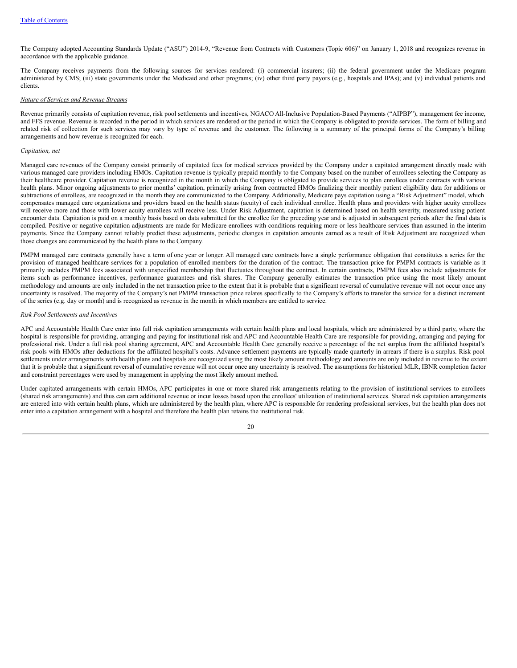The Company adopted Accounting Standards Update ("ASU") 2014-9, "Revenue from Contracts with Customers (Topic 606)" on January 1, 2018 and recognizes revenue in accordance with the applicable guidance.

The Company receives payments from the following sources for services rendered: (i) commercial insurers; (ii) the federal government under the Medicare program administered by CMS; (iii) state governments under the Medicaid and other programs; (iv) other third party payors (e.g., hospitals and IPAs); and (v) individual patients and clients.

#### *Nature of Services and Revenue Streams*

Revenue primarily consists of capitation revenue, risk pool settlements and incentives, NGACO All-Inclusive Population-Based Payments ("AIPBP"), management fee income, and FFS revenue. Revenue is recorded in the period in which services are rendered or the period in which the Company is obligated to provide services. The form of billing and related risk of collection for such services may vary by type of revenue and the customer. The following is a summary of the principal forms of the Company's billing arrangements and how revenue is recognized for each.

#### *Capitation, net*

Managed care revenues of the Company consist primarily of capitated fees for medical services provided by the Company under a capitated arrangement directly made with various managed care providers including HMOs. Capitation revenue is typically prepaid monthly to the Company based on the number of enrollees selecting the Company as their healthcare provider. Capitation revenue is recognized in the month in which the Company is obligated to provide services to plan enrollees under contracts with various health plans. Minor ongoing adjustments to prior months' capitation, primarily arising from contracted HMOs finalizing their monthly patient eligibility data for additions or subtractions of enrollees, are recognized in the month they are communicated to the Company. Additionally, Medicare pays capitation using a "Risk Adjustment" model, which compensates managed care organizations and providers based on the health status (acuity) of each individual enrollee. Health plans and providers with higher acuity enrollees will receive more and those with lower acuity enrollees will receive less. Under Risk Adjustment, capitation is determined based on health severity, measured using patient encounter data. Capitation is paid on a monthly basis based on data submitted for the enrollee for the preceding year and is adjusted in subsequent periods after the final data is compiled. Positive or negative capitation adjustments are made for Medicare enrollees with conditions requiring more or less healthcare services than assumed in the interim payments. Since the Company cannot reliably predict these adjustments, periodic changes in capitation amounts earned as a result of Risk Adjustment are recognized when those changes are communicated by the health plans to the Company.

PMPM managed care contracts generally have a term of one year or longer. All managed care contracts have a single performance obligation that constitutes a series for the provision of managed healthcare services for a population of enrolled members for the duration of the contract. The transaction price for PMPM contracts is variable as it primarily includes PMPM fees associated with unspecified membership that fluctuates throughout the contract. In certain contracts, PMPM fees also include adjustments for items such as performance incentives, performance guarantees and risk shares. The Company generally estimates the transaction price using the most likely amount methodology and amounts are only included in the net transaction price to the extent that it is probable that a significant reversal of cumulative revenue will not occur once any uncertainty is resolved. The majority of the Company's net PMPM transaction price relates specifically to the Company's efforts to transfer the service for a distinct increment of the series (e.g. day or month) and is recognized as revenue in the month in which members are entitled to service.

# *Risk Pool Settlements and Incentives*

APC and Accountable Health Care enter into full risk capitation arrangements with certain health plans and local hospitals, which are administered by a third party, where the hospital is responsible for providing, arranging and paying for institutional risk and APC and Accountable Health Care are responsible for providing, arranging and paying for professional risk. Under a full risk pool sharing agreement, APC and Accountable Health Care generally receive a percentage of the net surplus from the affiliated hospital's risk pools with HMOs after deductions for the affiliated hospital's costs. Advance settlement payments are typically made quarterly in arrears if there is a surplus. Risk pool settlements under arrangements with health plans and hospitals are recognized using the most likely amount methodology and amounts are only included in revenue to the extent that it is probable that a significant reversal of cumulative revenue will not occur once any uncertainty is resolved. The assumptions for historical MLR, IBNR completion factor and constraint percentages were used by management in applying the most likely amount method.

Under capitated arrangements with certain HMOs, APC participates in one or more shared risk arrangements relating to the provision of institutional services to enrollees (shared risk arrangements) and thus can earn additional revenue or incur losses based upon the enrollees' utilization of institutional services. Shared risk capitation arrangements are entered into with certain health plans, which are administered by the health plan, where APC is responsible for rendering professional services, but the health plan does not enter into a capitation arrangement with a hospital and therefore the health plan retains the institutional risk.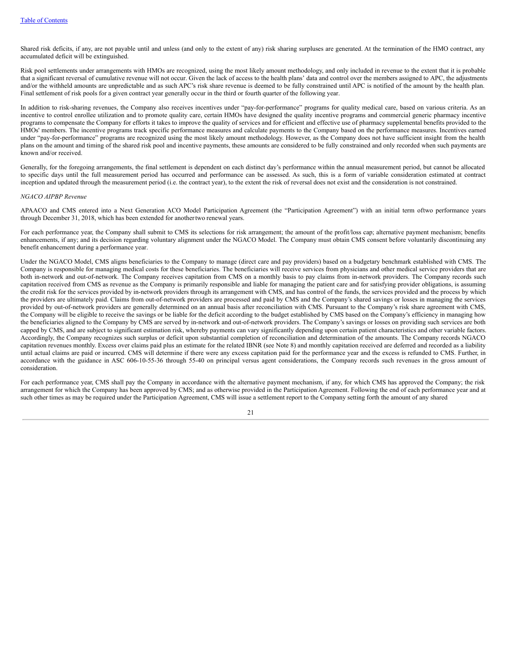Shared risk deficits, if any, are not payable until and unless (and only to the extent of any) risk sharing surpluses are generated. At the termination of the HMO contract, any accumulated deficit will be extinguished.

Risk pool settlements under arrangements with HMOs are recognized, using the most likely amount methodology, and only included in revenue to the extent that it is probable that a significant reversal of cumulative revenue will not occur. Given the lack of access to the health plans' data and control over the members assigned to APC, the adjustments and/or the withheld amounts are unpredictable and as such APC's risk share revenue is deemed to be fully constrained until APC is notified of the amount by the health plan. Final settlement of risk pools for a given contract year generally occur in the third or fourth quarter of the following year.

In addition to risk-sharing revenues, the Company also receives incentives under "pay-for-performance" programs for quality medical care, based on various criteria. As an incentive to control enrollee utilization and to promote quality care, certain HMOs have designed the quality incentive programs and commercial generic pharmacy incentive programs to compensate the Company for efforts it takes to improve the quality of services and for efficient and effective use of pharmacy supplemental benefits provided to the HMOs' members. The incentive programs track specific performance measures and calculate payments to the Company based on the performance measures. Incentives earned under "pay-for-performance" programs are recognized using the most likely amount methodology. However, as the Company does not have sufficient insight from the health plans on the amount and timing of the shared risk pool and incentive payments, these amounts are considered to be fully constrained and only recorded when such payments are known and/or received.

Generally, for the foregoing arrangements, the final settlement is dependent on each distinct day's performance within the annual measurement period, but cannot be allocated to specific days until the full measurement period has occurred and performance can be assessed. As such, this is a form of variable consideration estimated at contract inception and updated through the measurement period (i.e. the contract year), to the extent the risk of reversal does not exist and the consideration is not constrained.

#### *NGACO AIPBP Revenue*

APAACO and CMS entered into a Next Generation ACO Model Participation Agreement (the "Participation Agreement") with an initial term oftwo performance years through December 31, 2018, which has been extended for another two renewal years.

For each performance year, the Company shall submit to CMS its selections for risk arrangement; the amount of the profit/loss cap; alternative payment mechanism; benefits enhancements, if any; and its decision regarding voluntary alignment under the NGACO Model. The Company must obtain CMS consent before voluntarily discontinuing any benefit enhancement during a performance year.

Under the NGACO Model, CMS aligns beneficiaries to the Company to manage (direct care and pay providers) based on a budgetary benchmark established with CMS. The Company is responsible for managing medical costs for these beneficiaries. The beneficiaries will receive services from physicians and other medical service providers that are both in-network and out-of-network. The Company receives capitation from CMS on a monthly basis to pay claims from in-network providers. The Company records such capitation received from CMS as revenue as the Company is primarily responsible and liable for managing the patient care and for satisfying provider obligations, is assuming the credit risk for the services provided by in-network providers through its arrangement with CMS, and has control of the funds, the services provided and the process by which the providers are ultimately paid. Claims from out-of-network providers are processed and paid by CMS and the Company's shared savings or losses in managing the services provided by out-of-network providers are generally determined on an annual basis after reconciliation with CMS. Pursuant to the Company's risk share agreement with CMS, the Company will be eligible to receive the savings or be liable for the deficit according to the budget established by CMS based on the Company's efficiency in managing how the beneficiaries aligned to the Company by CMS are served by in-network and out-of-network providers. The Company's savings or losses on providing such services are both capped by CMS, and are subject to significant estimation risk, whereby payments can vary significantly depending upon certain patient characteristics and other variable factors. Accordingly, the Company recognizes such surplus or deficit upon substantial completion of reconciliation and determination of the amounts. The Company records NGACO capitation revenues monthly. Excess over claims paid plus an estimate for the related IBNR (see Note 8) and monthly capitation received are deferred and recorded as a liability until actual claims are paid or incurred. CMS will determine if there were any excess capitation paid for the performance year and the excess is refunded to CMS. Further, in accordance with the guidance in ASC 606-10-55-36 through 55-40 on principal versus agent considerations, the Company records such revenues in the gross amount of consideration.

For each performance year, CMS shall pay the Company in accordance with the alternative payment mechanism, if any, for which CMS has approved the Company; the risk arrangement for which the Company has been approved by CMS; and as otherwise provided in the Participation Agreement. Following the end of each performance year and at such other times as may be required under the Participation Agreement, CMS will issue a settlement report to the Company setting forth the amount of any shared

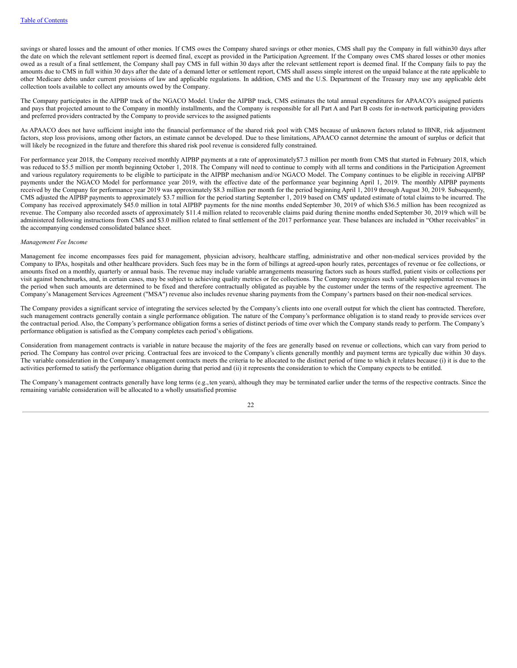savings or shared losses and the amount of other monies. If CMS owes the Company shared savings or other monies, CMS shall pay the Company in full within30 days after the date on which the relevant settlement report is deemed final, except as provided in the Participation Agreement. If the Company owes CMS shared losses or other monies owed as a result of a final settlement, the Company shall pay CMS in full within 30 days after the relevant settlement report is deemed final. If the Company fails to pay the amounts due to CMS in full within 30 days after the date of a demand letter or settlement report, CMS shall assess simple interest on the unpaid balance at the rate applicable to other Medicare debts under current provisions of law and applicable regulations. In addition, CMS and the U.S. Department of the Treasury may use any applicable debt collection tools available to collect any amounts owed by the Company.

The Company participates in the AIPBP track of the NGACO Model. Under the AIPBP track, CMS estimates the total annual expenditures for APAACO's assigned patients and pays that projected amount to the Company in monthly installments, and the Company is responsible for all Part A and Part B costs for in-network participating providers and preferred providers contracted by the Company to provide services to the assigned patients

As APAACO does not have sufficient insight into the financial performance of the shared risk pool with CMS because of unknown factors related to IBNR, risk adjustment factors, stop loss provisions, among other factors, an estimate cannot be developed. Due to these limitations, APAACO cannot determine the amount of surplus or deficit that will likely be recognized in the future and therefore this shared risk pool revenue is considered fully constrained.

For performance year 2018, the Company received monthly AIPBP payments at a rate of approximately\$7.3 million per month from CMS that started in February 2018, which was reduced to \$5.5 million per month beginning October 1, 2018. The Company will need to continue to comply with all terms and conditions in the Participation Agreement and various regulatory requirements to be eligible to participate in the AIPBP mechanism and/or NGACO Model. The Company continues to be eligible in receiving AIPBP payments under the NGACO Model for performance year 2019, with the effective date of the performance year beginning April 1, 2019. The monthly AIPBP payments received by the Company for performance year 2019 was approximately \$8.3 million per month for the period beginning April 1, 2019 through August 30, 2019. Subsequently, CMS adjusted the AIPBP payments to approximately \$3.7 million for the period starting September 1, 2019 based on CMS' updated estimate of total claims to be incurred. The Company has received approximately \$45.0 million in total AIPBP payments for the nine months ended September 30, 2019 of which \$36.5 million has been recognized as revenue. The Company also recorded assets of approximately \$11.4 million related to recoverable claims paid during thenine months ended September 30, 2019 which will be administered following instructions from CMS and \$3.0 million related to final settlement of the 2017 performance year. These balances are included in "Other receivables" in the accompanying condensed consolidated balance sheet.

#### *Management Fee Income*

Management fee income encompasses fees paid for management, physician advisory, healthcare staffing, administrative and other non-medical services provided by the Company to IPAs, hospitals and other healthcare providers. Such fees may be in the form of billings at agreed-upon hourly rates, percentages of revenue or fee collections, or amounts fixed on a monthly, quarterly or annual basis. The revenue may include variable arrangements measuring factors such as hours staffed, patient visits or collections per visit against benchmarks, and, in certain cases, may be subject to achieving quality metrics or fee collections. The Company recognizes such variable supplemental revenues in the period when such amounts are determined to be fixed and therefore contractually obligated as payable by the customer under the terms of the respective agreement. The Company's Management Services Agreement ("MSA") revenue also includes revenue sharing payments from the Company's partners based on their non-medical services.

The Company provides a significant service of integrating the services selected by the Company's clients into one overall output for which the client has contracted. Therefore, such management contracts generally contain a single performance obligation. The nature of the Company's performance obligation is to stand ready to provide services over the contractual period. Also, the Company's performance obligation forms a series of distinct periods of time over which the Company stands ready to perform. The Company's performance obligation is satisfied as the Company completes each period's obligations.

Consideration from management contracts is variable in nature because the majority of the fees are generally based on revenue or collections, which can vary from period to period. The Company has control over pricing. Contractual fees are invoiced to the Company's clients generally monthly and payment terms are typically due within 30 days. The variable consideration in the Company's management contracts meets the criteria to be allocated to the distinct period of time to which it relates because (i) it is due to the activities performed to satisfy the performance obligation during that period and (ii) it represents the consideration to which the Company expects to be entitled.

The Company's management contracts generally have long terms (e.g.,ten years), although they may be terminated earlier under the terms of the respective contracts. Since the remaining variable consideration will be allocated to a wholly unsatisfied promise

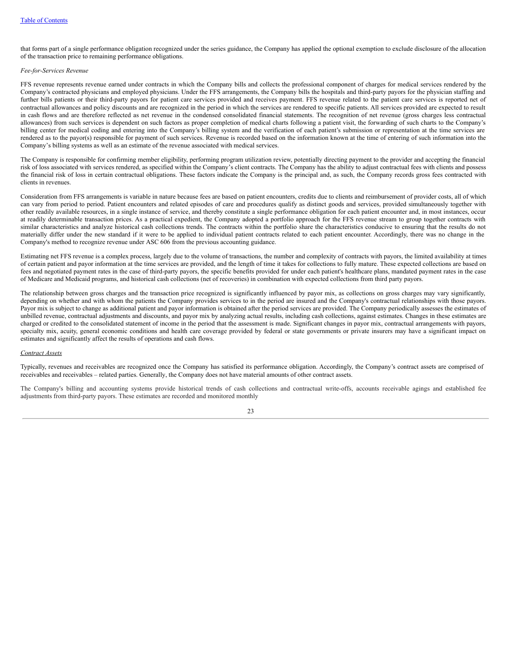that forms part of a single performance obligation recognized under the series guidance, the Company has applied the optional exemption to exclude disclosure of the allocation of the transaction price to remaining performance obligations.

#### *Fee-for-Services Revenue*

FFS revenue represents revenue earned under contracts in which the Company bills and collects the professional component of charges for medical services rendered by the Company's contracted physicians and employed physicians. Under the FFS arrangements, the Company bills the hospitals and third-party payors for the physician staffing and further bills patients or their third-party payors for patient care services provided and receives payment. FFS revenue related to the patient care services is reported net of contractual allowances and policy discounts and are recognized in the period in which the services are rendered to specific patients. All services provided are expected to result in cash flows and are therefore reflected as net revenue in the condensed consolidated financial statements. The recognition of net revenue (gross charges less contractual allowances) from such services is dependent on such factors as proper completion of medical charts following a patient visit, the forwarding of such charts to the Company's billing center for medical coding and entering into the Company's billing system and the verification of each patient's submission or representation at the time services are rendered as to the payor(s) responsible for payment of such services. Revenue is recorded based on the information known at the time of entering of such information into the Company's billing systems as well as an estimate of the revenue associated with medical services.

The Company is responsible for confirming member eligibility, performing program utilization review, potentially directing payment to the provider and accepting the financial risk of loss associated with services rendered, as specified within the Company's client contracts. The Company has the ability to adjust contractual fees with clients and possess the financial risk of loss in certain contractual obligations. These factors indicate the Company is the principal and, as such, the Company records gross fees contracted with clients in revenues.

Consideration from FFS arrangements is variable in nature because fees are based on patient encounters, credits due to clients and reimbursement of provider costs, all of which can vary from period to period. Patient encounters and related episodes of care and procedures qualify as distinct goods and services, provided simultaneously together with other readily available resources, in a single instance of service, and thereby constitute a single performance obligation for each patient encounter and, in most instances, occur at readily determinable transaction prices. As a practical expedient, the Company adopted a portfolio approach for the FFS revenue stream to group together contracts with similar characteristics and analyze historical cash collections trends. The contracts within the portfolio share the characteristics conducive to ensuring that the results do not materially differ under the new standard if it were to be applied to individual patient contracts related to each patient encounter. Accordingly, there was no change in the Company's method to recognize revenue under ASC 606 from the previous accounting guidance.

Estimating net FFS revenue is a complex process, largely due to the volume of transactions, the number and complexity of contracts with payors, the limited availability at times of certain patient and payor information at the time services are provided, and the length of time it takes for collections to fully mature. These expected collections are based on fees and negotiated payment rates in the case of third-party payors, the specific benefits provided for under each patient's healthcare plans, mandated payment rates in the case of Medicare and Medicaid programs, and historical cash collections (net of recoveries) in combination with expected collections from third party payors.

The relationship between gross charges and the transaction price recognized is significantly influenced by payor mix, as collections on gross charges may vary significantly, depending on whether and with whom the patients the Company provides services to in the period are insured and the Company's contractual relationships with those payors. Payor mix is subject to change as additional patient and payor information is obtained after the period services are provided. The Company periodically assesses the estimates of unbilled revenue, contractual adjustments and discounts, and payor mix by analyzing actual results, including cash collections, against estimates. Changes in these estimates are charged or credited to the consolidated statement of income in the period that the assessment is made. Significant changes in payor mix, contractual arrangements with payors, specialty mix, acuity, general economic conditions and health care coverage provided by federal or state governments or private insurers may have a significant impact on estimates and significantly affect the results of operations and cash flows.

#### *Contract Assets*

Typically, revenues and receivables are recognized once the Company has satisfied its performance obligation. Accordingly, the Company's contract assets are comprised of receivables and receivables – related parties. Generally, the Company does not have material amounts of other contract assets.

The Company's billing and accounting systems provide historical trends of cash collections and contractual write-offs, accounts receivable agings and established fee adjustments from third-party payors. These estimates are recorded and monitored monthly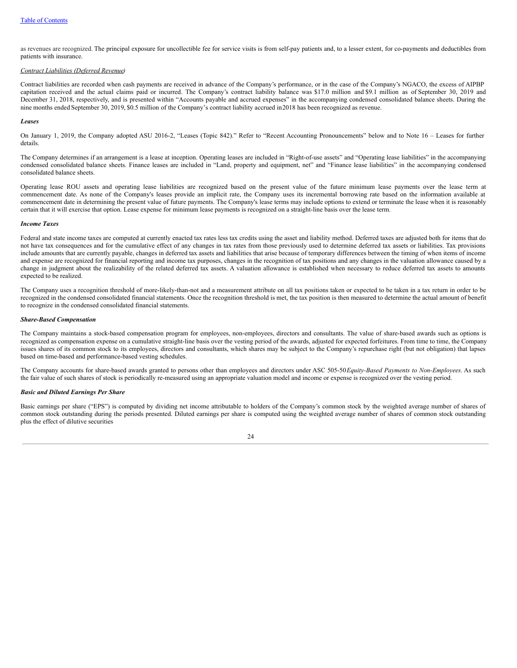as revenues are recognized. The principal exposure for uncollectible fee for service visits is from self-pay patients and, to a lesser extent, for co-payments and deductibles from patients with insurance.

#### *Contract Liabilities (Deferred Revenue)*

Contract liabilities are recorded when cash payments are received in advance of the Company's performance, or in the case of the Company's NGACO, the excess of AIPBP capitation received and the actual claims paid or incurred. The Company's contract liability balance was \$17.0 million and \$9.1 million as of September 30, 2019 and December 31, 2018, respectively, and is presented within "Accounts payable and accrued expenses" in the accompanying condensed consolidated balance sheets. During the nine months ended September 30, 2019, \$0.5 million of the Company's contract liability accrued in2018 has been recognized as revenue.

#### *Leases*

On January 1, 2019, the Company adopted ASU 2016-2, "Leases (Topic 842)." Refer to "Recent Accounting Pronouncements" below and to Note 16 – Leases for further details.

The Company determines if an arrangement is a lease at inception. Operating leases are included in "Right-of-use assets" and "Operating lease liabilities" in the accompanying condensed consolidated balance sheets. Finance leases are included in "Land, property and equipment, net" and "Finance lease liabilities" in the accompanying condensed consolidated balance sheets.

Operating lease ROU assets and operating lease liabilities are recognized based on the present value of the future minimum lease payments over the lease term at commencement date. As none of the Company's leases provide an implicit rate, the Company uses its incremental borrowing rate based on the information available at commencement date in determining the present value of future payments. The Company's lease terms may include options to extend or terminate the lease when it is reasonably certain that it will exercise that option. Lease expense for minimum lease payments is recognized on a straight-line basis over the lease term.

# *Income Taxes*

Federal and state income taxes are computed at currently enacted tax rates less tax credits using the asset and liability method. Deferred taxes are adjusted both for items that do not have tax consequences and for the cumulative effect of any changes in tax rates from those previously used to determine deferred tax assets or liabilities. Tax provisions include amounts that are currently payable, changes in deferred tax assets and liabilities that arise because of temporary differences between the timing of when items of income and expense are recognized for financial reporting and income tax purposes, changes in the recognition of tax positions and any changes in the valuation allowance caused by a change in judgment about the realizability of the related deferred tax assets. A valuation allowance is established when necessary to reduce deferred tax assets to amounts expected to be realized.

The Company uses a recognition threshold of more-likely-than-not and a measurement attribute on all tax positions taken or expected to be taken in a tax return in order to be recognized in the condensed consolidated financial statements. Once the recognition threshold is met, the tax position is then measured to determine the actual amount of benefit to recognize in the condensed consolidated financial statements.

#### *Share-Based Compensation*

The Company maintains a stock-based compensation program for employees, non-employees, directors and consultants. The value of share-based awards such as options is recognized as compensation expense on a cumulative straight-line basis over the vesting period of the awards, adjusted for expected forfeitures. From time to time, the Company issues shares of its common stock to its employees, directors and consultants, which shares may be subject to the Company's repurchase right (but not obligation) that lapses based on time-based and performance-based vesting schedules.

The Company accounts for share-based awards granted to persons other than employees and directors under ASC 505-50*Equity-Based Payments to Non-Employees*. As such the fair value of such shares of stock is periodically re-measured using an appropriate valuation model and income or expense is recognized over the vesting period.

# *Basic and Diluted Earnings Per Share*

Basic earnings per share ("EPS") is computed by dividing net income attributable to holders of the Company's common stock by the weighted average number of shares of common stock outstanding during the periods presented. Diluted earnings per share is computed using the weighted average number of shares of common stock outstanding plus the effect of dilutive securities

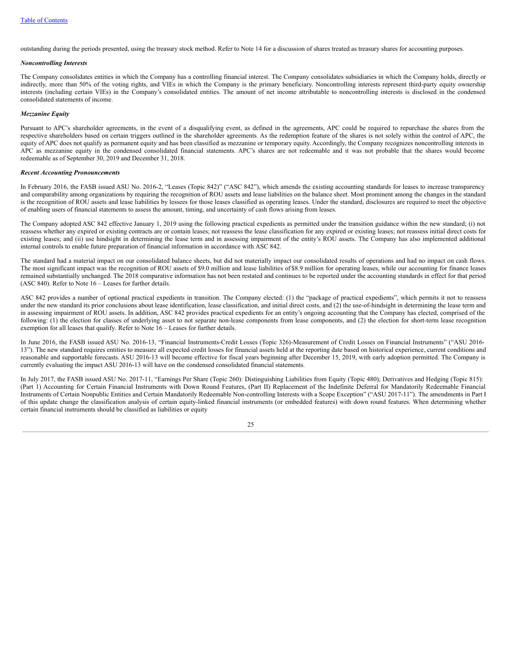outstanding during the periods presented, using the treasury stock method. Refer to Note 14 for a discussion of shares treated as treasury shares for accounting purposes.

#### *Noncontrolling Interests*

The Company consolidates entities in which the Company has a controlling financial interest. The Company consolidates subsidiaries in which the Company holds, directly or indirectly, more than 50% of the voting rights, and VIEs in which the Company is the primary beneficiary. Noncontrolling interests represent third-party equity ownership interests (including certain VIEs) in the Company's consolidated entities. The amount of net income attributable to noncontrolling interests is disclosed in the condensed consolidated statements of income.

#### *Mezzanine Equity*

Pursuant to APC's shareholder agreements, in the event of a disqualifying event, as defined in the agreements, APC could be required to repurchase the shares from the respective shareholders based on certain triggers outlined in the shareholder agreements. As the redemption feature of the shares is not solely within the control of APC, the equity of APC does not qualify as permanent equity and has been classified as mezzanine or temporary equity. Accordingly, the Company recognizes noncontrolling interests in APC as mezzanine equity in the condensed consolidated financial statements. APC's shares are not redeemable and it was not probable that the shares would become redeemable as of September 30, 2019 and December 31, 2018.

#### *Recent Accounting Pronouncements*

In February 2016, the FASB issued ASU No. 2016-2, "Leases (Topic 842)" ("ASC 842"), which amends the existing accounting standards for leases to increase transparency and comparability among organizations by requiring the recognition of ROU assets and lease liabilities on the balance sheet. Most prominent among the changes in the standard is the recognition of ROU assets and lease liabilities by lessees for those leases classified as operating leases. Under the standard, disclosures are required to meet the objective of enabling users of financial statements to assess the amount, timing, and uncertainty of cash flows arising from leases.

The Company adopted ASC 842 effective January 1, 2019 using the following practical expedients as permitted under the transition guidance within the new standard; (i) not reassess whether any expired or existing contracts are or contain leases; not reassess the lease classification for any expired or existing leases; not reassess initial direct costs for existing leases; and (ii) use hindsight in determining the lease term and in assessing impairment of the entity's ROU assets. The Company has also implemented additional internal controls to enable future preparation of financial information in accordance with ASC 842.

The standard had a material impact on our consolidated balance sheets, but did not materially impact our consolidated results of operations and had no impact on cash flows. The most significant impact was the recognition of ROU assets of \$9.0 million and lease liabilities of \$8.9 million for operating leases, while our accounting for finance leases remained substantially unchanged. The 2018 comparative information has not been restated and continues to be reported under the accounting standards in effect for that period (ASC 840). Refer to Note 16 – Leases for further details.

ASC 842 provides a number of optional practical expedients in transition. The Company elected: (1) the "package of practical expedients", which permits it not to reassess under the new standard its prior conclusions about lease identification, lease classification, and initial direct costs, and (2) the use-of-hindsight in determining the lease term and in assessing impairment of ROU assets. In addition, ASC 842 provides practical expedients for an entity's ongoing accounting that the Company has elected, comprised of the following: (1) the election for classes of underlying asset to not separate non-lease components from lease components, and (2) the election for short-term lease recognition exemption for all leases that qualify. Refer to Note 16 – Leases for further details.

In June 2016, the FASB issued ASU No. 2016-13, "Financial Instruments-Credit Losses (Topic 326)-Measurement of Credit Losses on Financial Instruments" ("ASU 2016- 13"). The new standard requires entities to measure all expected credit losses for financial assets held at the reporting date based on historical experience, current conditions and reasonable and supportable forecasts. ASU 2016-13 will become effective for fiscal years beginning after December 15, 2019, with early adoption permitted. The Company is currently evaluating the impact ASU 2016-13 will have on the condensed consolidated financial statements.

In July 2017, the FASB issued ASU No. 2017-11, "Earnings Per Share (Topic 260): Distinguishing Liabilities from Equity (Topic 480); Derivatives and Hedging (Topic 815): (Part 1) Accounting for Certain Financial Instruments with Down Round Features, (Part II) Replacement of the Indefinite Deferral for Mandatorily Redeemable Financial Instruments of Certain Nonpublic Entities and Certain Mandatorily Redeemable Non-controlling Interests with a Scope Exception" ("ASU 2017-11"). The amendments in Part I of this update change the classification analysis of certain equity-linked financial instruments (or embedded features) with down round features. When determining whether certain financial instruments should be classified as liabilities or equity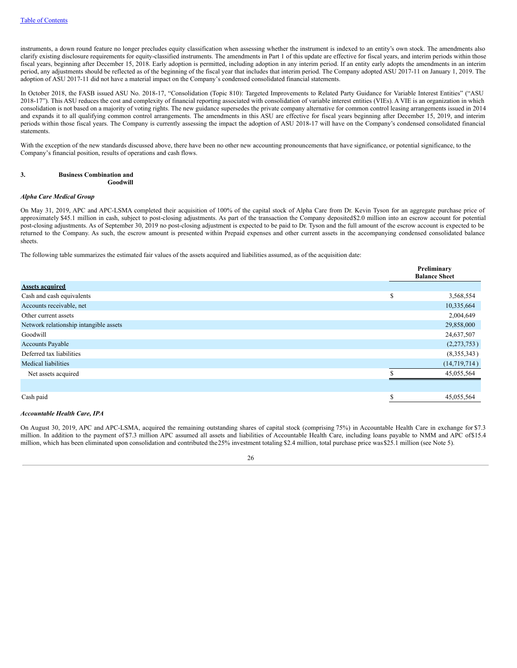instruments, a down round feature no longer precludes equity classification when assessing whether the instrument is indexed to an entity's own stock. The amendments also clarify existing disclosure requirements for equity-classified instruments. The amendments in Part 1 of this update are effective for fiscal years, and interim periods within those fiscal years, beginning after December 15, 2018. Early adoption is permitted, including adoption in any interim period. If an entity early adopts the amendments in an interim period, any adjustments should be reflected as of the beginning of the fiscal year that includes that interim period. The Company adopted ASU 2017-11 on January 1, 2019. The adoption of ASU 2017-11 did not have a material impact on the Company's condensed consolidated financial statements.

In October 2018, the FASB issued ASU No. 2018-17, "Consolidation (Topic 810): Targeted Improvements to Related Party Guidance for Variable Interest Entities" ("ASU 2018-17"). This ASU reduces the cost and complexity of financial reporting associated with consolidation of variable interest entities (VIEs). A VIE is an organization in which consolidation is not based on a majority of voting rights. The new guidance supersedes the private company alternative for common control leasing arrangements issued in 2014 and expands it to all qualifying common control arrangements. The amendments in this ASU are effective for fiscal years beginning after December 15, 2019, and interim periods within those fiscal years. The Company is currently assessing the impact the adoption of ASU 2018-17 will have on the Company's condensed consolidated financial statements.

With the exception of the new standards discussed above, there have been no other new accounting pronouncements that have significance, or potential significance, to the Company's financial position, results of operations and cash flows.

#### **3. Business Combination and Goodwill**

# *Alpha Care Medical Group*

On May 31, 2019, APC and APC-LSMA completed their acquisition of 100% of the capital stock of Alpha Care from Dr. Kevin Tyson for an aggregate purchase price of approximately \$45.1 million in cash, subject to post-closing adjustments. As part of the transaction the Company deposited\$2.0 million into an escrow account for potential post-closing adjustments. As of September 30, 2019 no post-closing adjustment is expected to be paid to Dr. Tyson and the full amount of the escrow account is expected to be returned to the Company. As such, the escrow amount is presented within Prepaid expenses and other current assets in the accompanying condensed consolidated balance sheets.

The following table summarizes the estimated fair values of the assets acquired and liabilities assumed, as of the acquisition date:

|                                        |        | Preliminary<br><b>Balance Sheet</b> |  |  |
|----------------------------------------|--------|-------------------------------------|--|--|
| <b>Assets acquired</b>                 |        |                                     |  |  |
| Cash and cash equivalents              | \$     | 3,568,554                           |  |  |
| Accounts receivable, net               |        | 10,335,664                          |  |  |
| Other current assets                   |        | 2,004,649                           |  |  |
| Network relationship intangible assets |        | 29,858,000                          |  |  |
| Goodwill                               |        | 24,637,507                          |  |  |
| <b>Accounts Payable</b>                |        | (2,273,753)                         |  |  |
| Deferred tax liabilities               |        | (8,355,343)                         |  |  |
| <b>Medical liabilities</b>             |        | (14,719,714)                        |  |  |
| Net assets acquired                    |        | 45,055,564                          |  |  |
|                                        |        |                                     |  |  |
| Cash paid                              | ጦ<br>ъ | 45,055,564                          |  |  |

#### *Accountable Health Care, IPA*

On August 30, 2019, APC and APC-LSMA, acquired the remaining outstanding shares of capital stock (comprising 75%) in Accountable Health Care in exchange for \$7.3 million. In addition to the payment of \$7.3 million APC assumed all assets and liabilities of Accountable Health Care, including loans payable to NMM and APC of\$15.4 million, which has been eliminated upon consolidation and contributed the25% investment totaling \$2.4 million, total purchase price was\$25.1 million (see Note 5).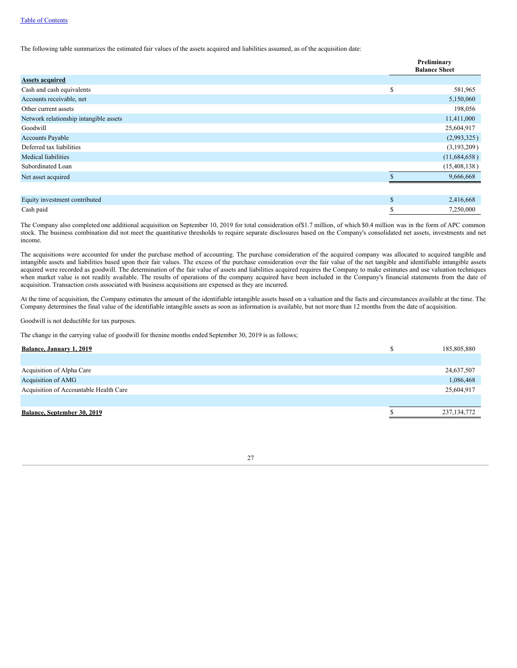The following table summarizes the estimated fair values of the assets acquired and liabilities assumed, as of the acquisition date:

|                                        |              | Preliminary<br><b>Balance Sheet</b> |
|----------------------------------------|--------------|-------------------------------------|
| <b>Assets acquired</b>                 |              |                                     |
| Cash and cash equivalents              | \$           | 581,965                             |
| Accounts receivable, net               |              | 5,150,060                           |
| Other current assets                   |              | 198,056                             |
| Network relationship intangible assets |              | 11,411,000                          |
| Goodwill                               |              | 25,604,917                          |
| <b>Accounts Payable</b>                |              | (2,993,325)                         |
| Deferred tax liabilities               |              | (3,193,209)                         |
| <b>Medical liabilities</b>             |              | (11,684,658)                        |
| Subordinated Loan                      |              | (15, 408, 138)                      |
| Net asset acquired                     |              | 9,666,668                           |
|                                        |              |                                     |
| Equity investment contributed          | $\mathbb{S}$ | 2,416,668                           |
| Cash paid                              | S            | 7,250,000                           |

The Company also completed one additional acquisition on September 10, 2019 for total consideration of\$1.7 million, of which \$0.4 million was in the form of APC common stock. The business combination did not meet the quantitative thresholds to require separate disclosures based on the Company's consolidated net assets, investments and net income.

The acquisitions were accounted for under the purchase method of accounting. The purchase consideration of the acquired company was allocated to acquired tangible and intangible assets and liabilities based upon their fair values. The excess of the purchase consideration over the fair value of the net tangible and identifiable intangible assets acquired were recorded as goodwill. The determination of the fair value of assets and liabilities acquired requires the Company to make estimates and use valuation techniques when market value is not readily available. The results of operations of the company acquired have been included in the Company's financial statements from the date of acquisition. Transaction costs associated with business acquisitions are expensed as they are incurred.

At the time of acquisition, the Company estimates the amount of the identifiable intangible assets based on a valuation and the facts and circumstances available at the time. The Company determines the final value of the identifiable intangible assets as soon as information is available, but not more than 12 months from the date of acquisition.

Goodwill is not deductible for tax purposes.

The change in the carrying value of goodwill for thenine months ended September 30, 2019 is as follows;

| ۰D | 185,805,880   |
|----|---------------|
|    |               |
|    | 24,637,507    |
|    | 1,086,468     |
|    | 25,604,917    |
|    |               |
|    | 237, 134, 772 |
|    |               |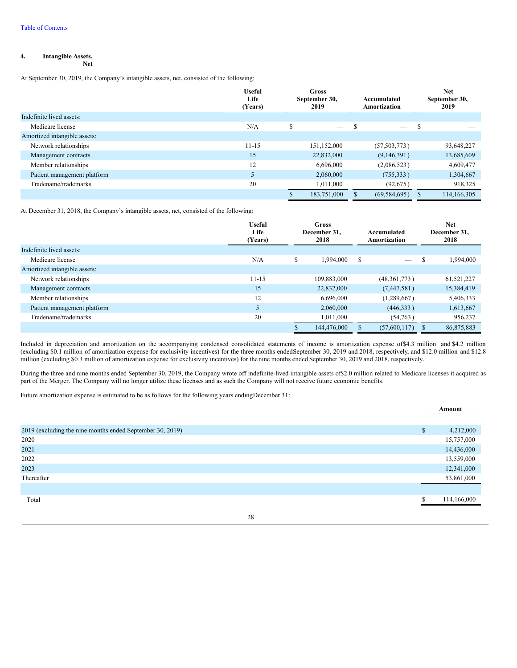#### **4. Intangible Assets, Net**

At September 30, 2019, the Company's intangible assets, net, consisted of the following:

|                              | Useful<br>Life<br>(Years) | <b>Gross</b><br>September 30,<br>2019 |             | Accumulated<br>Amortization |   |             | <b>Net</b><br>September 30,<br>2019 |
|------------------------------|---------------------------|---------------------------------------|-------------|-----------------------------|---|-------------|-------------------------------------|
| Indefinite lived assets:     |                           |                                       |             |                             |   |             |                                     |
| Medicare license             | N/A                       | \$                                    |             | $\overline{\phantom{m}}$    | S |             |                                     |
| Amortized intangible assets: |                           |                                       |             |                             |   |             |                                     |
| Network relationships        | $11 - 15$                 |                                       | 151,152,000 | (57, 503, 773)              |   | 93,648,227  |                                     |
| Management contracts         | 15                        |                                       | 22,832,000  | (9,146,391)                 |   | 13,685,609  |                                     |
| Member relationships         | 12                        |                                       | 6.696.000   | (2,086,523)                 |   | 4,609,477   |                                     |
| Patient management platform  | 5                         |                                       | 2,060,000   | (755, 333)                  |   | 1,304,667   |                                     |
| Tradename/trademarks         | 20                        |                                       | 1.011.000   | (92,675)                    |   | 918,325     |                                     |
|                              |                           |                                       | 183,751,000 | (69, 584, 695)              |   | 114,166,305 |                                     |

At December 31, 2018, the Company's intangible assets, net, consisted of the following:

|                              | <b>Useful</b><br>Life<br>(Years) |          | <b>Gross</b><br>December 31.<br>2018 |   |                                 |               |            |  |  |  | Accumulated<br>Amortization |  |  |  |  |  | <b>Net</b><br>December 31,<br>2018 |
|------------------------------|----------------------------------|----------|--------------------------------------|---|---------------------------------|---------------|------------|--|--|--|-----------------------------|--|--|--|--|--|------------------------------------|
| Indefinite lived assets:     |                                  |          |                                      |   |                                 |               |            |  |  |  |                             |  |  |  |  |  |                                    |
| Medicare license             | N/A                              | \$       | 1,994,000                            | S | $\hspace{0.1mm}-\hspace{0.1mm}$ | S             | 1,994,000  |  |  |  |                             |  |  |  |  |  |                                    |
| Amortized intangible assets: |                                  |          |                                      |   |                                 |               |            |  |  |  |                             |  |  |  |  |  |                                    |
| Network relationships        | $11 - 15$                        |          | 109,883,000                          |   | (48,361,773)                    |               | 61,521,227 |  |  |  |                             |  |  |  |  |  |                                    |
| Management contracts         | 15                               |          | 22,832,000                           |   | (7,447,581)                     |               | 15,384,419 |  |  |  |                             |  |  |  |  |  |                                    |
| Member relationships         | 12                               |          | 6.696.000                            |   | (1,289,667)                     |               | 5,406,333  |  |  |  |                             |  |  |  |  |  |                                    |
| Patient management platform  | 5                                |          | 2,060,000                            |   | (446,333)                       |               | 1,613,667  |  |  |  |                             |  |  |  |  |  |                                    |
| Tradename/trademarks         | 20                               |          | 1,011,000                            |   | (54,763)                        |               | 956,237    |  |  |  |                             |  |  |  |  |  |                                    |
|                              |                                  | <b>D</b> | 144,476,000                          |   | (57,600,117)                    | <sup>\$</sup> | 86,875,883 |  |  |  |                             |  |  |  |  |  |                                    |

Included in depreciation and amortization on the accompanying condensed consolidated statements of income is amortization expense of\$4.3 million and \$4.2 million (excluding \$0.1 million of amortization expense for exclusivity incentives) for the three months endedSeptember 30, 2019 and 2018, respectively, and \$12.0 million and \$12.8 million (excluding \$0.3 million of amortization expense for exclusivity incentives) for the nine months ended September 30, 2019 and 2018, respectively.

During the three and nine months ended September 30, 2019, the Company wrote off indefinite-lived intangible assets of\$2.0 million related to Medicare licenses it acquired as part of the Merger. The Company will no longer utilize these licenses and as such the Company will not receive future economic benefits.

Future amortization expense is estimated to be as follows for the following years endingDecember 31:

|                                                           | Amount       |             |
|-----------------------------------------------------------|--------------|-------------|
| 2019 (excluding the nine months ended September 30, 2019) | $\mathbb{S}$ | 4,212,000   |
| 2020                                                      |              | 15,757,000  |
| 2021                                                      |              | 14,436,000  |
| 2022                                                      |              | 13,559,000  |
| 2023                                                      |              | 12,341,000  |
| Thereafter                                                |              | 53,861,000  |
|                                                           |              |             |
| Total                                                     | ሖ            | 114,166,000 |

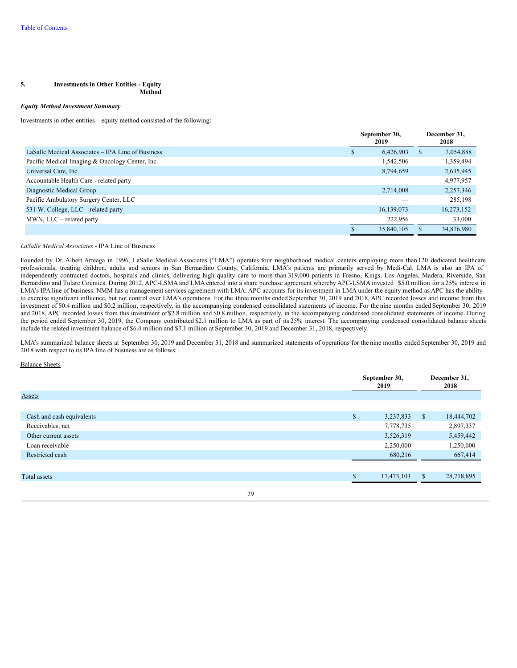#### **5. Investments in Other Entities - Equity Method**

# *Equity Method Investment Summary*

Investments in other entities – equity method consisted of the following:

|                                                   |   | September 30,<br>2019 |               | December 31,<br>2018 |
|---------------------------------------------------|---|-----------------------|---------------|----------------------|
| LaSalle Medical Associates – IPA Line of Business | S | 6,426,903             | <sup>\$</sup> | 7,054,888            |
| Pacific Medical Imaging & Oncology Center, Inc.   |   | 1,542,506             |               | 1,359,494            |
| Universal Care, Inc.                              |   | 8,794,659             |               | 2,635,945            |
| Accountable Health Care - related party           |   |                       |               | 4,977,957            |
| Diagnostic Medical Group                          |   | 2,714,008             |               | 2,257,346            |
| Pacific Ambulatory Surgery Center, LLC            |   |                       |               | 285,198              |
| 531 W. College, LLC – related party               |   | 16,139,073            |               | 16,273,152           |
| MWN, LLC – related party                          |   | 222,956               |               | 33,000               |
|                                                   |   | 35,840,105            | <b>S</b>      | 34,876,980           |

#### *LaSalle Medical Associates -* IPA Line of Business

Founded by Dr. Albert Arteaga in 1996, LaSalle Medical Associates ("LMA") operates four neighborhood medical centers employing more than 120 dedicated healthcare professionals, treating children, adults and seniors in San Bernardino County, California. LMA's patients are primarily served by Medi-Cal. LMA is also an IPA of independently contracted doctors, hospitals and clinics, delivering high quality care to more than 319,000 patients in Fresno, Kings, Los Angeles, Madera, Riverside, San Bernardino and Tulare Counties. During 2012, APC-LSMA and LMA entered into a share purchase agreement whereby APC-LSMA invested \$5.0 million for a 25% interest in LMA's IPA line of business. NMM has a management services agreement with LMA. APC accounts for its investment in LMA under the equity method as APC has the ability to exercise significant influence, but not control over LMA's operations. For the three months ended September 30, 2019 and 2018, APC recorded losses and income from this investment of \$0.4 million and \$0.2 million, respectively, in the accompanying condensed consolidated statements of income. For the nine months ended September 30, 2019 and 2018, APC recorded losses from this investment of \$2.8 million and \$0.8 million, respectively, in the accompanying condensed consolidated statements of income. During the period ended September 30, 2019, the Company contributed \$2.1 million to LMA as part of its 25% interest. The accompanying condensed consolidated balance sheets include the related investment balance of \$6.4 million and \$7.1 million at September 30, 2019 and December 31, 2018, respectively.

LMA's summarized balance sheets at September 30, 2019 and December 31, 2018 and summarized statements of operations for the nine months ended September 30, 2019 and 2018 with respect to its IPA line of business are as follows:

## Balance Sheets

|                           |    | September 30,<br>2019 |            |              | December 31,<br>2018 |
|---------------------------|----|-----------------------|------------|--------------|----------------------|
| <b>Assets</b>             |    |                       |            |              |                      |
|                           |    |                       |            |              |                      |
| Cash and cash equivalents |    | \$                    | 3,237,833  | $\mathbb{S}$ | 18,444,702           |
| Receivables, net          |    |                       | 7,778,735  |              | 2,897,337            |
| Other current assets      |    |                       | 3,526,319  |              | 5,459,442            |
| Loan receivable           |    |                       | 2,250,000  |              | 1,250,000            |
| Restricted cash           |    |                       | 680,216    |              | 667,414              |
|                           |    |                       |            |              |                      |
| Total assets              |    | $\triangle$           | 17,473,103 | $\mathbb{S}$ | 28,718,895           |
|                           | 29 |                       |            |              |                      |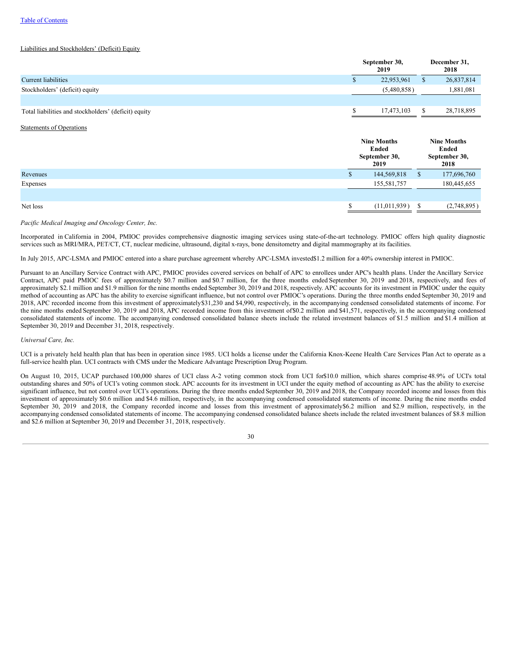#### Liabilities and Stockholders' (Deficit) Equity

|                                                      |     | September 30,<br>2019                                       |               |                                                      |  |  |  |  |  |  |  |  |  |  |  |  |  |  |  |  |  |  |  |  |  |  |  |  |  |  |  |  |  |  |  |  |  |  |  |  |  |  |  |  |  | December 31,<br>2018 |
|------------------------------------------------------|-----|-------------------------------------------------------------|---------------|------------------------------------------------------|--|--|--|--|--|--|--|--|--|--|--|--|--|--|--|--|--|--|--|--|--|--|--|--|--|--|--|--|--|--|--|--|--|--|--|--|--|--|--|--|--|----------------------|
| Current liabilities                                  | \$  | 22,953,961                                                  | <sup>\$</sup> | 26,837,814                                           |  |  |  |  |  |  |  |  |  |  |  |  |  |  |  |  |  |  |  |  |  |  |  |  |  |  |  |  |  |  |  |  |  |  |  |  |  |  |  |  |  |                      |
| Stockholders' (deficit) equity                       |     | (5,480,858)                                                 |               | 1,881,081                                            |  |  |  |  |  |  |  |  |  |  |  |  |  |  |  |  |  |  |  |  |  |  |  |  |  |  |  |  |  |  |  |  |  |  |  |  |  |  |  |  |  |                      |
|                                                      |     |                                                             |               |                                                      |  |  |  |  |  |  |  |  |  |  |  |  |  |  |  |  |  |  |  |  |  |  |  |  |  |  |  |  |  |  |  |  |  |  |  |  |  |  |  |  |  |                      |
| Total liabilities and stockholders' (deficit) equity | \$  | 17,473,103                                                  | <sup>\$</sup> | 28,718,895                                           |  |  |  |  |  |  |  |  |  |  |  |  |  |  |  |  |  |  |  |  |  |  |  |  |  |  |  |  |  |  |  |  |  |  |  |  |  |  |  |  |  |                      |
| <b>Statements of Operations</b>                      |     |                                                             |               |                                                      |  |  |  |  |  |  |  |  |  |  |  |  |  |  |  |  |  |  |  |  |  |  |  |  |  |  |  |  |  |  |  |  |  |  |  |  |  |  |  |  |  |                      |
|                                                      |     |                                                             |               |                                                      |  |  |  |  |  |  |  |  |  |  |  |  |  |  |  |  |  |  |  |  |  |  |  |  |  |  |  |  |  |  |  |  |  |  |  |  |  |  |  |  |  |                      |
|                                                      |     | <b>Nine Months</b><br><b>Ended</b><br>September 30,<br>2019 |               | <b>Nine Months</b><br>Ended<br>September 30,<br>2018 |  |  |  |  |  |  |  |  |  |  |  |  |  |  |  |  |  |  |  |  |  |  |  |  |  |  |  |  |  |  |  |  |  |  |  |  |  |  |  |  |  |                      |
| Revenues                                             | \$. | 144,569,818                                                 | S             | 177,696,760                                          |  |  |  |  |  |  |  |  |  |  |  |  |  |  |  |  |  |  |  |  |  |  |  |  |  |  |  |  |  |  |  |  |  |  |  |  |  |  |  |  |  |                      |
| Expenses                                             |     | 155,581,757                                                 |               | 180,445,655                                          |  |  |  |  |  |  |  |  |  |  |  |  |  |  |  |  |  |  |  |  |  |  |  |  |  |  |  |  |  |  |  |  |  |  |  |  |  |  |  |  |  |                      |
|                                                      |     |                                                             |               |                                                      |  |  |  |  |  |  |  |  |  |  |  |  |  |  |  |  |  |  |  |  |  |  |  |  |  |  |  |  |  |  |  |  |  |  |  |  |  |  |  |  |  |                      |

# *Pacific Medical Imaging and Oncology Center, Inc.*

Incorporated in California in 2004, PMIOC provides comprehensive diagnostic imaging services using state-of-the-art technology. PMIOC offers high quality diagnostic services such as MRI/MRA, PET/CT, CT, nuclear medicine, ultrasound, digital x-rays, bone densitometry and digital mammography at its facilities.

In July 2015, APC-LSMA and PMIOC entered into a share purchase agreement whereby APC-LSMA invested\$1.2 million for a 40% ownership interest in PMIOC.

Pursuant to an Ancillary Service Contract with APC, PMIOC provides covered services on behalf of APC to enrollees under APC's health plans. Under the Ancillary Service Contract, APC paid PMIOC fees of approximately \$0.7 million and \$0.7 million, for the three months ended September 30, 2019 and 2018, respectively, and fees of approximately \$2.1 million and \$1.9 million for the nine months ended September 30, 2019 and 2018, respectively. APC accounts for its investment in PMIOC under the equity method of accounting as APC has the ability to exercise significant influence, but not control over PMIOC's operations. During the three months ended September 30, 2019 and 2018, APC recorded income from this investment of approximately\$31,230 and \$4,990, respectively, in the accompanying condensed consolidated statements of income. For the nine months ended September 30, 2019 and 2018, APC recorded income from this investment of\$0.2 million and \$41,571, respectively, in the accompanying condensed consolidated statements of income. The accompanying condensed consolidated balance sheets include the related investment balances of \$1.5 million and \$1.4 million at September 30, 2019 and December 31, 2018, respectively.

#### *Universal Care, Inc.*

UCI is a privately held health plan that has been in operation since 1985. UCI holds a license under the California Knox-Keene Health Care Services Plan Act to operate as a full-service health plan. UCI contracts with CMS under the Medicare Advantage Prescription Drug Program.

On August 10, 2015, UCAP purchased 100,000 shares of UCI class A-2 voting common stock from UCI for\$10.0 million, which shares comprise 48.9% of UCI's total outstanding shares and 50% of UCI's voting common stock. APC accounts for its investment in UCI under the equity method of accounting as APC has the ability to exercise significant influence, but not control over UCI's operations. During the three months ended September 30, 2019 and 2018, the Company recorded income and losses from this investment of approximately \$0.6 million and \$4.6 million, respectively, in the accompanying condensed consolidated statements of income. During the nine months ended September 30, 2019 and 2018, the Company recorded income and losses from this investment of approximately\$6.2 million and \$2.9 million, respectively, in the accompanying condensed consolidated statements of income. The accompanying condensed consolidated balance sheets include the related investment balances of \$8.8 million and \$2.6 million at September 30, 2019 and December 31, 2018, respectively.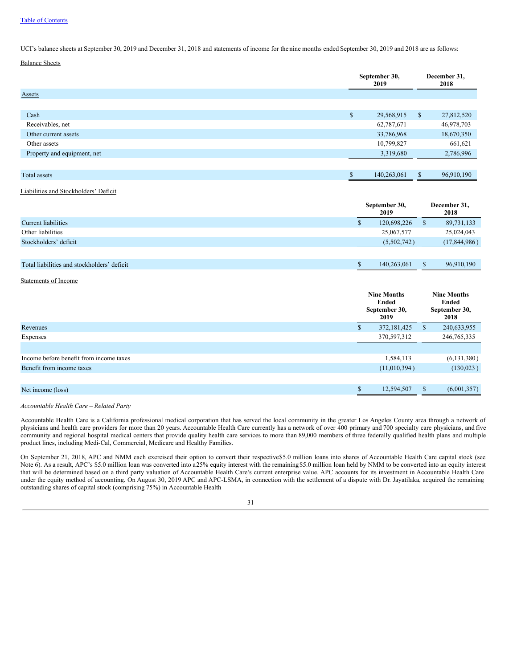UCI's balance sheets at September 30, 2019 and December 31, 2018 and statements of income for the nine months ended September 30, 2019 and 2018 are as follows:

# Balance Sheets

|                             | September 30,<br>2019 |              | December 31,<br>2018 |
|-----------------------------|-----------------------|--------------|----------------------|
| <b>Assets</b>               |                       |              |                      |
|                             |                       |              |                      |
| Cash                        | \$<br>29,568,915      | $\mathbb{S}$ | 27,812,520           |
| Receivables, net            | 62,787,671            |              | 46,978,703           |
| Other current assets        | 33,786,968            |              | 18,670,350           |
| Other assets                | 10,799,827            |              | 661,621              |
| Property and equipment, net | 3,319,680             |              | 2,786,996            |
|                             |                       |              |                      |
| Total assets                | \$<br>140,263,061     | $\mathbb{S}$ | 96,910,190           |

# Liabilities and Stockholders' Deficit

|                                             | September 30,<br>2019 |              | December 31,<br>2018 |  |  |
|---------------------------------------------|-----------------------|--------------|----------------------|--|--|
| <b>Current liabilities</b>                  | 120,698,226           | <sup>S</sup> | 89,731,133           |  |  |
| Other liabilities                           | 25,067,577            |              | 25,024,043           |  |  |
| Stockholders' deficit                       | (5,502,742)           |              | (17,844,986)         |  |  |
|                                             |                       |              |                      |  |  |
| Total liabilities and stockholders' deficit | 140.263.061           |              | 96,910,190           |  |  |

#### Statements of Income

|                                         |     | <b>Nine Months</b><br>Ended<br>September 30,<br>2019 |   | <b>Nine Months</b><br>Ended<br>September 30,<br>2018 |
|-----------------------------------------|-----|------------------------------------------------------|---|------------------------------------------------------|
| Revenues                                | аħ. | 372,181,425                                          | S | 240,633,955                                          |
| Expenses                                |     | 370,597,312                                          |   | 246, 765, 335                                        |
|                                         |     |                                                      |   |                                                      |
| Income before benefit from income taxes |     | 1,584,113                                            |   | (6, 131, 380)                                        |
| Benefit from income taxes               |     | (11,010,394)                                         |   | (130,023)                                            |
|                                         |     |                                                      |   |                                                      |
| Net income (loss)                       |     | 12,594,507                                           |   | (6,001,357)                                          |
|                                         |     |                                                      |   |                                                      |

#### *Accountable Health Care – Related Party*

Accountable Health Care is a California professional medical corporation that has served the local community in the greater Los Angeles County area through a network of physicians and health care providers for more than 20 years. Accountable Health Care currently has a network of over 400 primary and 700 specialty care physicians, and five community and regional hospital medical centers that provide quality health care services to more than 89,000 members of three federally qualified health plans and multiple product lines, including Medi-Cal, Commercial, Medicare and Healthy Families.

On September 21, 2018, APC and NMM each exercised their option to convert their respective\$5.0 million loans into shares of Accountable Health Care capital stock (see Note 6). As a result, APC's \$5.0 million loan was converted into a25% equity interest with the remaining \$5.0 million loan held by NMM to be converted into an equity interest that will be determined based on a third party valuation of Accountable Health Care's current enterprise value. APC accounts for its investment in Accountable Health Care under the equity method of accounting. On August 30, 2019 APC and APC-LSMA, in connection with the settlement of a dispute with Dr. Jayatilaka, acquired the remaining outstanding shares of capital stock (comprising 75%) in Accountable Health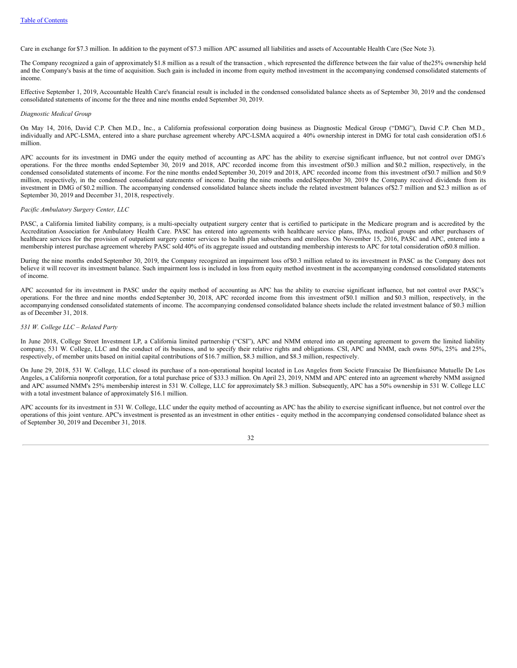Care in exchange for \$7.3 million. In addition to the payment of \$7.3 million APC assumed all liabilities and assets of Accountable Health Care (See Note 3).

The Company recognized a gain of approximately \$1.8 million as a result of the transaction , which represented the difference between the fair value of the25% ownership held and the Company's basis at the time of acquisition. Such gain is included in income from equity method investment in the accompanying condensed consolidated statements of income.

Effective September 1, 2019, Accountable Health Care's financial result is included in the condensed consolidated balance sheets as of September 30, 2019 and the condensed consolidated statements of income for the three and nine months ended September 30, 2019.

#### *Diagnostic Medical Group*

On May 14, 2016, David C.P. Chen M.D., Inc., a California professional corporation doing business as Diagnostic Medical Group ("DMG"), David C.P. Chen M.D., individually and APC-LSMA, entered into a share purchase agreement whereby APC-LSMA acquired a 40% ownership interest in DMG for total cash consideration of\$1.6 million.

APC accounts for its investment in DMG under the equity method of accounting as APC has the ability to exercise significant influence, but not control over DMG's operations. For the three months ended September 30, 2019 and 2018, APC recorded income from this investment of\$0.3 million and \$0.2 million, respectively, in the condensed consolidated statements of income. For the nine months ended September 30, 2019 and 2018, APC recorded income from this investment of\$0.7 million and \$0.9 million, respectively, in the condensed consolidated statements of income. During the nine months ended September 30, 2019 the Company received dividends from its investment in DMG of \$0.2 million. The accompanying condensed consolidated balance sheets include the related investment balances of\$2.7 million and \$2.3 million as of September 30, 2019 and December 31, 2018, respectively.

# *Pacific Ambulatory Surgery Center, LLC*

PASC, a California limited liability company, is a multi-specialty outpatient surgery center that is certified to participate in the Medicare program and is accredited by the Accreditation Association for Ambulatory Health Care. PASC has entered into agreements with healthcare service plans, IPAs, medical groups and other purchasers of healthcare services for the provision of outpatient surgery center services to health plan subscribers and enrollees. On November 15, 2016, PASC and APC, entered into a membership interest purchase agreement whereby PASC sold 40% of its aggregate issued and outstanding membership interests to APC for total consideration of\$0.8 million.

During the nine months ended September 30, 2019, the Company recognized an impairment loss of\$0.3 million related to its investment in PASC as the Company does not believe it will recover its investment balance. Such impairment loss is included in loss from equity method investment in the accompanying condensed consolidated statements of income.

APC accounted for its investment in PASC under the equity method of accounting as APC has the ability to exercise significant influence, but not control over PASC's operations. For the three and nine months ended September 30, 2018, APC recorded income from this investment of\$0.1 million and \$0.3 million, respectively, in the accompanying condensed consolidated statements of income. The accompanying condensed consolidated balance sheets include the related investment balance of \$0.3 million as of December 31, 2018.

#### *531 W. College LLC – Related Party*

In June 2018, College Street Investment LP, a California limited partnership ("CSI"), APC and NMM entered into an operating agreement to govern the limited liability company, 531 W. College, LLC and the conduct of its business, and to specify their relative rights and obligations. CSI, APC and NMM, each owns 50%, 25% and 25%, respectively, of member units based on initial capital contributions of \$16.7 million, \$8.3 million, and \$8.3 million, respectively.

On June 29, 2018, 531 W. College, LLC closed its purchase of a non-operational hospital located in Los Angeles from Societe Francaise De Bienfaisance Mutuelle De Los Angeles, a California nonprofit corporation, for a total purchase price of \$33.3 million. On April 23, 2019, NMM and APC entered into an agreement whereby NMM assigned and APC assumed NMM's 25% membership interest in 531 W. College, LLC for approximately \$8.3 million. Subsequently, APC has a 50% ownership in 531 W. College LLC with a total investment balance of approximately \$16.1 million.

APC accounts for its investment in 531 W. College, LLC under the equity method of accounting as APC has the ability to exercise significant influence, but not control over the operations of this joint venture. APC's investment is presented as an investment in other entities - equity method in the accompanying condensed consolidated balance sheet as of September 30, 2019 and December 31, 2018.

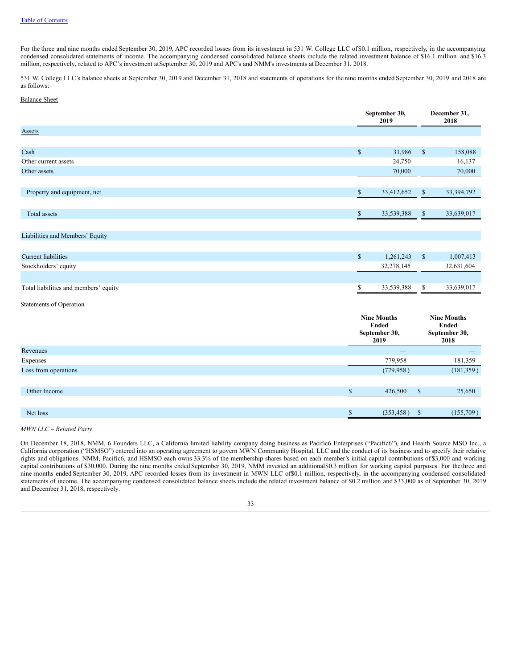For the three and nine months ended September 30, 2019, APC recorded losses from its investment in 531 W. College LLC of \$0.1 million, respectively, in the accompanying condensed consolidated statements of income. The accompanying condensed consolidated balance sheets include the related investment balance of \$16.1 million and \$16.3 million, respectively, related to APC's investment atSeptember 30, 2019 and APC's and NMM's investments at December 31, 2018.

531 W. College LLC's balance sheets at September 30, 2019 and December 31, 2018 and statements of operations for the nine months ended September 30, 2019 and 2018 are as follows:

## Balance Sheet

|                                       |              | September 30,<br>2019 |              | December 31,<br>2018 |
|---------------------------------------|--------------|-----------------------|--------------|----------------------|
| <b>Assets</b>                         |              |                       |              |                      |
|                                       |              |                       |              |                      |
| Cash                                  | $\mathbb{S}$ | 31,986                | $\mathbb{S}$ | 158,088              |
| Other current assets                  |              | 24,750                |              | 16,137               |
| Other assets                          |              | 70,000                |              | 70,000               |
|                                       |              |                       |              |                      |
| Property and equipment, net           | $\mathbb{S}$ | 33,412,652            | $\mathbb{S}$ | 33,394,792           |
|                                       |              |                       |              |                      |
| Total assets                          | \$           | 33,539,388            | $\mathbb{S}$ | 33,639,017           |
|                                       |              |                       |              |                      |
| Liabilities and Members' Equity       |              |                       |              |                      |
|                                       |              |                       |              |                      |
| <b>Current liabilities</b>            | $\mathbb{S}$ | 1,261,243             | $\mathbb{S}$ | 1,007,413            |
| Stockholders' equity                  |              | 32,278,145            |              | 32,631,604           |
|                                       |              |                       |              |                      |
| Total liabilities and members' equity | \$           | 33,539,388            | \$           | 33,639,017           |
| <b>Statements of Operation</b>        |              |                       |              |                      |

|                      | <b>Nine Months</b><br>Ended<br>September 30,<br>2019 | <b>Nine Months</b><br>Ended<br>September 30,<br>2018 |
|----------------------|------------------------------------------------------|------------------------------------------------------|
| Revenues             | $-$                                                  | _                                                    |
| Expenses             | 779,958                                              | 181,359                                              |
| Loss from operations | (779, 958)                                           | (181, 359)                                           |
|                      |                                                      |                                                      |
| Other Income         | $\sigma$<br>426,500                                  | 25,650<br><sup>S</sup>                               |
|                      |                                                      |                                                      |
| Net loss             | $\sigma$<br>(353, 458)                               | (155,709)<br>$^{\circ}$                              |

#### *MWN LLC – Related Party*

On December 18, 2018, NMM, 6 Founders LLC, a California limited liability company doing business as Pacific6 Enterprises ("Pacific6"), and Health Source MSO Inc., a California corporation ("HSMSO") entered into an operating agreement to govern MWN Community Hospital, LLC and the conduct of its business and to specify their relative rights and obligations. NMM, Pacific6, and HSMSO each owns 33.3% of the membership shares based on each member's initial capital contributions of \$3,000 and working capital contributions of \$30,000. During the nine months ended September 30, 2019, NMM invested an additional\$0.3 million for working capital purposes. For thethree and nine months ended September 30, 2019, APC recorded losses from its investment in MWN LLC of\$0.1 million, respectively, in the accompanying condensed consolidated statements of income. The accompanying condensed consolidated balance sheets include the related investment balance of \$0.2 million and \$33,000 as of September 30, 2019 and December 31, 2018, respectively.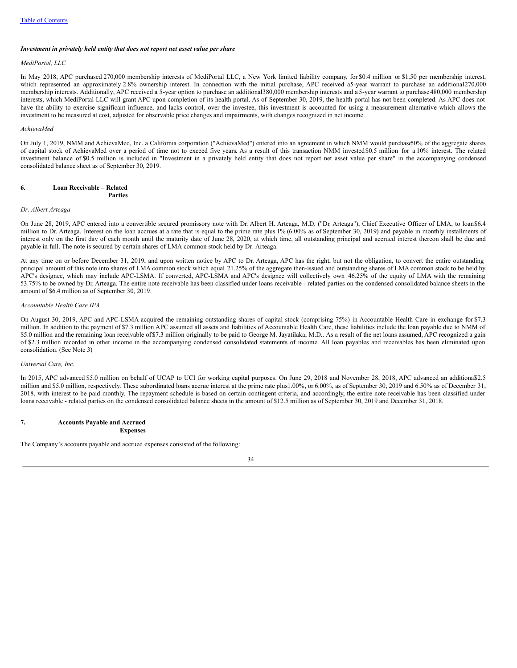#### *Investment in privately held entity that does not report net asset value per share*

#### *MediPortal, LLC*

In May 2018, APC purchased 270,000 membership interests of MediPortal LLC, a New York limited liability company, for \$0.4 million or \$1.50 per membership interest, which represented an approximately 2.8% ownership interest. In connection with the initial purchase, APC received a5-year warrant to purchase an additional270,000 membership interests. Additionally, APC received a 5-year option to purchase an additional380,000 membership interests and a 5-year warrant to purchase 480,000 membership interests, which MediPortal LLC will grant APC upon completion of its health portal. As of September 30, 2019, the health portal has not been completed. As APC does not have the ability to exercise significant influence, and lacks control, over the investee, this investment is accounted for using a measurement alternative which allows the investment to be measured at cost, adjusted for observable price changes and impairments, with changes recognized in net income.

#### *AchievaMed*

On July 1, 2019, NMM and AchievaMed, Inc. a California corporation ("AchievaMed") entered into an agreement in which NMM would purchase50% of the aggregate shares of capital stock of AchievaMed over a period of time not to exceed five years. As a result of this transaction NMM invested\$0.5 million for a 10% interest. The related investment balance of \$0.5 million is included in "Investment in a privately held entity that does not report net asset value per share" in the accompanying condensed consolidated balance sheet as of September 30, 2019.

#### **6. Loan Receivable – Related Parties**

# *Dr. Albert Arteaga*

On June 28, 2019, APC entered into a convertible secured promissory note with Dr. Albert H. Arteaga, M.D. ("Dr. Arteaga"), Chief Executive Officer of LMA, to loan\$6.4 million to Dr. Arteaga. Interest on the loan accrues at a rate that is equal to the prime rate plus 1% (6.00% as of September 30, 2019) and payable in monthly installments of interest only on the first day of each month until the maturity date of June 28, 2020, at which time, all outstanding principal and accrued interest thereon shall be due and payable in full. The note is secured by certain shares of LMA common stock held by Dr. Arteaga.

At any time on or before December 31, 2019, and upon written notice by APC to Dr. Arteaga, APC has the right, but not the obligation, to convert the entire outstanding principal amount of this note into shares of LMA common stock which equal 21.25% of the aggregate then-issued and outstanding shares of LMA common stock to be held by APC's designee, which may include APC-LSMA. If converted, APC-LSMA and APC's designee will collectively own 46.25% of the equity of LMA with the remaining 53.75% to be owned by Dr. Arteaga. The entire note receivable has been classified under loans receivable - related parties on the condensed consolidated balance sheets in the amount of \$6.4 million as of September 30, 2019.

# *Accountable Health Care IPA*

On August 30, 2019, APC and APC-LSMA acquired the remaining outstanding shares of capital stock (comprising 75%) in Accountable Health Care in exchange for \$7.3 million. In addition to the payment of \$7.3 million APC assumed all assets and liabilities of Accountable Health Care, these liabilities include the loan payable due to NMM of \$5.0 million and the remaining loan receivable of \$7.3 million originally to be paid to George M. Jayatilaka, M.D.. As a result of the net loans assumed, APC recognized a gain of \$2.3 million recorded in other income in the accompanying condensed consolidated statements of income. All loan payables and receivables has been eliminated upon consolidation. (See Note 3)

#### *Universal Care, Inc.*

In 2015, APC advanced \$5.0 million on behalf of UCAP to UCI for working capital purposes. On June 29, 2018 and November 28, 2018, APC advanced an additional \$2.5 million and \$5.0 million, respectively. These subordinated loans accrue interest at the prime rate plus1.00%, or 6.00%, as of September 30, 2019 and 6.50% as of December 31, 2018, with interest to be paid monthly. The repayment schedule is based on certain contingent criteria, and accordingly, the entire note receivable has been classified under loans receivable - related parties on the condensed consolidated balance sheets in the amount of \$12.5 million as of September 30, 2019 and December 31, 2018.

#### **7. Accounts Payable and Accrued Expenses**

The Company's accounts payable and accrued expenses consisted of the following:

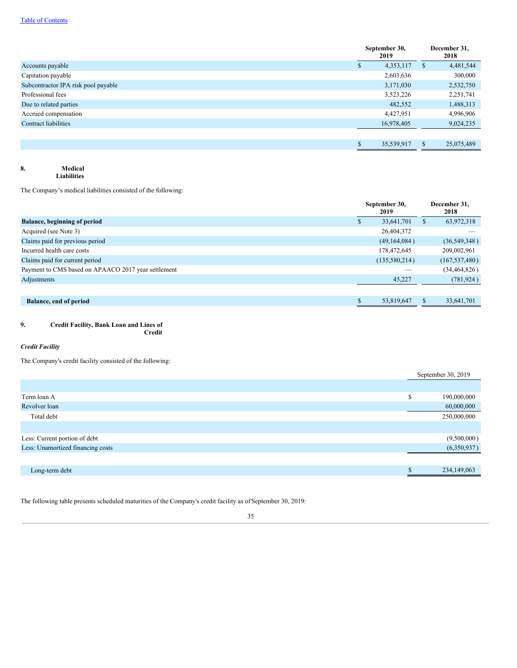|                                     | September 30,<br>2019 |              | December 31,<br>2018 |
|-------------------------------------|-----------------------|--------------|----------------------|
| Accounts payable                    | 4,353,117             | <sup>S</sup> | 4,481,544            |
| Capitation payable                  | 2,603,636             |              | 300,000              |
| Subcontractor IPA risk pool payable | 3,171,030             |              | 2,532,750            |
| Professional fees                   | 3,523,226             |              | 2,251,741            |
| Due to related parties              | 482,552               |              | 1,488,313            |
| Accrued compensation                | 4,427,951             |              | 4,996,906            |
| <b>Contract liabilities</b>         | 16,978,405            |              | 9,024,235            |
|                                     |                       |              |                      |
|                                     | 35,539,917            |              | 25,075,489           |

# **8. Medical Liabilities**

The Company's medical liabilities consisted of the following:

|                                                     | September 30,<br>2019 |   | December 31,<br>2018 |
|-----------------------------------------------------|-----------------------|---|----------------------|
| <b>Balance, beginning of period</b>                 | 33,641,701            | S | 63,972,318           |
| Acquired (see Note 3)                               | 26,404,372            |   |                      |
| Claims paid for previous period                     | (49, 164, 084)        |   | (36, 549, 348)       |
| Incurred health care costs                          | 178,472,645           |   | 209,002,961          |
| Claims paid for current period                      | (135,580,214)         |   | (167, 537, 480)      |
| Payment to CMS based on APAACO 2017 year settlement |                       |   | (34, 464, 826)       |
| Adjustments                                         | 45,227                |   | (781, 924)           |
|                                                     |                       |   |                      |
| <b>Balance, end of period</b>                       | 53,819,647            |   | 33,641,701           |

# **9. Credit Facility, Bank Loan and Lines of**

**Credit**

# *Credit Facility*

The Company's credit facility consisted of the following:

|                                   | September 30, 2019 |             |
|-----------------------------------|--------------------|-------------|
|                                   |                    |             |
| Term loan A                       | S                  | 190,000,000 |
| Revolver loan                     |                    | 60,000,000  |
| Total debt                        |                    | 250,000,000 |
|                                   |                    |             |
| Less: Current portion of debt     |                    | (9,500,000) |
| Less: Unamortized financing costs |                    | (6,350,937) |
|                                   |                    |             |
| Long-term debt                    |                    | 234,149,063 |

The following table presents scheduled maturities of the Company's credit facility as of September 30, 2019: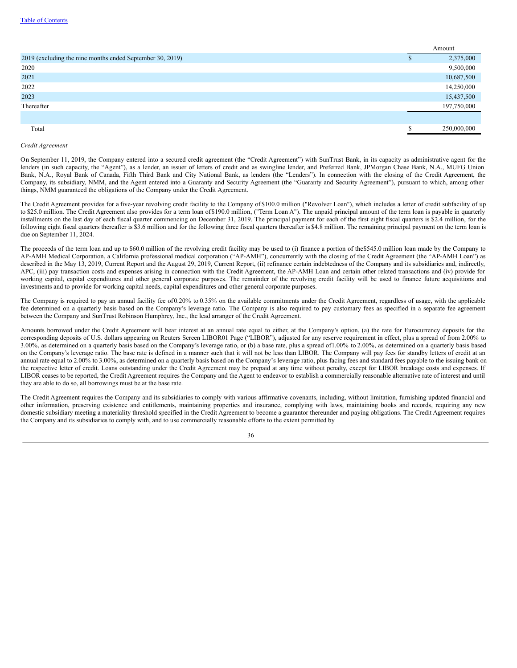|                                                           | Amount |             |
|-----------------------------------------------------------|--------|-------------|
| 2019 (excluding the nine months ended September 30, 2019) |        | 2,375,000   |
| 2020                                                      |        | 9,500,000   |
| 2021                                                      |        | 10,687,500  |
| 2022                                                      |        | 14,250,000  |
| 2023                                                      |        | 15,437,500  |
| Thereafter                                                |        | 197,750,000 |
|                                                           |        |             |
| Total                                                     |        | 250,000,000 |

#### *Credit Agreement*

On September 11, 2019, the Company entered into a secured credit agreement (the "Credit Agreement") with SunTrust Bank, in its capacity as administrative agent for the lenders (in such capacity, the "Agent"), as a lender, an issuer of letters of credit and as swingline lender, and Preferred Bank, JPMorgan Chase Bank, N.A., MUFG Union Bank, N.A., Royal Bank of Canada, Fifth Third Bank and City National Bank, as lenders (the "Lenders"). In connection with the closing of the Credit Agreement, the Company, its subsidiary, NMM, and the Agent entered into a Guaranty and Security Agreement (the "Guaranty and Security Agreement"), pursuant to which, among other things, NMM guaranteed the obligations of the Company under the Credit Agreement.

The Credit Agreement provides for a five-year revolving credit facility to the Company of \$100.0 million ("Revolver Loan"), which includes a letter of credit subfacility of up to \$25.0 million. The Credit Agreement also provides for a term loan of\$190.0 million, ("Term Loan A"). The unpaid principal amount of the term loan is payable in quarterly installments on the last day of each fiscal quarter commencing on December 31, 2019. The principal payment for each of the first eight fiscal quarters is \$2.4 million, for the following eight fiscal quarters thereafter is \$3.6 million and for the following three fiscal quarters thereafter is \$4.8 million. The remaining principal payment on the term loan is due on September 11, 2024.

The proceeds of the term loan and up to \$60.0 million of the revolving credit facility may be used to (i) finance a portion of the\$545.0 million loan made by the Company to AP-AMH Medical Corporation, a California professional medical corporation ("AP-AMH"), concurrently with the closing of the Credit Agreement (the "AP-AMH Loan") as described in the May 13, 2019, Current Report and the August 29, 2019, Current Report, (ii) refinance certain indebtedness of the Company and its subsidiaries and, indirectly, APC, (iii) pay transaction costs and expenses arising in connection with the Credit Agreement, the AP-AMH Loan and certain other related transactions and (iv) provide for working capital, capital expenditures and other general corporate purposes. The remainder of the revolving credit facility will be used to finance future acquisitions and investments and to provide for working capital needs, capital expenditures and other general corporate purposes.

The Company is required to pay an annual facility fee of0.20% to 0.35% on the available commitments under the Credit Agreement, regardless of usage, with the applicable fee determined on a quarterly basis based on the Company's leverage ratio. The Company is also required to pay customary fees as specified in a separate fee agreement between the Company and SunTrust Robinson Humphrey, Inc., the lead arranger of the Credit Agreement.

Amounts borrowed under the Credit Agreement will bear interest at an annual rate equal to either, at the Company's option, (a) the rate for Eurocurrency deposits for the corresponding deposits of U.S. dollars appearing on Reuters Screen LIBOR01 Page ("LIBOR"), adjusted for any reserve requirement in effect, plus a spread of from 2.00% to 3.00%, as determined on a quarterly basis based on the Company's leverage ratio, or (b) a base rate, plus a spread of1.00% to 2.00%, as determined on a quarterly basis based on the Company's leverage ratio. The base rate is defined in a manner such that it will not be less than LIBOR. The Company will pay fees for standby letters of credit at an annual rate equal to 2.00% to 3.00%, as determined on a quarterly basis based on the Company's leverage ratio, plus facing fees and standard fees payable to the issuing bank on the respective letter of credit. Loans outstanding under the Credit Agreement may be prepaid at any time without penalty, except for LIBOR breakage costs and expenses. If LIBOR ceases to be reported, the Credit Agreement requires the Company and the Agent to endeavor to establish a commercially reasonable alternative rate of interest and until they are able to do so, all borrowings must be at the base rate.

The Credit Agreement requires the Company and its subsidiaries to comply with various affirmative covenants, including, without limitation, furnishing updated financial and other information, preserving existence and entitlements, maintaining properties and insurance, complying with laws, maintaining books and records, requiring any new domestic subsidiary meeting a materiality threshold specified in the Credit Agreement to become a guarantor thereunder and paying obligations. The Credit Agreement requires the Company and its subsidiaries to comply with, and to use commercially reasonable efforts to the extent permitted by

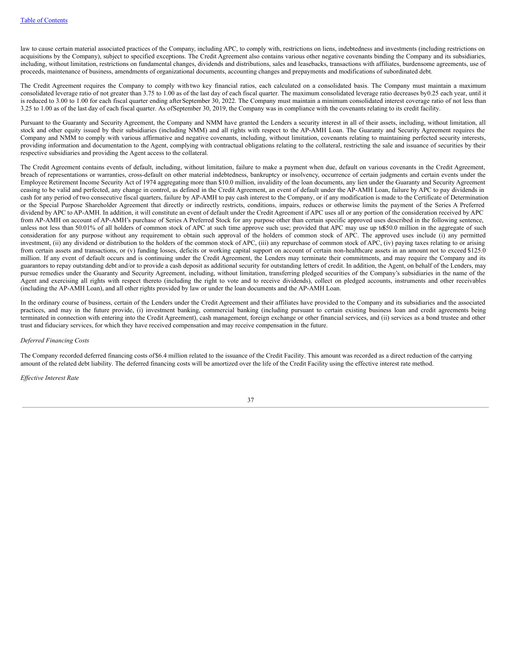law to cause certain material associated practices of the Company, including APC, to comply with, restrictions on liens, indebtedness and investments (including restrictions on acquisitions by the Company), subject to specified exceptions. The Credit Agreement also contains various other negative covenants binding the Company and its subsidiaries, including, without limitation, restrictions on fundamental changes, dividends and distributions, sales and leasebacks, transactions with affiliates, burdensome agreements, use of proceeds, maintenance of business, amendments of organizational documents, accounting changes and prepayments and modifications of subordinated debt.

The Credit Agreement requires the Company to comply with two key financial ratios, each calculated on a consolidated basis. The Company must maintain a maximum consolidated leverage ratio of not greater than 3.75 to 1.00 as of the last day of each fiscal quarter. The maximum consolidated leverage ratio decreases by0.25 each year, until it is reduced to 3.00 to 1.00 for each fiscal quarter ending after September 30, 2022. The Company must maintain a minimum consolidated interest coverage ratio of not less than 3.25 to 1.00 as of the last day of each fiscal quarter. As ofSeptember 30, 2019, the Company was in compliance with the covenants relating to its credit facility.

Pursuant to the Guaranty and Security Agreement, the Company and NMM have granted the Lenders a security interest in all of their assets, including, without limitation, all stock and other equity issued by their subsidiaries (including NMM) and all rights with respect to the AP-AMH Loan. The Guaranty and Security Agreement requires the Company and NMM to comply with various affirmative and negative covenants, including, without limitation, covenants relating to maintaining perfected security interests, providing information and documentation to the Agent, complying with contractual obligations relating to the collateral, restricting the sale and issuance of securities by their respective subsidiaries and providing the Agent access to the collateral.

The Credit Agreement contains events of default, including, without limitation, failure to make a payment when due, default on various covenants in the Credit Agreement, breach of representations or warranties, cross-default on other material indebtedness, bankruptcy or insolvency, occurrence of certain judgments and certain events under the Employee Retirement Income Security Act of 1974 aggregating more than \$10.0 million, invalidity of the loan documents, any lien under the Guaranty and Security Agreement ceasing to be valid and perfected, any change in control, as defined in the Credit Agreement, an event of default under the AP-AMH Loan, failure by APC to pay dividends in cash for any period of two consecutive fiscal quarters, failure by AP-AMH to pay cash interest to the Company, or if any modification is made to the Certificate of Determination or the Special Purpose Shareholder Agreement that directly or indirectly restricts, conditions, impairs, reduces or otherwise limits the payment of the Series A Preferred dividend by APC to AP-AMH. In addition, it will constitute an event of default under the Credit Agreement if APC uses all or any portion of the consideration received by APC from AP-AMH on account of AP-AMH's purchase of Series A Preferred Stock for any purpose other than certain specific approved uses described in the following sentence, unless not less than 50.01% of all holders of common stock of APC at such time approve such use; provided that APC may use up to\$50.0 million in the aggregate of such consideration for any purpose without any requirement to obtain such approval of the holders of common stock of APC. The approved uses include (i) any permitted investment, (ii) any dividend or distribution to the holders of the common stock of APC, (iii) any repurchase of common stock of APC, (iv) paying taxes relating to or arising from certain assets and transactions, or (v) funding losses, deficits or working capital support on account of certain non-healthcare assets in an amount not to exceed \$125.0 million. If any event of default occurs and is continuing under the Credit Agreement, the Lenders may terminate their commitments, and may require the Company and its guarantors to repay outstanding debt and/or to provide a cash deposit as additional security for outstanding letters of credit. In addition, the Agent, on behalf of the Lenders, may pursue remedies under the Guaranty and Security Agreement, including, without limitation, transferring pledged securities of the Company's subsidiaries in the name of the Agent and exercising all rights with respect thereto (including the right to vote and to receive dividends), collect on pledged accounts, instruments and other receivables (including the AP-AMH Loan), and all other rights provided by law or under the loan documents and the AP-AMH Loan.

In the ordinary course of business, certain of the Lenders under the Credit Agreement and their affiliates have provided to the Company and its subsidiaries and the associated practices, and may in the future provide, (i) investment banking, commercial banking (including pursuant to certain existing business loan and credit agreements being terminated in connection with entering into the Credit Agreement), cash management, foreign exchange or other financial services, and (ii) services as a bond trustee and other trust and fiduciary services, for which they have received compensation and may receive compensation in the future.

#### *Deferred Financing Costs*

The Company recorded deferred financing costs of\$6.4 million related to the issuance of the Credit Facility. This amount was recorded as a direct reduction of the carrying amount of the related debt liability. The deferred financing costs will be amortized over the life of the Credit Facility using the effective interest rate method.

*Ef ective Interest Rate*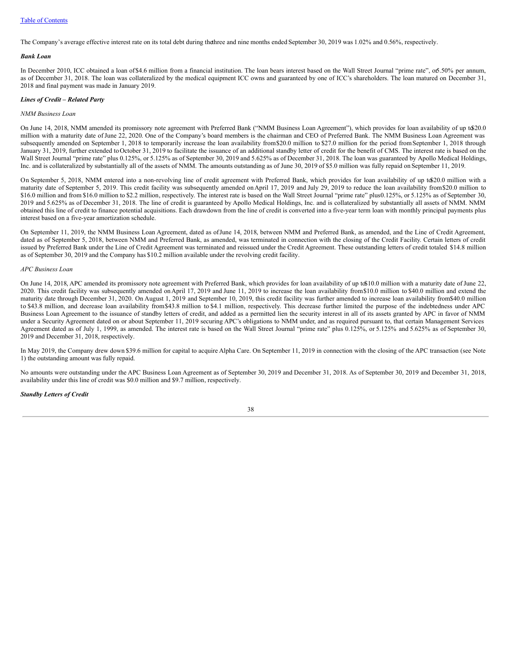The Company's average effective interest rate on its total debt during thethree and nine months ended September 30, 2019 was 1.02% and 0.56%, respectively.

#### *Bank Loan*

In December 2010, ICC obtained a loan of\$4.6 million from a financial institution. The loan bears interest based on the Wall Street Journal "prime rate", or5.50% per annum, as of December 31, 2018. The loan was collateralized by the medical equipment ICC owns and guaranteed by one of ICC's shareholders. The loan matured on December 31, 2018 and final payment was made in January 2019.

#### *Lines of Credit – Related Party*

#### *NMM Business Loan*

On June 14, 2018, NMM amended its promissory note agreement with Preferred Bank ("NMM Business Loan Agreement"), which provides for loan availability of up t\$20.0 million with a maturity date ofJune 22, 2020. One of the Company's board members is the chairman and CEO of Preferred Bank. The NMM Business Loan Agreement was subsequently amended on September 1, 2018 to temporarily increase the loan availability from\$20.0 million to \$27.0 million for the period fromSeptember 1, 2018 through January 31, 2019, further extended to October 31, 2019 to facilitate the issuance of an additional standby letter of credit for the benefit of CMS. The interest rate is based on the Wall Street Journal "prime rate" plus 0.125%, or 5.125% as of September 30, 2019 and 5.625% as of December 31, 2018. The loan was guaranteed by Apollo Medical Holdings, Inc. and is collateralized by substantially all of the assets of NMM. The amounts outstanding as of June 30, 2019 of \$5.0 million was fully repaid on September 11, 2019.

On September 5, 2018, NMM entered into a non-revolving line of credit agreement with Preferred Bank, which provides for loan availability of up to\$20.0 million with a maturity date of September 5, 2019. This credit facility was subsequently amended on April 17, 2019 and July 29, 2019 to reduce the loan availability from \$20.0 million to \$16.0 million and from \$16.0 million to \$2.2 million, respectively. The interest rate is based on the Wall Street Journal "prime rate" plus0.125%, or 5.125% as of September 30, 2019 and 5.625% as of December 31, 2018. The line of credit is guaranteed by Apollo Medical Holdings, Inc. and is collateralized by substantially all assets of NMM. NMM obtained this line of credit to finance potential acquisitions. Each drawdown from the line of credit is converted into a five-year term loan with monthly principal payments plus interest based on a five-year amortization schedule.

On September 11, 2019, the NMM Business Loan Agreement, dated as ofJune 14, 2018, between NMM and Preferred Bank, as amended, and the Line of Credit Agreement, dated as of September 5, 2018, between NMM and Preferred Bank, as amended, was terminated in connection with the closing of the Credit Facility. Certain letters of credit issued by Preferred Bank under the Line of Credit Agreement was terminated and reissued under the Credit Agreement. These outstanding letters of credit totaled \$14.8 million as of September 30, 2019 and the Company has \$10.2 million available under the revolving credit facility.

## *APC Business Loan*

On June 14, 2018, APC amended its promissory note agreement with Preferred Bank, which provides for loan availability of up to\$10.0 million with a maturity date ofJune 22, 2020. This credit facility was subsequently amended onApril 17, 2019 and June 11, 2019 to increase the loan availability from\$10.0 million to \$40.0 million and extend the maturity date through December 31, 2020. On August 1, 2019 and September 10, 2019, this credit facility was further amended to increase loan availability from\$40.0 million to \$43.8 million, and decrease loan availability from\$43.8 million to \$4.1 million, respectively. This decrease further limited the purpose of the indebtedness under APC Business Loan Agreement to the issuance of standby letters of credit, and added as a permitted lien the security interest in all of its assets granted by APC in favor of NMM under a Security Agreement dated on or about September 11, 2019 securing APC's obligations to NMM under, and as required pursuant to, that certain Management Services Agreement dated as of July 1, 1999, as amended. The interest rate is based on the Wall Street Journal "prime rate" plus 0.125%, or 5.125% and 5.625% as of September 30, 2019 and December 31, 2018, respectively.

In May 2019, the Company drew down \$39.6 million for capital to acquire Alpha Care. On September 11, 2019 in connection with the closing of the APC transaction (see Note 1) the outstanding amount was fully repaid.

No amounts were outstanding under the APC Business Loan Agreement as of September 30, 2019 and December 31, 2018. As of September 30, 2019 and December 31, 2018, availability under this line of credit was \$0.0 million and \$9.7 million, respectively.

## *Standby Letters of Credit*

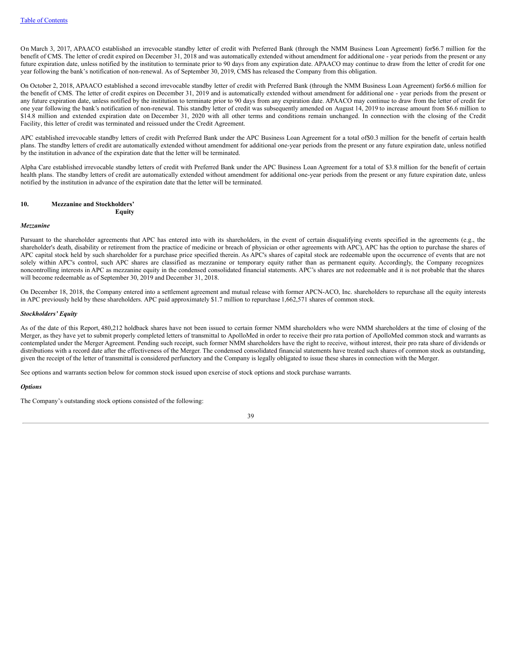On March 3, 2017, APAACO established an irrevocable standby letter of credit with Preferred Bank (through the NMM Business Loan Agreement) for\$6.7 million for the benefit of CMS. The letter of credit expired on December 31, 2018 and was automatically extended without amendment for additional one - year periods from the present or any future expiration date, unless notified by the institution to terminate prior to 90 days from any expiration date. APAACO may continue to draw from the letter of credit for one year following the bank's notification of non-renewal. As of September 30, 2019, CMS has released the Company from this obligation.

On October 2, 2018, APAACO established a second irrevocable standby letter of credit with Preferred Bank (through the NMM Business Loan Agreement) for\$6.6 million for the benefit of CMS. The letter of credit expires on December 31, 2019 and is automatically extended without amendment for additional one - year periods from the present or any future expiration date, unless notified by the institution to terminate prior to 90 days from any expiration date. APAACO may continue to draw from the letter of credit for one year following the bank's notification of non-renewal. This standby letter of credit was subsequently amended on August 14, 2019 to increase amount from \$6.6 million to \$14.8 million and extended expiration date on December 31, 2020 with all other terms and conditions remain unchanged. In connection with the closing of the Credit Facility, this letter of credit was terminated and reissued under the Credit Agreement.

APC established irrevocable standby letters of credit with Preferred Bank under the APC Business Loan Agreement for a total of\$0.3 million for the benefit of certain health plans. The standby letters of credit are automatically extended without amendment for additional one-year periods from the present or any future expiration date, unless notified by the institution in advance of the expiration date that the letter will be terminated.

Alpha Care established irrevocable standby letters of credit with Preferred Bank under the APC Business Loan Agreement for a total of \$3.8 million for the benefit of certain health plans. The standby letters of credit are automatically extended without amendment for additional one-year periods from the present or any future expiration date, unless notified by the institution in advance of the expiration date that the letter will be terminated.

#### **10. Mezzanine and Stockholders' Equity**

#### *Mezzanine*

Pursuant to the shareholder agreements that APC has entered into with its shareholders, in the event of certain disqualifying events specified in the agreements (e.g., the shareholder's death, disability or retirement from the practice of medicine or breach of physician or other agreements with APC), APC has the option to purchase the shares of APC capital stock held by such shareholder for a purchase price specified therein. As APC's shares of capital stock are redeemable upon the occurrence of events that are not solely within APC's control, such APC shares are classified as mezzanine or temporary equity rather than as permanent equity. Accordingly, the Company recognizes noncontrolling interests in APC as mezzanine equity in the condensed consolidated financial statements. APC's shares are not redeemable and it is not probable that the shares will become redeemable as of September 30, 2019 and December 31, 2018.

On December 18, 2018, the Company entered into a settlement agreement and mutual release with former APCN-ACO, Inc. shareholders to repurchase all the equity interests in APC previously held by these shareholders. APC paid approximately \$1.7 million to repurchase 1,662,571 shares of common stock.

## *Stockholders' Equity*

As of the date of this Report, 480,212 holdback shares have not been issued to certain former NMM shareholders who were NMM shareholders at the time of closing of the Merger, as they have yet to submit properly completed letters of transmittal to ApolloMed in order to receive their pro rata portion of ApolloMed common stock and warrants as contemplated under the Merger Agreement. Pending such receipt, such former NMM shareholders have the right to receive, without interest, their pro rata share of dividends or distributions with a record date after the effectiveness of the Merger. The condensed consolidated financial statements have treated such shares of common stock as outstanding, given the receipt of the letter of transmittal is considered perfunctory and the Company is legally obligated to issue these shares in connection with the Merger.

See options and warrants section below for common stock issued upon exercise of stock options and stock purchase warrants.

#### *Options*

The Company's outstanding stock options consisted of the following: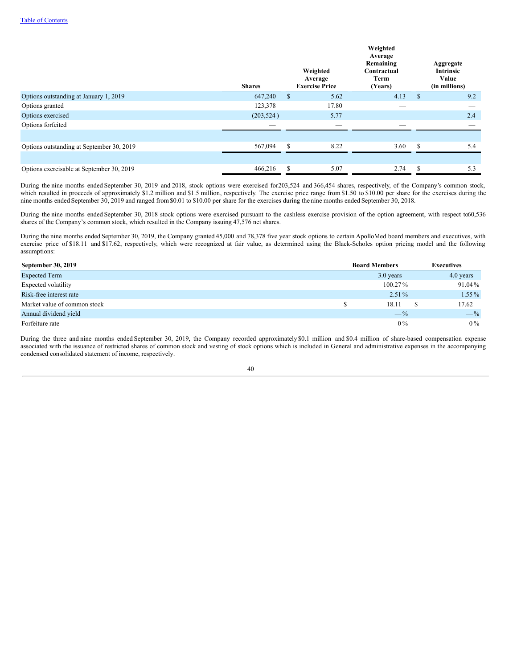|                                           | <b>Shares</b> |               | Weighted<br>Average<br><b>Exercise Price</b> | Weighted<br>Average<br>Remaining<br>Contractual<br>Term<br>(Years) |     | Aggregate<br><b>Intrinsic</b><br>Value<br>(in millions) |
|-------------------------------------------|---------------|---------------|----------------------------------------------|--------------------------------------------------------------------|-----|---------------------------------------------------------|
| Options outstanding at January 1, 2019    | 647,240       | <sup>\$</sup> | 5.62                                         | 4.13                                                               | \$  | 9.2                                                     |
| Options granted                           | 123,378       |               | 17.80                                        | _                                                                  |     | _                                                       |
| Options exercised                         | (203, 524)    |               | 5.77                                         |                                                                    |     | 2.4                                                     |
| Options forfeited                         |               |               |                                              |                                                                    |     |                                                         |
| Options outstanding at September 30, 2019 | 567,094       | \$.           | 8.22                                         | 3.60                                                               |     | 5.4                                                     |
|                                           |               |               |                                              |                                                                    |     |                                                         |
| Options exercisable at September 30, 2019 | 466,216       | \$.           | 5.07                                         | 2.74                                                               | \$. | 5.3                                                     |

During the nine months ended September 30, 2019 and 2018, stock options were exercised for203,524 and 366,454 shares, respectively, of the Company's common stock, which resulted in proceeds of approximately \$1.2 million and \$1.5 million, respectively. The exercise price range from \$1.50 to \$10.00 per share for the exercises during the nine months ended September 30, 2019 and ranged from \$0.01 to \$10.00 per share for the exercises during the nine months ended September 30, 2018.

During the nine months ended September 30, 2018 stock options were exercised pursuant to the cashless exercise provision of the option agreement, with respect to60,536 shares of the Company's common stock, which resulted in the Company issuing 47,576 net shares.

During the nine months ended September 30, 2019, the Company granted 45,000 and 78,378 five year stock options to certain ApolloMed board members and executives, with exercise price of \$18.11 and \$17.62, respectively, which were recognized at fair value, as determined using the Black-Scholes option pricing model and the following assumptions:

| September 30, 2019           | <b>Board Members</b> | <b>Executives</b> |  |  |
|------------------------------|----------------------|-------------------|--|--|
| <b>Expected Term</b>         | 3.0 years            | 4.0 years         |  |  |
| Expected volatility          | $100.27\%$           | 91.04%            |  |  |
| Risk-free interest rate      | $2.51\%$             | $1.55\%$          |  |  |
| Market value of common stock | 18.11                | 17.62             |  |  |
| Annual dividend yield        | $-$ %                | $-$ %             |  |  |
| Forfeiture rate              | $0\%$                | $0\%$             |  |  |

During the three and nine months ended September 30, 2019, the Company recorded approximately \$0.1 million and \$0.4 million of share-based compensation expense associated with the issuance of restricted shares of common stock and vesting of stock options which is included in General and administrative expenses in the accompanying condensed consolidated statement of income, respectively.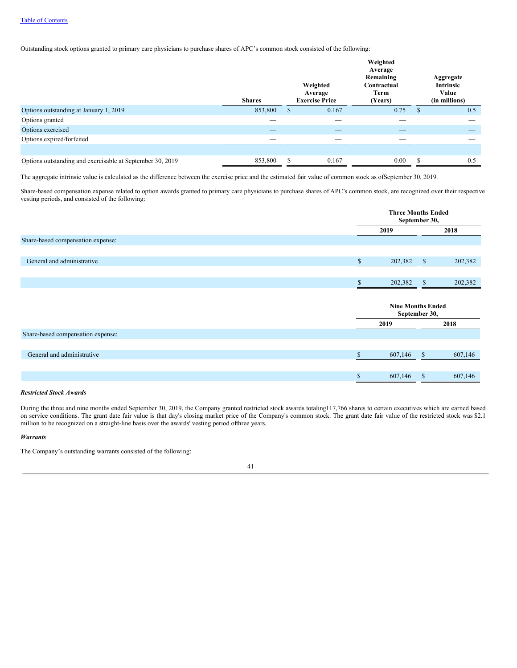Outstanding stock options granted to primary care physicians to purchase shares of APC's common stock consisted of the following:

|                                                           | <b>Shares</b>            | Weighted<br>Average<br><b>Exercise Price</b> |       | Weighted<br>Average<br>Remaining<br>Contractual<br>Term<br>(Years) |                    | Aggregate<br><b>Intrinsic</b><br>Value<br>(in millions) |
|-----------------------------------------------------------|--------------------------|----------------------------------------------|-------|--------------------------------------------------------------------|--------------------|---------------------------------------------------------|
| Options outstanding at January 1, 2019                    | 853,800                  | S                                            | 0.167 | 0.75                                                               | $\mathbf{\hat{s}}$ | 0.5                                                     |
| Options granted                                           | $\overline{\phantom{a}}$ |                                              | __    | _                                                                  |                    | __                                                      |
| Options exercised                                         |                          |                                              |       |                                                                    |                    |                                                         |
| Options expired/forfeited                                 |                          |                                              |       |                                                                    |                    |                                                         |
|                                                           |                          |                                              |       |                                                                    |                    |                                                         |
| Options outstanding and exercisable at September 30, 2019 | 853,800                  | S                                            | 0.167 | 0.00                                                               | <sup>\$</sup>      | 0.5                                                     |

The aggregate intrinsic value is calculated as the difference between the exercise price and the estimated fair value of common stock as ofSeptember 30, 2019.

Share-based compensation expense related to option awards granted to primary care physicians to purchase shares of APC's common stock, are recognized over their respective vesting periods, and consisted of the following:

|                                   |              | <b>Three Months Ended</b><br>September 30, |         |  |  |
|-----------------------------------|--------------|--------------------------------------------|---------|--|--|
|                                   | 2019         |                                            | 2018    |  |  |
| Share-based compensation expense: |              |                                            |         |  |  |
|                                   |              |                                            |         |  |  |
| General and administrative        | \$           | $\mathbb{S}$<br>202,382                    | 202,382 |  |  |
|                                   |              |                                            |         |  |  |
|                                   | \$           | 202,382<br>$\mathbb{S}$                    | 202,382 |  |  |
|                                   |              |                                            |         |  |  |
|                                   |              | <b>Nine Months Ended</b><br>September 30,  |         |  |  |
|                                   | 2019         |                                            | 2018    |  |  |
| Share-based compensation expense: |              |                                            |         |  |  |
|                                   |              |                                            |         |  |  |
| General and administrative        | $\mathbb{S}$ | 607,146<br>$\mathbb{S}$                    | 607,146 |  |  |
|                                   |              |                                            |         |  |  |
|                                   | \$           | 607,146<br>\$                              | 607,146 |  |  |

## *Restricted Stock Awards*

During the three and nine months ended September 30, 2019, the Company granted restricted stock awards totaling117,766 shares to certain executives which are earned based on service conditions. The grant date fair value is that day's closing market price of the Company's common stock. The grant date fair value of the restricted stock was \$2.1 million to be recognized on a straight-line basis over the awards' vesting period ofthree years.

#### *Warrants*

The Company's outstanding warrants consisted of the following: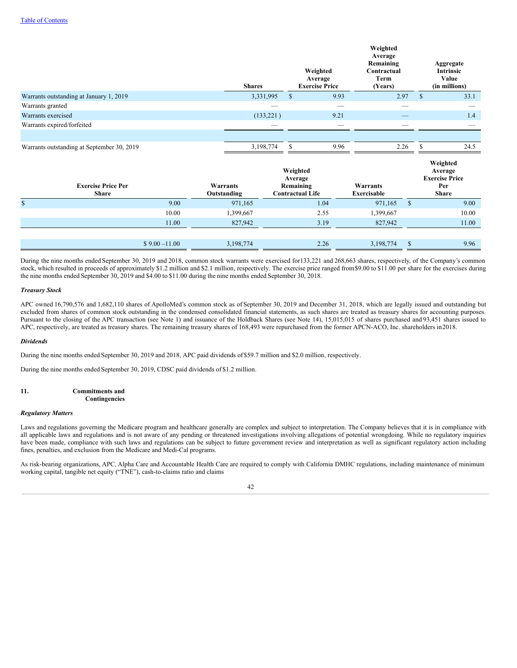|                                            |                         | Weighted<br>Average<br><b>Exercise Price</b><br><b>Shares</b> |                                                             |                          | Weighted<br>Average<br>Remaining<br>Contractual<br>Term<br>(Years) |               |                                                                     |       | Aggregate<br>Intrinsic<br>Value<br>(in millions) |  |  |  |  |  |  |     |
|--------------------------------------------|-------------------------|---------------------------------------------------------------|-------------------------------------------------------------|--------------------------|--------------------------------------------------------------------|---------------|---------------------------------------------------------------------|-------|--------------------------------------------------|--|--|--|--|--|--|-----|
| Warrants outstanding at January 1, 2019    |                         | 3,331,995<br>$\mathbb{S}$                                     |                                                             | 9.93                     | 2.97                                                               |               | $\mathsf{\$}$                                                       | 33.1  |                                                  |  |  |  |  |  |  |     |
| Warrants granted                           |                         | -                                                             |                                                             | $\overline{\phantom{a}}$ |                                                                    | -             |                                                                     |       |                                                  |  |  |  |  |  |  |     |
| Warrants exercised                         |                         | (133, 221)                                                    |                                                             | 9.21                     |                                                                    |               |                                                                     |       |                                                  |  |  |  |  |  |  | 1.4 |
| Warrants expired/forfeited                 |                         |                                                               |                                                             |                          |                                                                    |               |                                                                     |       |                                                  |  |  |  |  |  |  |     |
|                                            |                         |                                                               |                                                             |                          |                                                                    |               |                                                                     |       |                                                  |  |  |  |  |  |  |     |
| Warrants outstanding at September 30, 2019 |                         | 3,198,774<br>\$                                               |                                                             | 9.96                     | 2.26                                                               |               | \$                                                                  | 24.5  |                                                  |  |  |  |  |  |  |     |
| <b>Exercise Price Per</b><br><b>Share</b>  | Warrants<br>Outstanding |                                                               | Weighted<br>Average<br>Remaining<br><b>Contractual Life</b> |                          | Warrants<br>Exercisable                                            |               | Weighted<br>Average<br><b>Exercise Price</b><br>Per<br><b>Share</b> |       |                                                  |  |  |  |  |  |  |     |
| $\mathbb{S}$<br>9.00                       | 971,165                 |                                                               | 1.04                                                        |                          | 971,165                                                            | $\mathsf{\$}$ |                                                                     | 9.00  |                                                  |  |  |  |  |  |  |     |
| 10.00                                      | 1,399,667               |                                                               | 2.55                                                        |                          | 1,399,667                                                          |               |                                                                     | 10.00 |                                                  |  |  |  |  |  |  |     |
| 11.00                                      | 827,942                 |                                                               | 3.19                                                        |                          | 827,942                                                            |               |                                                                     | 11.00 |                                                  |  |  |  |  |  |  |     |
| $$9.00 - 11.00$                            |                         |                                                               | 2.26                                                        |                          |                                                                    |               |                                                                     | 9.96  |                                                  |  |  |  |  |  |  |     |
|                                            | 3,198,774               |                                                               |                                                             |                          | 3,198,774                                                          | \$            |                                                                     |       |                                                  |  |  |  |  |  |  |     |

During the nine months ended September 30, 2019 and 2018, common stock warrants were exercised for133,221 and 268,663 shares, respectively, of the Company's common stock, which resulted in proceeds of approximately \$1.2 million and \$2.1 million, respectively. The exercise price ranged from \$9.00 to \$11.00 per share for the exercises during the nine months ended September 30, 2019 and \$4.00 to \$11.00 during the nine months ended September 30, 2018.

## *Treasury Stock*

APC owned 16,790,576 and 1,682,110 shares of ApolloMed's common stock as of September 30, 2019 and December 31, 2018, which are legally issued and outstanding but excluded from shares of common stock outstanding in the condensed consolidated financial statements, as such shares are treated as treasury shares for accounting purposes. Pursuant to the closing of the APC transaction (see Note 1) and issuance of the Holdback Shares (see Note 14), 15,015,015 of shares purchased and 93,451 shares issued to APC, respectively, are treated as treasury shares. The remaining treasury shares of 168,493 were repurchased from the former APCN-ACO, Inc. shareholders in2018.

## *Dividends*

During the nine months ended September 30, 2019 and 2018, APC paid dividends of \$59.7 million and \$2.0 million, respectively.

During the nine months ended September 30, 2019, CDSC paid dividends of \$1.2 million.

#### **11. Commitments and Contingencies**

## *Regulatory Matters*

Laws and regulations governing the Medicare program and healthcare generally are complex and subject to interpretation. The Company believes that it is in compliance with all applicable laws and regulations and is not aware of any pending or threatened investigations involving allegations of potential wrongdoing. While no regulatory inquiries have been made, compliance with such laws and regulations can be subject to future government review and interpretation as well as significant regulatory action including fines, penalties, and exclusion from the Medicare and Medi-Cal programs.

As risk-bearing organizations, APC, Alpha Care and Accountable Health Care are required to comply with California DMHC regulations, including maintenance of minimum working capital, tangible net equity ("TNE"), cash-to-claims ratio and claims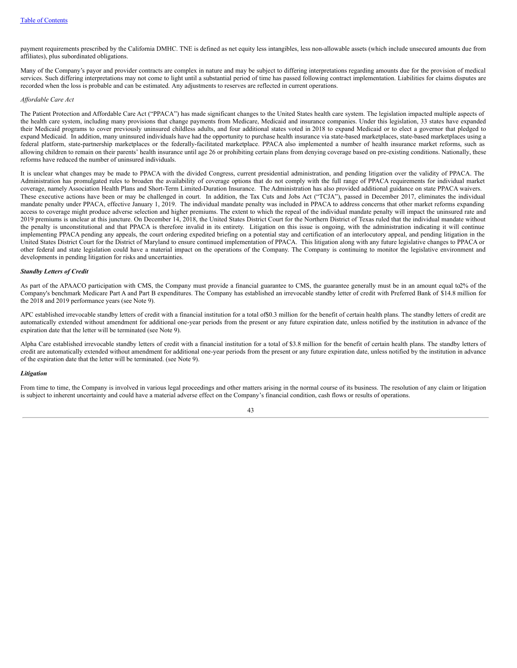payment requirements prescribed by the California DMHC. TNE is defined as net equity less intangibles, less non-allowable assets (which include unsecured amounts due from affiliates), plus subordinated obligations.

Many of the Company's payor and provider contracts are complex in nature and may be subject to differing interpretations regarding amounts due for the provision of medical services. Such differing interpretations may not come to light until a substantial period of time has passed following contract implementation. Liabilities for claims disputes are recorded when the loss is probable and can be estimated. Any adjustments to reserves are reflected in current operations.

#### *Af ordable Care Act*

The Patient Protection and Affordable Care Act ("PPACA") has made significant changes to the United States health care system. The legislation impacted multiple aspects of the health care system, including many provisions that change payments from Medicare, Medicaid and insurance companies. Under this legislation, 33 states have expanded their Medicaid programs to cover previously uninsured childless adults, and four additional states voted in 2018 to expand Medicaid or to elect a governor that pledged to expand Medicaid. In addition, many uninsured individuals have had the opportunity to purchase health insurance via state-based marketplaces, state-based marketplaces using a federal platform, state-partnership marketplaces or the federally-facilitated marketplace. PPACA also implemented a number of health insurance market reforms, such as allowing children to remain on their parents' health insurance until age 26 or prohibiting certain plans from denying coverage based on pre-existing conditions. Nationally, these reforms have reduced the number of uninsured individuals.

It is unclear what changes may be made to PPACA with the divided Congress, current presidential administration, and pending litigation over the validity of PPACA. The Administration has promulgated rules to broaden the availability of coverage options that do not comply with the full range of PPACA requirements for individual market coverage, namely Association Health Plans and Short-Term Limited-Duration Insurance. The Administration has also provided additional guidance on state PPACA waivers. These executive actions have been or may be challenged in court. In addition, the Tax Cuts and Jobs Act ("TCJA"), passed in December 2017, eliminates the individual mandate penalty under PPACA, effective January 1, 2019. The individual mandate penalty was included in PPACA to address concerns that other market reforms expanding access to coverage might produce adverse selection and higher premiums. The extent to which the repeal of the individual mandate penalty will impact the uninsured rate and 2019 premiums is unclear at this juncture. On December 14, 2018, the United States District Court for the Northern District of Texas ruled that the individual mandate without the penalty is unconstitutional and that PPACA is therefore invalid in its entirety. Litigation on this issue is ongoing, with the administration indicating it will continue implementing PPACA pending any appeals, the court ordering expedited briefing on a potential stay and certification of an interlocutory appeal, and pending litigation in the United States District Court for the District of Maryland to ensure continued implementation of PPACA. This litigation along with any future legislative changes to PPACA or other federal and state legislation could have a material impact on the operations of the Company. The Company is continuing to monitor the legislative environment and developments in pending litigation for risks and uncertainties.

#### *Standby Letters of Credit*

As part of the APAACO participation with CMS, the Company must provide a financial guarantee to CMS, the guarantee generally must be in an amount equal to2% of the Company's benchmark Medicare Part A and Part B expenditures. The Company has established an irrevocable standby letter of credit with Preferred Bank of \$14.8 million for the 2018 and 2019 performance years (see Note 9).

APC established irrevocable standby letters of credit with a financial institution for a total of\$0.3 million for the benefit of certain health plans. The standby letters of credit are automatically extended without amendment for additional one-year periods from the present or any future expiration date, unless notified by the institution in advance of the expiration date that the letter will be terminated (see Note 9).

Alpha Care established irrevocable standby letters of credit with a financial institution for a total of \$3.8 million for the benefit of certain health plans. The standby letters of credit are automatically extended without amendment for additional one-year periods from the present or any future expiration date, unless notified by the institution in advance of the expiration date that the letter will be terminated. (see Note 9).

#### *Litigation*

From time to time, the Company is involved in various legal proceedings and other matters arising in the normal course of its business. The resolution of any claim or litigation is subject to inherent uncertainty and could have a material adverse effect on the Company's financial condition, cash flows or results of operations.

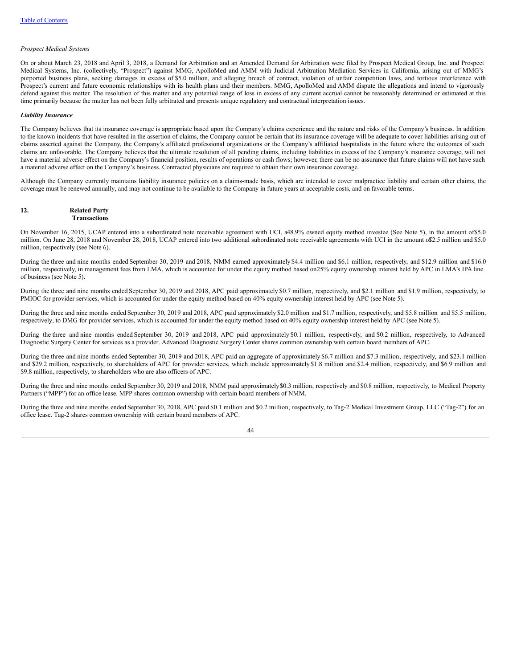#### *Prospect Medical Systems*

On or about March 23, 2018 and April 3, 2018, a Demand for Arbitration and an Amended Demand for Arbitration were filed by Prospect Medical Group, Inc. and Prospect Medical Systems, Inc. (collectively, "Prospect") against MMG, ApolloMed and AMM with Judicial Arbitration Mediation Services in California, arising out of MMG's purported business plans, seeking damages in excess of \$5.0 million, and alleging breach of contract, violation of unfair competition laws, and tortious interference with Prospect's current and future economic relationships with its health plans and their members. MMG, ApolloMed and AMM dispute the allegations and intend to vigorously defend against this matter. The resolution of this matter and any potential range of loss in excess of any current accrual cannot be reasonably determined or estimated at this time primarily because the matter has not been fully arbitrated and presents unique regulatory and contractual interpretation issues.

#### *Liability Insurance*

The Company believes that its insurance coverage is appropriate based upon the Company's claims experience and the nature and risks of the Company's business. In addition to the known incidents that have resulted in the assertion of claims, the Company cannot be certain that its insurance coverage will be adequate to cover liabilities arising out of claims asserted against the Company, the Company's affiliated professional organizations or the Company's affiliated hospitalists in the future where the outcomes of such claims are unfavorable. The Company believes that the ultimate resolution of all pending claims, including liabilities in excess of the Company's insurance coverage, will not have a material adverse effect on the Company's financial position, results of operations or cash flows; however, there can be no assurance that future claims will not have such a material adverse effect on the Company's business. Contracted physicians are required to obtain their own insurance coverage.

Although the Company currently maintains liability insurance policies on a claims-made basis, which are intended to cover malpractice liability and certain other claims, the coverage must be renewed annually, and may not continue to be available to the Company in future years at acceptable costs, and on favorable terms.

#### **12. Related Party Transactions**

On November 16, 2015, UCAP entered into a subordinated note receivable agreement with UCI, a48.9% owned equity method investee (See Note 5), in the amount of\$5.0 million. On June 28, 2018 and November 28, 2018, UCAP entered into two additional subordinated note receivable agreements with UCI in the amount o\$2.5 million and \$5.0 million, respectively (see Note 6).

During the three and nine months ended September 30, 2019 and 2018, NMM earned approximately \$4.4 million and \$6.1 million, respectively, and \$12.9 million and \$16.0 million, respectively, in management fees from LMA, which is accounted for under the equity method based on25% equity ownership interest held by APC in LMA's IPA line of business (see Note 5).

During the three and nine months ended September 30, 2019 and 2018, APC paid approximately \$0.7 million, respectively, and \$2.1 million and \$1.9 million, respectively, to PMIOC for provider services, which is accounted for under the equity method based on 40% equity ownership interest held by APC (see Note 5).

During the three and nine months ended September 30, 2019 and 2018, APC paid approximately \$2.0 million and \$1.7 million, respectively, and \$5.8 million and \$5.5 million, respectively, to DMG for provider services, which is accounted for under the equity method based on 40% equity ownership interest held by APC (see Note 5).

During the three and nine months ended September 30, 2019 and 2018, APC paid approximately \$0.1 million, respectively, and \$0.2 million, respectively, to Advanced Diagnostic Surgery Center for services as a provider. Advanced Diagnostic Surgery Center shares common ownership with certain board members of APC.

During the three and nine months ended September 30, 2019 and 2018, APC paid an aggregate of approximately \$6.7 million and \$7.3 million, respectively, and \$23.1 million and \$29.2 million, respectively, to shareholders of APC for provider services, which include approximately \$1.8 million and \$2.4 million, respectively, and \$6.9 million and \$9.8 million, respectively, to shareholders who are also officers of APC.

During the three and nine months ended September 30, 2019 and 2018, NMM paid approximately\$0.3 million, respectively and \$0.8 million, respectively, to Medical Property Partners ("MPP") for an office lease. MPP shares common ownership with certain board members of NMM.

During the three and nine months ended September 30, 2018, APC paid \$0.1 million and \$0.2 million, respectively, to Tag-2 Medical Investment Group, LLC ("Tag-2") for an office lease. Tag-2 shares common ownership with certain board members of APC.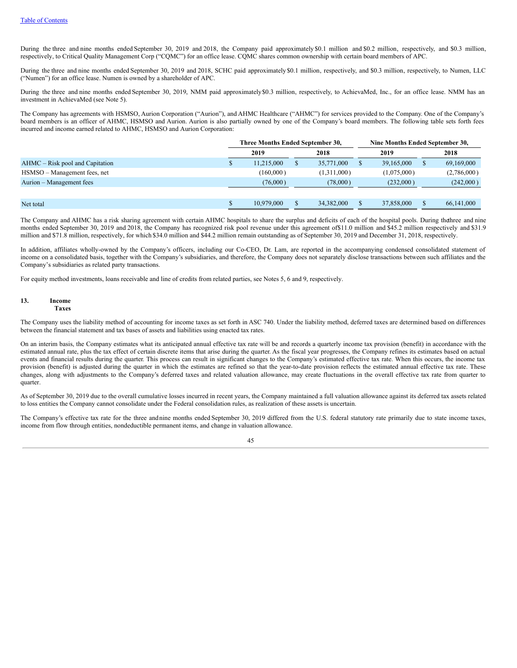During the three and nine months ended September 30, 2019 and 2018, the Company paid approximately \$0.1 million and \$0.2 million, respectively, and \$0.3 million, respectively, to Critical Quality Management Corp ("CQMC") for an office lease. CQMC shares common ownership with certain board members of APC.

During the three and nine months ended September 30, 2019 and 2018, SCHC paid approximately \$0.1 million, respectively, and \$0.3 million, respectively, to Numen, LLC ("Numen") for an office lease. Numen is owned by a shareholder of APC.

During the three and nine months ended September 30, 2019, NMM paid approximately \$0.3 million, respectively, to AchievaMed, Inc., for an office lease. NMM has an investment in AchievaMed (see Note 5).

The Company has agreements with HSMSO, Aurion Corporation ("Aurion"), and AHMC Healthcare ("AHMC") for services provided to the Company. One of the Company's board members is an officer of AHMC, HSMSO and Aurion. Aurion is also partially owned by one of the Company's board members. The following table sets forth fees incurred and income earned related to AHMC, HSMSO and Aurion Corporation:

|                                 | Three Months Ended September 30, |            |  | Nine Months Ended September 30, |  |             |  |             |
|---------------------------------|----------------------------------|------------|--|---------------------------------|--|-------------|--|-------------|
|                                 |                                  | 2019       |  | 2018                            |  | 2019        |  | 2018        |
| AHMC – Risk pool and Capitation |                                  | 11.215,000 |  | 35,771,000                      |  | 39,165,000  |  | 69,169,000  |
| HSMSO – Management fees, net    |                                  | (160,000)  |  | (1,311,000)                     |  | (1,075,000) |  | (2,786,000) |
| Aurion – Management fees        |                                  | (76,000)   |  | (78,000)                        |  | (232,000)   |  | (242,000)   |
|                                 |                                  |            |  |                                 |  |             |  |             |
| Net total                       |                                  | 10.979,000 |  | 34,382,000                      |  | 37,858,000  |  | 66,141,000  |

The Company and AHMC has a risk sharing agreement with certain AHMC hospitals to share the surplus and deficits of each of the hospital pools. During thethree and nine months ended September 30, 2019 and 2018, the Company has recognized risk pool revenue under this agreement of\$11.0 million and \$45.2 million respectively and \$31.9 million and \$71.8 million, respectively, for which \$34.0 million and \$44.2 million remain outstanding as of September 30, 2019 and December 31, 2018, respectively.

In addition, affiliates wholly-owned by the Company's officers, including our Co-CEO, Dr. Lam, are reported in the accompanying condensed consolidated statement of income on a consolidated basis, together with the Company's subsidiaries, and therefore, the Company does not separately disclose transactions between such affiliates and the Company's subsidiaries as related party transactions.

For equity method investments, loans receivable and line of credits from related parties, see Notes 5, 6 and 9, respectively.

## **13. Income Taxes**

The Company uses the liability method of accounting for income taxes as set forth in ASC 740. Under the liability method, deferred taxes are determined based on differences between the financial statement and tax bases of assets and liabilities using enacted tax rates.

On an interim basis, the Company estimates what its anticipated annual effective tax rate will be and records a quarterly income tax provision (benefit) in accordance with the estimated annual rate, plus the tax effect of certain discrete items that arise during the quarter. As the fiscal year progresses, the Company refines its estimates based on actual events and financial results during the quarter. This process can result in significant changes to the Company's estimated effective tax rate. When this occurs, the income tax provision (benefit) is adjusted during the quarter in which the estimates are refined so that the year-to-date provision reflects the estimated annual effective tax rate. These changes, along with adjustments to the Company's deferred taxes and related valuation allowance, may create fluctuations in the overall effective tax rate from quarter to quarter.

As of September 30, 2019 due to the overall cumulative losses incurred in recent years, the Company maintained a full valuation allowance against its deferred tax assets related to loss entities the Company cannot consolidate under the Federal consolidation rules, as realization of these assets is uncertain.

The Company's effective tax rate for the three andnine months ended September 30, 2019 differed from the U.S. federal statutory rate primarily due to state income taxes, income from flow through entities, nondeductible permanent items, and change in valuation allowance.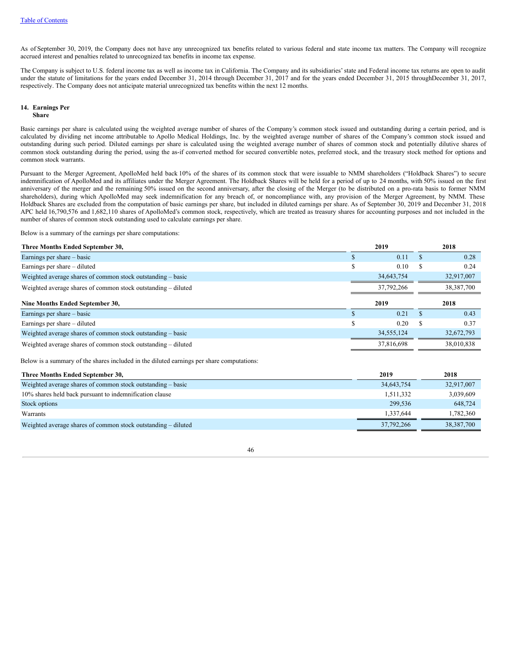As of September 30, 2019, the Company does not have any unrecognized tax benefits related to various federal and state income tax matters. The Company will recognize accrued interest and penalties related to unrecognized tax benefits in income tax expense.

The Company is subject to U.S. federal income tax as well as income tax in California. The Company and its subsidiaries' state and Federal income tax returns are open to audit under the statute of limitations for the years ended December 31, 2014 through December 31, 2017 and for the years ended December 31, 2015 throughDecember 31, 2017, respectively. The Company does not anticipate material unrecognized tax benefits within the next 12 months.

#### **14. Earnings Per Share**

Basic earnings per share is calculated using the weighted average number of shares of the Company's common stock issued and outstanding during a certain period, and is calculated by dividing net income attributable to Apollo Medical Holdings, Inc. by the weighted average number of shares of the Company's common stock issued and outstanding during such period. Diluted earnings per share is calculated using the weighted average number of shares of common stock and potentially dilutive shares of common stock outstanding during the period, using the as-if converted method for secured convertible notes, preferred stock, and the treasury stock method for options and common stock warrants.

Pursuant to the Merger Agreement, ApolloMed held back 10% of the shares of its common stock that were issuable to NMM shareholders ("Holdback Shares") to secure indemnification of ApolloMed and its affiliates under the Merger Agreement. The Holdback Shares will be held for a period of up to 24 months, with 50% issued on the first anniversary of the merger and the remaining 50% issued on the second anniversary, after the closing of the Merger (to be distributed on a pro-rata basis to former NMM shareholders), during which ApolloMed may seek indemnification for any breach of, or noncompliance with, any provision of the Merger Agreement, by NMM. These Holdback Shares are excluded from the computation of basic earnings per share, but included in diluted earnings per share. As of September 30, 2019 and December 31, 2018 APC held 16,790,576 and 1,682,110 shares of ApolloMed's common stock, respectively, which are treated as treasury shares for accounting purposes and not included in the number of shares of common stock outstanding used to calculate earnings per share.

Below is a summary of the earnings per share computations:

| Three Months Ended September 30,                              |   | 2019       |  | 2018         |
|---------------------------------------------------------------|---|------------|--|--------------|
| Earnings per share $-$ basic                                  |   | 0.11       |  | 0.28         |
| Earnings per share – diluted                                  | S | 0.10       |  | 0.24         |
| Weighted average shares of common stock outstanding – basic   |   | 34,643,754 |  | 32,917,007   |
| Weighted average shares of common stock outstanding – diluted |   | 37,792,266 |  | 38, 387, 700 |
| Nine Months Ended September 30,                               |   | 2019       |  | 2018         |
|                                                               |   |            |  |              |
| Earnings per share – basic                                    |   | 0.21       |  | 0.43         |
| Earnings per share – diluted                                  |   | 0.20       |  | 0.37         |
| Weighted average shares of common stock outstanding – basic   |   | 34,555,124 |  | 32,672,793   |

Below is a summary of the shares included in the diluted earnings per share computations:

| Three Months Ended September 30,                              | 2019       | 2018         |
|---------------------------------------------------------------|------------|--------------|
| Weighted average shares of common stock outstanding – basic   | 34,643,754 | 32,917,007   |
| 10% shares held back pursuant to indemnification clause       | 1,511,332  | 3,039,609    |
| Stock options                                                 | 299,536    | 648,724      |
| Warrants                                                      | 1.337.644  | 1,782,360    |
| Weighted average shares of common stock outstanding – diluted | 37,792,266 | 38, 387, 700 |

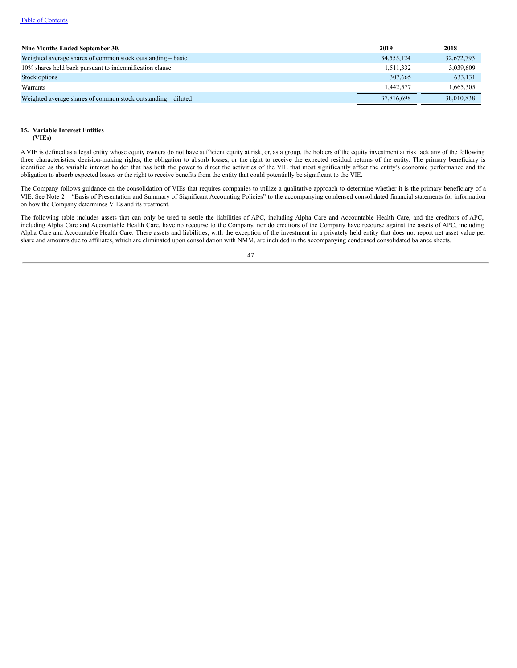### Table of [Contents](#page-1-0)

| Nine Months Ended September 30,                               | 2019       | 2018       |
|---------------------------------------------------------------|------------|------------|
| Weighted average shares of common stock outstanding – basic   | 34.555.124 | 32,672,793 |
| 10% shares held back pursuant to indemnification clause       | 1,511,332  | 3,039,609  |
| Stock options                                                 | 307.665    | 633,131    |
| Warrants                                                      | 1.442.577  | 1.665.305  |
| Weighted average shares of common stock outstanding – diluted | 37,816,698 | 38,010,838 |

# **15. Variable Interest Entities**

**(VIEs)**

A VIE is defined as a legal entity whose equity owners do not have sufficient equity at risk, or, as a group, the holders of the equity investment at risk lack any of the following three characteristics: decision-making rights, the obligation to absorb losses, or the right to receive the expected residual returns of the entity. The primary beneficiary is identified as the variable interest holder that has both the power to direct the activities of the VIE that most significantly affect the entity's economic performance and the obligation to absorb expected losses or the right to receive benefits from the entity that could potentially be significant to the VIE.

The Company follows guidance on the consolidation of VIEs that requires companies to utilize a qualitative approach to determine whether it is the primary beneficiary of a VIE. See Note 2 – "Basis of Presentation and Summary of Significant Accounting Policies" to the accompanying condensed consolidated financial statements for information on how the Company determines VIEs and its treatment.

The following table includes assets that can only be used to settle the liabilities of APC, including Alpha Care and Accountable Health Care, and the creditors of APC, including Alpha Care and Accountable Health Care, have no recourse to the Company, nor do creditors of the Company have recourse against the assets of APC, including Alpha Care and Accountable Health Care. These assets and liabilities, with the exception of the investment in a privately held entity that does not report net asset value per share and amounts due to affiliates, which are eliminated upon consolidation with NMM, are included in the accompanying condensed consolidated balance sheets.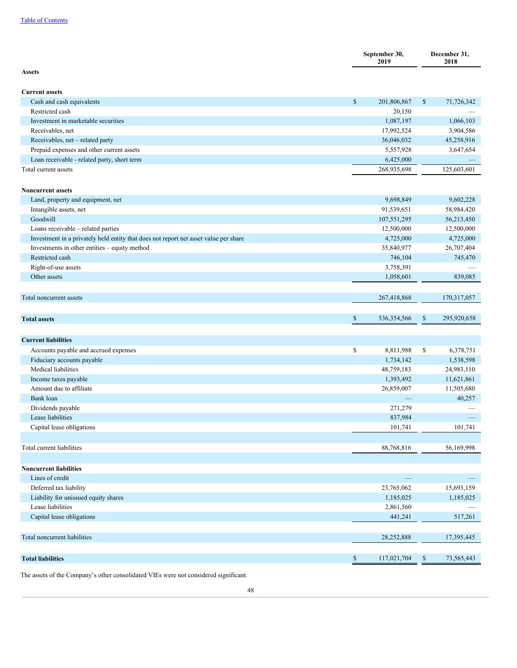|                                                                                      | September 30,<br>2019 |               | December 31,<br>2018 |             |
|--------------------------------------------------------------------------------------|-----------------------|---------------|----------------------|-------------|
| <b>Assets</b>                                                                        |                       |               |                      |             |
| <b>Current assets</b>                                                                |                       |               |                      |             |
| Cash and cash equivalents                                                            | $\mathbb{S}$          | 201,806,867   | $\mathbb{S}$         | 71,726,342  |
| Restricted cash                                                                      |                       | 20,150        |                      |             |
| Investment in marketable securities                                                  |                       | 1,087,197     |                      | 1,066,103   |
| Receivables, net                                                                     |                       | 17,992,524    |                      | 3,904,586   |
| Receivables, net - related party                                                     |                       | 36,046,032    |                      | 45,258,916  |
| Prepaid expenses and other current assets                                            |                       | 5,557,928     |                      | 3,647,654   |
| Loan receivable - related party, short term                                          |                       | 6,425,000     |                      |             |
| Total current assets                                                                 |                       | 268,935,698   |                      | 125,603,601 |
|                                                                                      |                       |               |                      |             |
| <b>Noncurrent assets</b>                                                             |                       |               |                      |             |
| Land, property and equipment, net                                                    |                       | 9,698,849     |                      | 9,602,228   |
| Intangible assets, net                                                               |                       | 91,539,651    |                      | 58,984,420  |
| Goodwill                                                                             |                       | 107,551,295   |                      | 56,213,450  |
| Loans receivable - related parties                                                   |                       | 12,500,000    |                      | 12,500,000  |
| Investment in a privately held entity that does not report net asset value per share |                       | 4,725,000     |                      | 4,725,000   |
| Investments in other entities - equity method                                        |                       | 35,840,977    |                      | 26,707,404  |
| Restricted cash                                                                      |                       |               |                      |             |
|                                                                                      |                       | 746,104       |                      | 745,470     |
| Right-of-use assets<br>Other assets                                                  |                       | 3,758,391     |                      |             |
|                                                                                      |                       | 1,058,601     |                      | 839,085     |
| Total noncurrent assets                                                              |                       | 267,418,868   |                      | 170,317,057 |
|                                                                                      |                       |               |                      |             |
|                                                                                      |                       |               |                      |             |
| <b>Total assets</b>                                                                  | $\mathbb{S}$          | 536, 354, 566 | $\mathbb{S}$         | 295,920,658 |
|                                                                                      |                       |               |                      |             |
| <b>Current liabilities</b>                                                           |                       |               |                      |             |
| Accounts payable and accrued expenses                                                | \$                    | 8,811,988     | \$                   | 6,378,751   |
| Fiduciary accounts payable                                                           |                       | 1,734,142     |                      | 1,538,598   |
| Medical liabilities                                                                  |                       | 48,759,183    |                      | 24,983,110  |
| Income taxes payable                                                                 |                       | 1,393,492     |                      | 11,621,861  |
| Amount due to affiliate                                                              |                       | 26,859,007    |                      | 11,505,680  |
| Bank loan                                                                            |                       |               |                      | 40,257      |
|                                                                                      |                       | 271,279       |                      |             |
| Dividends payable<br>Lease liabilities                                               |                       | 837,984       |                      |             |
| Capital lease obligations                                                            |                       | 101,741       |                      | 101,741     |
|                                                                                      |                       |               |                      |             |
| Total current liabilities                                                            |                       | 88,768,816    |                      | 56,169,998  |
|                                                                                      |                       |               |                      |             |
| <b>Noncurrent liabilities</b>                                                        |                       |               |                      |             |
| Lines of credit                                                                      |                       |               |                      |             |
| Deferred tax liability                                                               |                       | 23,765,062    |                      | 15,693,159  |
| Liability for unissued equity shares                                                 |                       | 1,185,025     |                      | 1,185,025   |
| Lease liabilities                                                                    |                       | 2,861,560     |                      |             |
| Capital lease obligations                                                            |                       | 441,241       |                      | 517,261     |
|                                                                                      |                       |               |                      |             |
| Total noncurrent liabilities                                                         |                       | 28,252,888    |                      | 17,395,445  |
|                                                                                      |                       |               |                      |             |
| <b>Total liabilities</b>                                                             | $\mathbb{S}$          | 117,021,704   | \$                   | 73,565,443  |

The assets of the Company's other consolidated VIEs were not considered significant.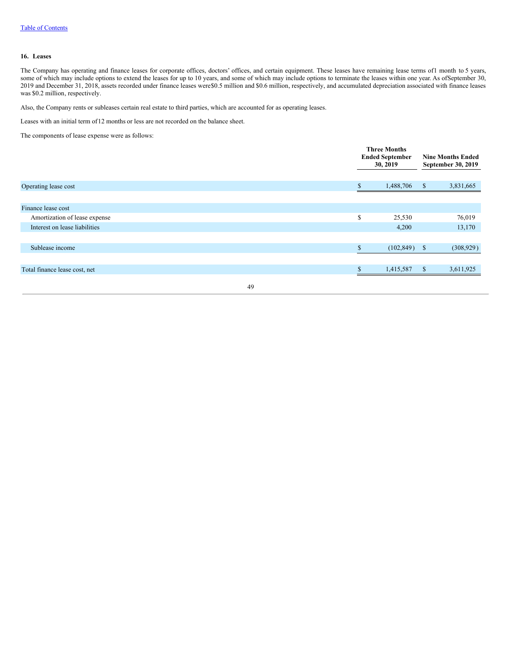## **16. Leases**

The Company has operating and finance leases for corporate offices, doctors' offices, and certain equipment. These leases have remaining lease terms of1 month to 5 years, some of which may include options to extend the leases for up to 10 years, and some of which may include options to terminate the leases within one year. As ofSeptember 30, 2019 and December 31, 2018, assets recorded under finance leases were\$0.5 million and \$0.6 million, respectively, and accumulated depreciation associated with finance leases was \$0.2 million, respectively.

Also, the Company rents or subleases certain real estate to third parties, which are accounted for as operating leases.

Leases with an initial term of12 months or less are not recorded on the balance sheet.

The components of lease expense were as follows:

|                               |    | <b>Three Months</b><br><b>Ended September</b><br>30, 2019 |            |              |            | <b>Nine Months Ended</b><br>September 30, 2019 |  |
|-------------------------------|----|-----------------------------------------------------------|------------|--------------|------------|------------------------------------------------|--|
| Operating lease cost          |    | \$                                                        | 1,488,706  | $\mathbb{S}$ | 3,831,665  |                                                |  |
| Finance lease cost            |    |                                                           |            |              |            |                                                |  |
| Amortization of lease expense |    | S                                                         | 25,530     |              | 76,019     |                                                |  |
| Interest on lease liabilities |    |                                                           | 4,200      |              | 13,170     |                                                |  |
|                               |    |                                                           |            |              |            |                                                |  |
| Sublease income               |    | ¢<br>Эħ.                                                  | (102, 849) | -S           | (308, 929) |                                                |  |
|                               |    |                                                           |            |              |            |                                                |  |
| Total finance lease cost, net |    |                                                           | 1,415,587  | $\mathbb{S}$ | 3,611,925  |                                                |  |
|                               | 49 |                                                           |            |              |            |                                                |  |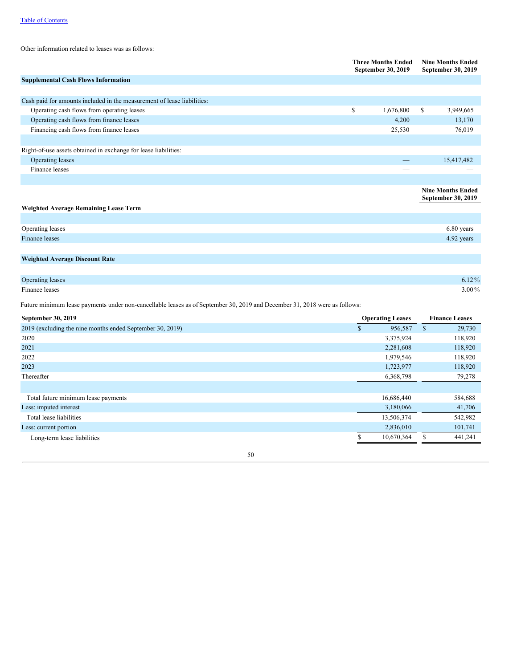Other information related to leases was as follows:

|                                                                         | <b>Three Months Ended</b><br>September 30, 2019 |           | <b>Nine Months Ended</b><br>September 30, 2019 |
|-------------------------------------------------------------------------|-------------------------------------------------|-----------|------------------------------------------------|
| <b>Supplemental Cash Flows Information</b>                              |                                                 |           |                                                |
|                                                                         |                                                 |           |                                                |
| Cash paid for amounts included in the measurement of lease liabilities: |                                                 |           |                                                |
| Operating cash flows from operating leases                              | \$                                              | 1,676,800 | \$<br>3,949,665                                |
| Operating cash flows from finance leases                                |                                                 | 4,200     | 13,170                                         |
| Financing cash flows from finance leases                                |                                                 | 25,530    | 76,019                                         |
|                                                                         |                                                 |           |                                                |
| Right-of-use assets obtained in exchange for lease liabilities:         |                                                 |           |                                                |
| Operating leases                                                        |                                                 |           | 15,417,482                                     |
| Finance leases                                                          |                                                 |           |                                                |
|                                                                         |                                                 |           |                                                |
|                                                                         |                                                 |           | <b>Nine Months Ended</b>                       |
|                                                                         |                                                 |           | September 30, 2019                             |
| <b>Weighted Average Remaining Lease Term</b>                            |                                                 |           |                                                |
|                                                                         |                                                 |           |                                                |
| Operating leases                                                        |                                                 |           | 6.80 years                                     |
| Finance leases                                                          |                                                 |           | 4.92 years                                     |
|                                                                         |                                                 |           |                                                |
| <b>Weighted Average Discount Rate</b>                                   |                                                 |           |                                                |

| $6.12\%$   |
|------------|
| $3.00\,\%$ |
|            |

Future minimum lease payments under non-cancellable leases as of September 30, 2019 and December 31, 2018 were as follows:

| September 30, 2019                                        | <b>Operating Leases</b> |            |   |         |
|-----------------------------------------------------------|-------------------------|------------|---|---------|
| 2019 (excluding the nine months ended September 30, 2019) | \$                      | 956,587    | S | 29,730  |
| 2020                                                      |                         | 3,375,924  |   | 118,920 |
| 2021                                                      |                         | 2,281,608  |   | 118,920 |
| 2022                                                      |                         | 1,979,546  |   | 118,920 |
| 2023                                                      |                         | 1,723,977  |   | 118,920 |
| Thereafter                                                |                         | 6,368,798  |   | 79,278  |
|                                                           |                         |            |   |         |
| Total future minimum lease payments                       |                         | 16,686,440 |   | 584,688 |
| Less: imputed interest                                    |                         | 3,180,066  |   | 41,706  |
| Total lease liabilities                                   |                         | 13,506,374 |   | 542,982 |
| Less: current portion                                     |                         | 2,836,010  |   | 101,741 |
| Long-term lease liabilities                               |                         | 10,670,364 |   | 441,241 |
|                                                           |                         |            |   |         |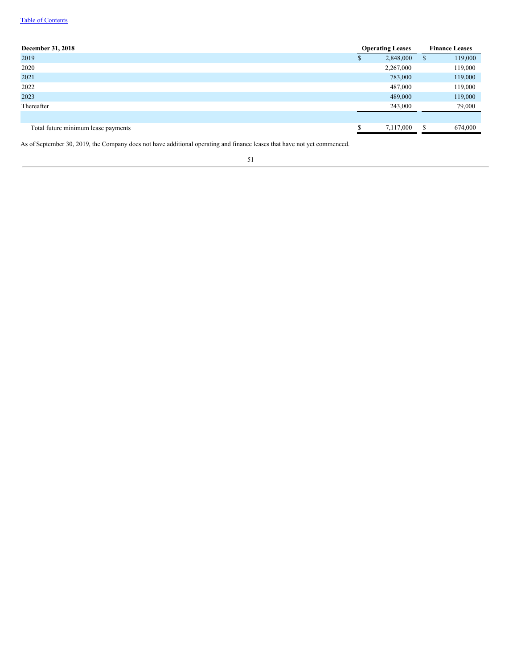## Table of [Contents](#page-1-0)

| December 31, 2018                   | <b>Operating Leases</b> |           | <b>Finance Leases</b> |         |
|-------------------------------------|-------------------------|-----------|-----------------------|---------|
| 2019                                | ٠D                      | 2,848,000 | -\$                   | 119,000 |
| 2020                                |                         | 2,267,000 |                       | 119,000 |
| 2021                                |                         | 783,000   |                       | 119,000 |
| 2022                                |                         | 487,000   |                       | 119,000 |
| 2023                                |                         | 489,000   |                       | 119,000 |
| Thereafter                          |                         | 243,000   |                       | 79,000  |
|                                     |                         |           |                       |         |
| Total future minimum lease payments |                         | 7,117,000 | <b>S</b>              | 674,000 |

As of September 30, 2019, the Company does not have additional operating and finance leases that have not yet commenced.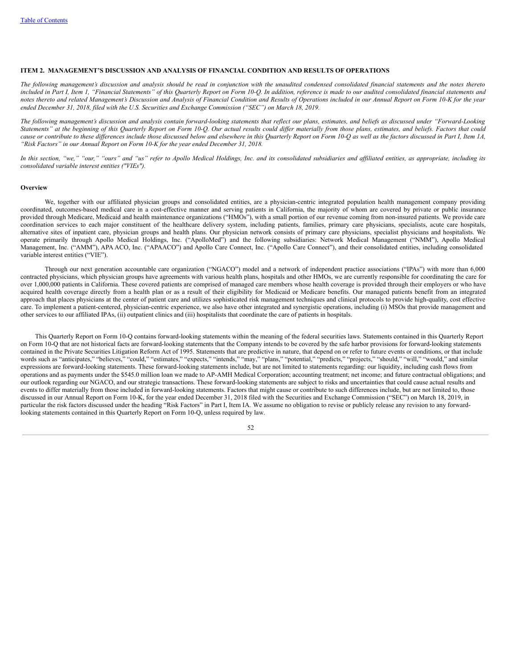## **ITEM 2. MANAGEMENT'S DISCUSSION AND ANALYSIS OF FINANCIAL CONDITION AND RESULTS OF OPERATIONS**

The following management's discussion and analysis should be read in conjunction with the unaudited condensed consolidated financial statements and the notes thereto included in Part I, Item 1, "Financial Statements" of this Quarterly Report on Form 10-Q. In addition, reference is made to our audited consolidated financial statements and notes thereto and related Management's Discussion and Analysis of Financial Condition and Results of Operations included in our Annual Report on Form 10-K for the year ended December 31, 2018, filed with the U.S. Securities and Exchange Commission ("SEC") on March 18, 2019.

The following management's discussion and analysis contain forward-looking statements that reflect our plans, estimates, and beliefs as discussed under "Forward-Looking Statements" at the beginning of this Quarterly Report on Form 10-Q. Our actual results could differ materially from those plans, estimates, and beliefs. Factors that could cause or contribute to these differences include those discussed below and elsewhere in this Quarterly Report on Form 10-Q as well as the factors discussed in Part I, Item 1A, *"Risk Factors" in our Annual Report on Form 10-K for the year ended December 31, 2018.*

In this section, "we," "our," "ours" and "us" refer to Apollo Medical Holdings, Inc. and its consolidated subsidiaries and affiliated entities, as appropriate, including its *consolidated variable interest entities ("VIEs").*

## **Overview**

We, together with our affiliated physician groups and consolidated entities, are a physician-centric integrated population health management company providing coordinated, outcomes-based medical care in a cost-effective manner and serving patients in California, the majority of whom are covered by private or public insurance provided through Medicare, Medicaid and health maintenance organizations ("HMOs"), with a small portion of our revenue coming from non-insured patients. We provide care coordination services to each major constituent of the healthcare delivery system, including patients, families, primary care physicians, specialists, acute care hospitals, alternative sites of inpatient care, physician groups and health plans. Our physician network consists of primary care physicians, specialist physicians and hospitalists. We operate primarily through Apollo Medical Holdings, Inc. ("ApolloMed") and the following subsidiaries: Network Medical Management ("NMM"), Apollo Medical Management, Inc. ("AMM"), APA ACO, Inc. ("APAACO") and Apollo Care Connect, Inc. ("Apollo Care Connect"), and their consolidated entities, including consolidated variable interest entities ("VIE").

Through our next generation accountable care organization ("NGACO") model and a network of independent practice associations ("IPAs") with more than 6,000 contracted physicians, which physician groups have agreements with various health plans, hospitals and other HMOs, we are currently responsible for coordinating the care for over 1,000,000 patients in California. These covered patients are comprised of managed care members whose health coverage is provided through their employers or who have acquired health coverage directly from a health plan or as a result of their eligibility for Medicaid or Medicare benefits. Our managed patients benefit from an integrated approach that places physicians at the center of patient care and utilizes sophisticated risk management techniques and clinical protocols to provide high-quality, cost effective care. To implement a patient-centered, physician-centric experience, we also have other integrated and synergistic operations, including (i) MSOs that provide management and other services to our affiliated IPAs, (ii) outpatient clinics and (iii) hospitalists that coordinate the care of patients in hospitals.

This Quarterly Report on Form 10-Q contains forward-looking statements within the meaning of the federal securities laws. Statements contained in this Quarterly Report on Form 10-Q that are not historical facts are forward-looking statements that the Company intends to be covered by the safe harbor provisions for forward-looking statements contained in the Private Securities Litigation Reform Act of 1995. Statements that are predictive in nature, that depend on or refer to future events or conditions, or that include words such as "anticipates," "believes," "could," "estimates," "expects," "intends," "may," "plans," "potential," "predicts," "projects," "should," "will," "would," and similar expressions are forward-looking statements. These forward-looking statements include, but are not limited to statements regarding: our liquidity, including cash flows from operations and as payments under the \$545.0 million loan we made to AP-AMH Medical Corporation; accounting treatment; net income; and future contractual obligations; and our outlook regarding our NGACO, and our strategic transactions. These forward-looking statements are subject to risks and uncertainties that could cause actual results and events to differ materially from those included in forward-looking statements. Factors that might cause or contribute to such differences include, but are not limited to, those discussed in our Annual Report on Form 10-K, for the year ended December 31, 2018 filed with the Securities and Exchange Commission ("SEC") on March 18, 2019, in particular the risk factors discussed under the heading "Risk Factors" in Part I, Item IA. We assume no obligation to revise or publicly release any revision to any forwardlooking statements contained in this Quarterly Report on Form 10-Q, unless required by law.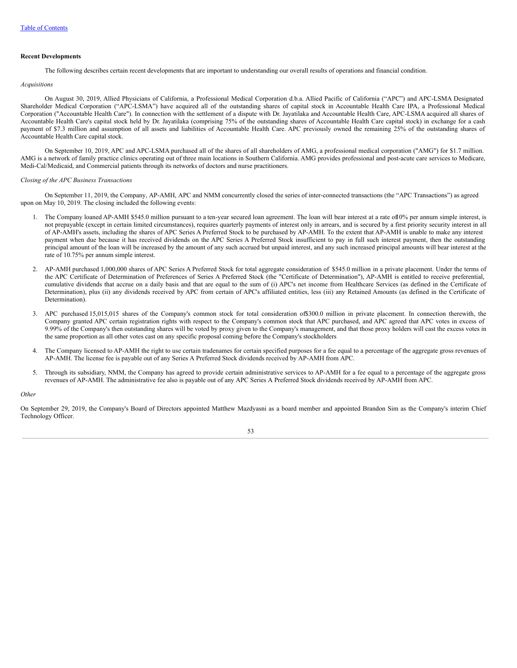## **Recent Developments**

The following describes certain recent developments that are important to understanding our overall results of operations and financial condition.

#### *Acquisitions*

On August 30, 2019, Allied Physicians of California, a Professional Medical Corporation d.b.a. Allied Pacific of California ("APC") and APC-LSMA Designated Shareholder Medical Corporation ("APC-LSMA") have acquired all of the outstanding shares of capital stock in Accountable Health Care IPA, a Professional Medical Corporation ("Accountable Health Care"). In connection with the settlement of a dispute with Dr. Jayatilaka and Accountable Health Care, APC-LSMA acquired all shares of Accountable Health Care's capital stock held by Dr. Jayatilaka (comprising 75% of the outstanding shares of Accountable Health Care capital stock) in exchange for a cash payment of \$7.3 million and assumption of all assets and liabilities of Accountable Health Care. APC previously owned the remaining 25% of the outstanding shares of Accountable Health Care capital stock.

On September 10, 2019, APC and APC-LSMA purchased all of the shares of all shareholders of AMG, a professional medical corporation ("AMG") for \$1.7 million. AMG is a network of family practice clinics operating out of three main locations in Southern California. AMG provides professional and post-acute care services to Medicare, Medi-Cal/Medicaid, and Commercial patients through its networks of doctors and nurse practitioners.

## *Closing of the APC Business Transactions*

On September 11, 2019, the Company, AP-AMH, APC and NMM concurrently closed the series of inter-connected transactions (the "APC Transactions") as agreed upon on May 10, 2019. The closing included the following events:

- 1. The Company loaned AP-AMH \$545.0 million pursuant to a ten-year secured loan agreement. The loan will bear interest at a rate of10% per annum simple interest, is not prepayable (except in certain limited circumstances), requires quarterly payments of interest only in arrears, and is secured by a first priority security interest in all of AP-AMH's assets, including the shares of APC Series A Preferred Stock to be purchased by AP-AMH. To the extent that AP-AMH is unable to make any interest payment when due because it has received dividends on the APC Series A Preferred Stock insufficient to pay in full such interest payment, then the outstanding principal amount of the loan will be increased by the amount of any such accrued but unpaid interest, and any such increased principal amounts will bear interest at the rate of 10.75% per annum simple interest.
- 2. AP-AMH purchased 1,000,000 shares of APC Series A Preferred Stock for total aggregate consideration of \$545.0 million in a private placement. Under the terms of the APC Certificate of Determination of Preferences of Series A Preferred Stock (the "Certificate of Determination"), AP-AMH is entitled to receive preferential, cumulative dividends that accrue on a daily basis and that are equal to the sum of (i) APC's net income from Healthcare Services (as defined in the Certificate of Determination), plus (ii) any dividends received by APC from certain of APC's affiliated entities, less (iii) any Retained Amounts (as defined in the Certificate of Determination).
- 3. APC purchased 15,015,015 shares of the Company's common stock for total consideration of\$300.0 million in private placement. In connection therewith, the Company granted APC certain registration rights with respect to the Company's common stock that APC purchased, and APC agreed that APC votes in excess of 9.99% of the Company's then outstanding shares will be voted by proxy given to the Company's management, and that those proxy holders will cast the excess votes in the same proportion as all other votes cast on any specific proposal coming before the Company's stockholders
- 4. The Company licensed to AP-AMH the right to use certain tradenames for certain specified purposes for a fee equal to a percentage of the aggregate gross revenues of AP-AMH. The license fee is payable out of any Series A Preferred Stock dividends received by AP-AMH from APC.
- 5. Through its subsidiary, NMM, the Company has agreed to provide certain administrative services to AP-AMH for a fee equal to a percentage of the aggregate gross revenues of AP-AMH. The administrative fee also is payable out of any APC Series A Preferred Stock dividends received by AP-AMH from APC.

## *Other*

On September 29, 2019, the Company's Board of Directors appointed Matthew Mazdyasni as a board member and appointed Brandon Sim as the Company's interim Chief Technology Officer.

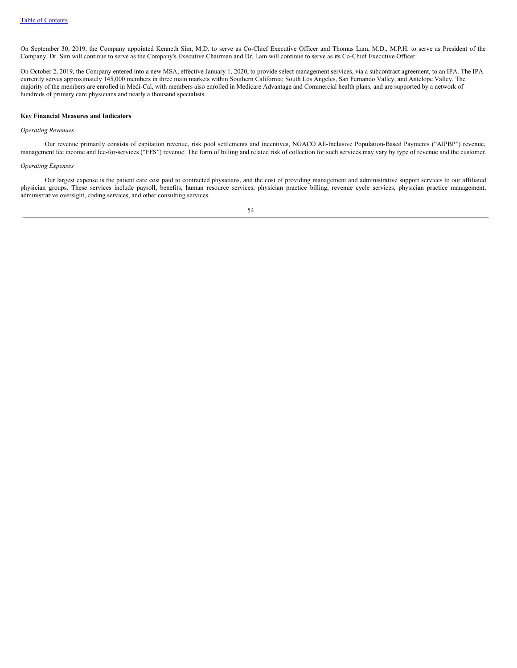On September 30, 2019, the Company appointed Kenneth Sim, M.D. to serve as Co-Chief Executive Officer and Thomas Lam, M.D., M.P.H. to serve as President of the Company. Dr. Sim will continue to serve as the Company's Executive Chairman and Dr. Lam will continue to serve as its Co-Chief Executive Officer.

On October 2, 2019, the Company entered into a new MSA, effective January 1, 2020, to provide select management services, via a subcontract agreement, to an IPA. The IPA currently serves approximately 145,000 members in three main markets within Southern California; South Los Angeles, San Fernando Valley, and Antelope Valley. The majority of the members are enrolled in Medi-Cal, with members also enrolled in Medicare Advantage and Commercial health plans, and are supported by a network of hundreds of primary care physicians and nearly a thousand specialists.

## **Key Financial Measures and Indicators**

## *Operating Revenues*

Our revenue primarily consists of capitation revenue, risk pool settlements and incentives, NGACO All-Inclusive Population-Based Payments ("AIPBP") revenue, management fee income and fee-for-services ("FFS") revenue. The form of billing and related risk of collection for such services may vary by type of revenue and the customer.

## *Operating Expenses*

Our largest expense is the patient care cost paid to contracted physicians, and the cost of providing management and administrative support services to our affiliated physician groups. These services include payroll, benefits, human resource services, physician practice billing, revenue cycle services, physician practice management, administrative oversight, coding services, and other consulting services.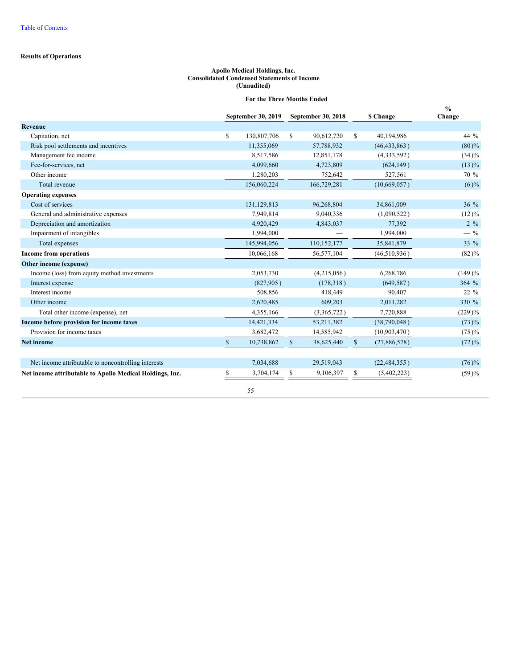## **Results of Operations**

## **Apollo Medical Holdings, Inc. Consolidated Condensed Statements of Income (Unaudited)**

## **For the Three Months Ended**

|                                                          |              | September 30, 2019 |              | September 30, 2018 |              | \$ Change      | $\frac{0}{0}$<br>Change |
|----------------------------------------------------------|--------------|--------------------|--------------|--------------------|--------------|----------------|-------------------------|
| <b>Revenue</b>                                           |              |                    |              |                    |              |                |                         |
| Capitation, net                                          | S            | 130,807,706        | S.           | 90,612,720         | \$           | 40,194,986     | 44 %                    |
| Risk pool settlements and incentives                     |              | 11,355,069         |              | 57,788,932         |              | (46, 433, 863) | $(80)\%$                |
| Management fee income                                    |              | 8,517,586          |              | 12,851,178         |              | (4,333,592)    | $(34)\%$                |
| Fee-for-services, net                                    |              | 4,099,660          |              | 4,723,809          |              | (624, 149)     | $(13)\%$                |
| Other income                                             |              | 1,280,203          |              | 752,642            |              | 527,561        | 70 %                    |
| Total revenue                                            |              | 156,060,224        |              | 166,729,281        |              | (10,669,057)   | $(6)$ %                 |
| <b>Operating expenses</b>                                |              |                    |              |                    |              |                |                         |
| Cost of services                                         |              | 131,129,813        |              | 96,268,804         |              | 34,861,009     | $36\%$                  |
| General and administrative expenses                      |              | 7,949,814          |              | 9,040,336          |              | (1,090,522)    | $(12)\%$                |
| Depreciation and amortization                            |              | 4,920,429          |              | 4,843,037          |              | 77,392         | $2 \frac{9}{6}$         |
| Impairment of intangibles                                |              | 1,994,000          |              |                    |              | 1,994,000      | $-$ %                   |
| Total expenses                                           |              | 145,994,056        |              | 110,152,177        |              | 35,841,879     | 33 %                    |
| <b>Income from operations</b>                            |              | 10,066,168         |              | 56,577,104         |              | (46, 510, 936) | $(82)\%$                |
| Other income (expense)                                   |              |                    |              |                    |              |                |                         |
| Income (loss) from equity method investments             |              | 2,053,730          |              | (4,215,056)        |              | 6,268,786      | (149)%                  |
| Interest expense                                         |              | (827,905)          |              | (178, 318)         |              | (649, 587)     | 364 %                   |
| Interest income                                          |              | 508,856            |              | 418,449            |              | 90,407         | $22\%$                  |
| Other income                                             |              | 2,620,485          |              | 609,203            |              | 2,011,282      | 330 %                   |
| Total other income (expense), net                        |              | 4,355,166          |              | (3,365,722)        |              | 7,720,888      | $(229)\%$               |
| Income before provision for income taxes                 |              | 14,421,334         |              | 53, 211, 382       |              | (38,790,048)   | (73)%                   |
| Provision for income taxes                               |              | 3,682,472          |              | 14,585,942         |              | (10,903,470)   | (75)%                   |
| <b>Net income</b>                                        | $\mathbb{S}$ | 10,738,862         | $\mathbb{S}$ | 38,625,440         | $\mathbb{S}$ | (27,886,578)   | (72)%                   |
| Net income attributable to noncontrolling interests      |              | 7,034,688          |              | 29,519,043         |              | (22, 484, 355) | (76)%                   |
| Net income attributable to Apollo Medical Holdings, Inc. | S            | 3,704,174          | \$           | 9,106,397          | \$           | (5,402,223)    | (59)%                   |
|                                                          |              | 55                 |              |                    |              |                |                         |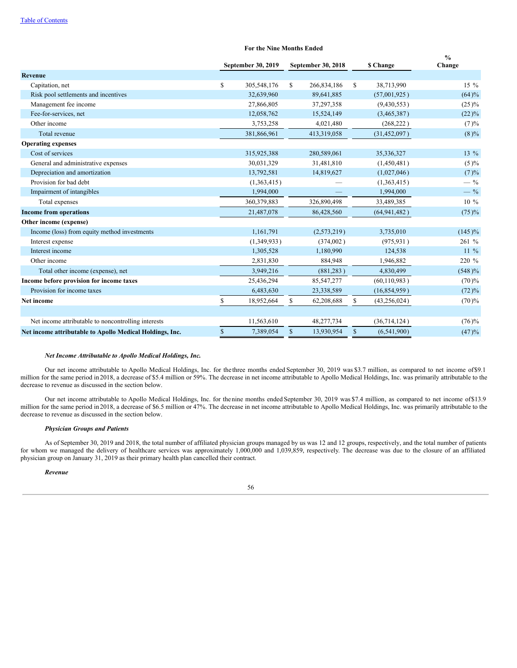#### **For the Nine Months Ended**

|                                                          |               | September 30, 2019 | September 30, 2018 |             |              | <b>S</b> Change | $\frac{6}{6}$<br>Change |
|----------------------------------------------------------|---------------|--------------------|--------------------|-------------|--------------|-----------------|-------------------------|
| <b>Revenue</b>                                           |               |                    |                    |             |              |                 |                         |
| Capitation, net                                          | <sup>\$</sup> | 305,548,176        | S.                 | 266,834,186 | S            | 38,713,990      | $15\%$                  |
| Risk pool settlements and incentives                     |               | 32,639,960         |                    | 89,641,885  |              | (57,001,925)    | (64)%                   |
| Management fee income                                    |               | 27,866,805         |                    | 37,297,358  |              | (9,430,553)     | $(25)\%$                |
| Fee-for-services, net                                    |               | 12,058,762         |                    | 15,524,149  |              | (3,465,387)     | $(22)\%$                |
| Other income                                             |               | 3,753,258          |                    | 4,021,480   |              | (268, 222)      | (7)%                    |
| Total revenue                                            |               | 381,866,961        |                    | 413,319,058 |              | (31, 452, 097)  | (8)%                    |
| <b>Operating expenses</b>                                |               |                    |                    |             |              |                 |                         |
| Cost of services                                         |               | 315,925,388        |                    | 280,589,061 |              | 35,336,327      | 13 $%$                  |
| General and administrative expenses                      |               | 30,031,329         |                    | 31,481,810  |              | (1,450,481)     | (5)%                    |
| Depreciation and amortization                            |               | 13,792,581         |                    | 14,819,627  |              | (1,027,046)     | (7)%                    |
| Provision for bad debt                                   |               | (1,363,415)        |                    |             |              | (1,363,415)     | $-$ %                   |
| Impairment of intangibles                                |               | 1,994,000          |                    |             |              | 1,994,000       | $-$ %                   |
| Total expenses                                           |               | 360,379,883        |                    | 326,890,498 |              | 33,489,385      | $10\%$                  |
| <b>Income from operations</b>                            |               | 21,487,078         |                    | 86,428,560  |              | (64, 941, 482)  | (75)%                   |
| Other income (expense)                                   |               |                    |                    |             |              |                 |                         |
| Income (loss) from equity method investments             |               | 1,161,791          |                    | (2,573,219) |              | 3,735,010       | $(145)\%$               |
| Interest expense                                         |               | (1,349,933)        |                    | (374,002)   |              | (975, 931)      | 261 %                   |
| Interest income                                          |               | 1,305,528          |                    | 1,180,990   |              | 124,538         | $11\%$                  |
| Other income                                             |               | 2,831,830          |                    | 884,948     |              | 1,946,882       | 220 %                   |
| Total other income (expense), net                        |               | 3,949,216          |                    | (881, 283)  |              | 4,830,499       | $(548)\%$               |
| Income before provision for income taxes                 |               | 25,436,294         |                    | 85,547,277  |              | (60, 110, 983)  | (70)%                   |
| Provision for income taxes                               |               | 6,483,630          |                    | 23,338,589  |              | (16, 854, 959)  | (72)%                   |
| Net income                                               | <sup>\$</sup> | 18,952,664         | \$                 | 62,208,688  | $\mathbb{S}$ | (43, 256, 024)  | (70)%                   |
|                                                          |               |                    |                    |             |              |                 |                         |
| Net income attributable to noncontrolling interests      |               | 11,563,610         |                    | 48,277,734  |              | (36,714,124)    | $(76)\%$                |
| Net income attributable to Apollo Medical Holdings, Inc. | $\mathbb{S}$  | 7,389,054          | $\mathbb{S}$       | 13,930,954  | $\mathbb{S}$ | (6,541,900)     | (47)%                   |
|                                                          |               |                    |                    |             |              |                 |                         |

## *Net Income Attributable to Apollo Medical Holdings, Inc.*

Our net income attributable to Apollo Medical Holdings, Inc. for the three months ended September 30, 2019 was \$3.7 million, as compared to net income of\$9.1 million for the same period in 2018, a decrease of \$5.4 million or 59%. The decrease in net income attributable to Apollo Medical Holdings, Inc. was primarily attributable to the decrease to revenue as discussed in the section below.

Our net income attributable to Apollo Medical Holdings, Inc. for thenine months ended September 30, 2019 was \$7.4 million, as compared to net income of\$13.9 million for the same period in 2018, a decrease of \$6.5 million or 47%. The decrease in net income attributable to Apollo Medical Holdings, Inc. was primarily attributable to the decrease to revenue as discussed in the section below.

## *Physician Groups and Patients*

As of September 30, 2019 and 2018, the total number of affiliated physician groups managed by us was 12 and 12 groups, respectively, and the total number of patients for whom we managed the delivery of healthcare services was approximately 1,000,000 and 1,039,859, respectively. The decrease was due to the closure of an affiliated physician group on January 31, 2019 as their primary health plan cancelled their contract.

*Revenue*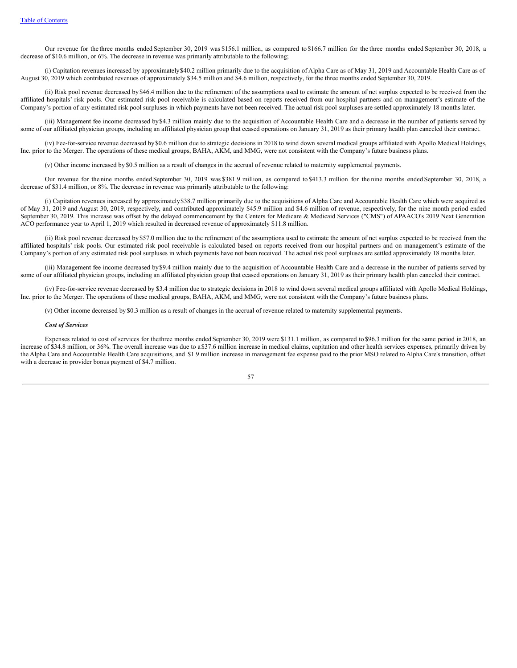Our revenue for the three months ended September 30, 2019 was \$156.1 million, as compared to \$166.7 million for the three months ended September 30, 2018, a decrease of \$10.6 million, or 6%. The decrease in revenue was primarily attributable to the following;

(i) Capitation revenues increased by approximately\$40.2 million primarily due to the acquisition of Alpha Care as of May 31, 2019 and Accountable Health Care as of August 30, 2019 which contributed revenues of approximately \$34.5 million and \$4.6 million, respectively, for the three months ended September 30, 2019.

(ii) Risk pool revenue decreased by \$46.4 million due to the refinement of the assumptions used to estimate the amount of net surplus expected to be received from the affiliated hospitals' risk pools. Our estimated risk pool receivable is calculated based on reports received from our hospital partners and on management's estimate of the Company's portion of any estimated risk pool surpluses in which payments have not been received. The actual risk pool surpluses are settled approximately 18 months later.

(iii) Management fee income decreased by\$4.3 million mainly due to the acquisition of Accountable Health Care and a decrease in the number of patients served by some of our affiliated physician groups, including an affiliated physician group that ceased operations on January 31, 2019 as their primary health plan canceled their contract.

(iv) Fee-for-service revenue decreased by \$0.6 million due to strategic decisions in 2018 to wind down several medical groups affiliated with Apollo Medical Holdings, Inc. prior to the Merger. The operations of these medical groups, BAHA, AKM, and MMG, were not consistent with the Company's future business plans.

(v) Other income increased by \$0.5 million as a result of changes in the accrual of revenue related to maternity supplemental payments.

Our revenue for the nine months ended September 30, 2019 was \$381.9 million, as compared to \$413.3 million for the nine months ended September 30, 2018, a decrease of \$31.4 million, or 8%. The decrease in revenue was primarily attributable to the following:

(i) Capitation revenues increased by approximately\$38.7 million primarily due to the acquisitions of Alpha Care and Accountable Health Care which were acquired as of May 31, 2019 and August 30, 2019, respectively, and contributed approximately \$45.9 million and \$4.6 million of revenue, respectively, for the nine month period ended September 30, 2019. This increase was offset by the delayed commencement by the Centers for Medicare & Medicaid Services ("CMS") of APAACO's 2019 Next Generation ACO performance year to April 1, 2019 which resulted in decreased revenue of approximately \$11.8 million.

(ii) Risk pool revenue decreased by \$57.0 million due to the refinement of the assumptions used to estimate the amount of net surplus expected to be received from the affiliated hospitals' risk pools. Our estimated risk pool receivable is calculated based on reports received from our hospital partners and on management's estimate of the Company's portion of any estimated risk pool surpluses in which payments have not been received. The actual risk pool surpluses are settled approximately 18 months later.

(iii) Management fee income decreased by\$9.4 million mainly due to the acquisition of Accountable Health Care and a decrease in the number of patients served by some of our affiliated physician groups, including an affiliated physician group that ceased operations on January 31, 2019 as their primary health plan canceled their contract.

(iv) Fee-for-service revenue decreased by \$3.4 million due to strategic decisions in 2018 to wind down several medical groups affiliated with Apollo Medical Holdings, Inc. prior to the Merger. The operations of these medical groups, BAHA, AKM, and MMG, were not consistent with the Company's future business plans.

(v) Other income decreased by \$0.3 million as a result of changes in the accrual of revenue related to maternity supplemental payments.

## *Cost of Services*

Expenses related to cost of services for thethree months ended September 30, 2019 were \$131.1 million, as compared to \$96.3 million for the same period in 2018, an increase of \$34.8 million, or 36%. The overall increase was due to a\$37.6 million increase in medical claims, capitation and other health services expenses, primarily driven by the Alpha Care and Accountable Health Care acquisitions, and \$1.9 million increase in management fee expense paid to the prior MSO related to Alpha Care's transition, offset with a decrease in provider bonus payment of \$4.7 million.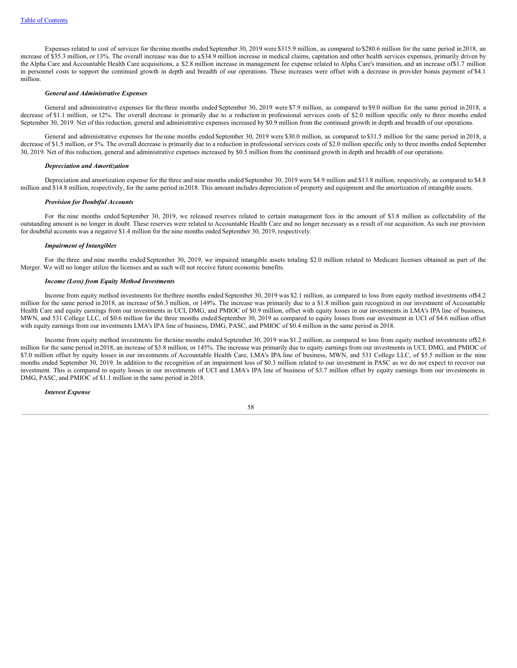Expenses related to cost of services for thenine months ended September 30, 2019 were \$315.9 million, as compared to \$280.6 million for the same period in 2018, an increase of \$35.3 million, or 13%. The overall increase was due to a\$34.9 million increase in medical claims, capitation and other health services expenses, primarily driven by the Alpha Care and Accountable Health Care acquisitions, a \$2.8 million increase in management fee expense related to Alpha Care's transition, and an increase of\$1.7 million in personnel costs to support the continued growth in depth and breadth of our operations. These increases were offset with a decrease in provider bonus payment of \$4.1 million.

## *General and Administrative Expenses*

General and administrative expenses for the three months ended September 30, 2019 were \$7.9 million, as compared to \$9.0 million for the same period in 2018, a decrease of \$1.1 million, or 12%. The overall decrease is primarily due to a reduction in professional services costs of \$2.0 million specific only to three months ended September 30, 2019. Net of this reduction, general and administrative expenses increased by \$0.9 million from the continued growth in depth and breadth of our operations.

General and administrative expenses for the nine months ended September 30, 2019 were \$30.0 million, as compared to \$31.5 million for the same period in 2018, a decrease of \$1.5 million, or 5%. The overall decrease is primarily due to a reduction in professional services costs of \$2.0 million specific only to three months ended September 30, 2019. Net of this reduction, general and administrative expenses increased by \$0.5 million from the continued growth in depth and breadth of our operations.

#### *Depreciation and Amortization*

Depreciation and amortization expense for the three and nine months ended September 30, 2019 were \$4.9 million and \$13.8 million, respectively, as compared to \$4.8 million and \$14.8 million, respectively, for the same period in2018. This amount includes depreciation of property and equipment and the amortization of intangible assets.

#### *Provision for Doubtful Accounts*

For the nine months ended September 30, 2019, we released reserves related to certain management fees in the amount of \$3.8 million as collectability of the outstanding amount is no longer in doubt. These reserves were related to Accountable Health Care and no longer necessary as a result of our acquisition. As such our provision for doubtful accounts was a negative \$1.4 million for the nine months ended September 30, 2019, respectively.

## *Impairment of Intangibles*

For the three and nine months ended September 30, 2019, we impaired intangible assets totaling \$2.0 million related to Medicare licenses obtained as part of the Merger. We will no longer utilize the licenses and as such will not receive future economic benefits.

## *Income (Loss) from Equity Method Investments*

Income from equity method investments for thethree months ended September 30, 2019 was \$2.1 million, as compared to loss from equity method investments of\$4.2 million for the same period in 2018, an increase of \$6.3 million, or 149%. The increase was primarily due to a \$1.8 million gain recognized in our investment of Accountable Health Care and equity earnings from our investments in UCI, DMG, and PMIOC of \$0.9 million, offset with equity losses in our investments in LMA's IPA line of business, MWN, and 531 College LLC, of \$0.6 million for the three months ended September 30, 2019 as compared to equity losses from our investment in UCI of \$4.6 million offset with equity earnings from our investments LMA's IPA line of business, DMG, PASC, and PMIOC of \$0.4 million in the same period in 2018.

Income from equity method investments for thenine months ended September 30, 2019 was \$1.2 million, as compared to loss from equity method investments of\$2.6 million for the same period in 2018, an increase of \$3.8 million, or 145%. The increase was primarily due to equity earnings from our investments in UCI, DMG, and PMIOC of \$7.0 million offset by equity losses in our investments of Accountable Health Care, LMA's IPA line of business, MWN, and 531 College LLC, of \$5.5 million in the nine months ended September 30, 2019. In addition to the recognition of an impairment loss of \$0.3 million related to our investment in PASC as we do not expect to recover our investment. This is compared to equity losses in our investments of UCI and LMA's IPA line of business of \$3.7 million offset by equity earnings from our investments in DMG, PASC, and PMIOC of \$1.1 million in the same period in 2018.

#### *Interest Expense*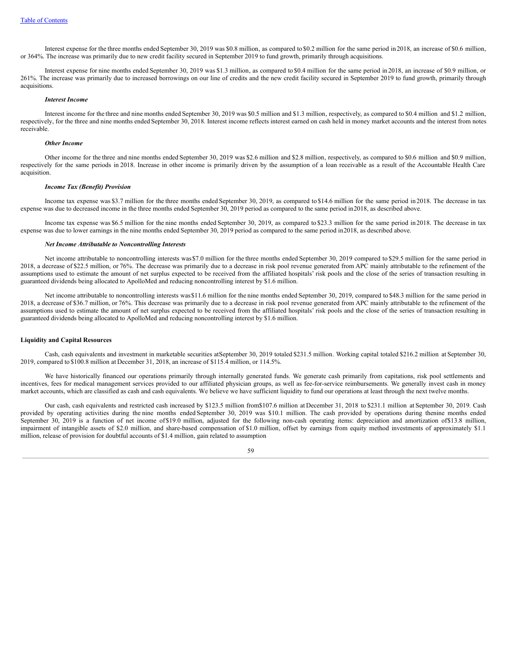Interest expense for the three months ended September 30, 2019 was \$0.8 million, as compared to \$0.2 million for the same period in 2018, an increase of \$0.6 million, or 364%. The increase was primarily due to new credit facility secured in September 2019 to fund growth, primarily through acquisitions.

Interest expense for nine months ended September 30, 2019 was \$1.3 million, as compared to \$0.4 million for the same period in 2018, an increase of \$0.9 million, or 261%. The increase was primarily due to increased borrowings on our line of credits and the new credit facility secured in September 2019 to fund growth, primarily through acquisitions.

#### *Interest Income*

Interest income for the three and nine months ended September 30, 2019 was \$0.5 million and \$1.3 million, respectively, as compared to \$0.4 million and \$1.2 million, respectively, for the three and nine months ended September 30, 2018. Interest income reflects interest earned on cash held in money market accounts and the interest from notes receivable.

#### *Other Income*

Other income for the three and nine months ended September 30, 2019 was \$2.6 million and \$2.8 million, respectively, as compared to \$0.6 million and \$0.9 million, respectively for the same periods in 2018. Increase in other income is primarily driven by the assumption of a loan receivable as a result of the Accountable Health Care acquisition.

#### *Income Tax (Benefit) Provision*

Income tax expense was \$3.7 million for the three months ended September 30, 2019, as compared to \$14.6 million for the same period in 2018. The decrease in tax expense was due to decreased income in the three months ended September 30, 2019 period as compared to the same period in2018, as described above.

Income tax expense was \$6.5 million for the nine months ended September 30, 2019, as compared to \$23.3 million for the same period in 2018. The decrease in tax expense was due to lower earnings in the nine months ended September 30, 2019 period as compared to the same period in2018, as described above.

### *Net Income Attributable to Noncontrolling Interests*

Net income attributable to noncontrolling interests was\$7.0 million for the three months ended September 30, 2019 compared to \$29.5 million for the same period in 2018, a decrease of \$22.5 million, or 76%. The decrease was primarily due to a decrease in risk pool revenue generated from APC mainly attributable to the refinement of the assumptions used to estimate the amount of net surplus expected to be received from the affiliated hospitals' risk pools and the close of the series of transaction resulting in guaranteed dividends being allocated to ApolloMed and reducing noncontrolling interest by \$1.6 million.

Net income attributable to noncontrolling interests was\$11.6 million for the nine months ended September 30, 2019, compared to \$48.3 million for the same period in 2018, a decrease of \$36.7 million, or 76%. This decrease was primarily due to a decrease in risk pool revenue generated from APC mainly attributable to the refinement of the assumptions used to estimate the amount of net surplus expected to be received from the affiliated hospitals' risk pools and the close of the series of transaction resulting in guaranteed dividends being allocated to ApolloMed and reducing noncontrolling interest by \$1.6 million.

#### **Liquidity and Capital Resources**

Cash, cash equivalents and investment in marketable securities atSeptember 30, 2019 totaled \$231.5 million. Working capital totaled \$216.2 million at September 30, 2019, compared to \$100.8 million at December 31, 2018, an increase of \$115.4 million, or 114.5%.

We have historically financed our operations primarily through internally generated funds. We generate cash primarily from capitations, risk pool settlements and incentives, fees for medical management services provided to our affiliated physician groups, as well as fee-for-service reimbursements. We generally invest cash in money market accounts, which are classified as cash and cash equivalents. We believe we have sufficient liquidity to fund our operations at least through the next twelve months.

Our cash, cash equivalents and restricted cash increased by \$123.5 million from\$107.6 million at December 31, 2018 to \$231.1 million at September 30, 2019. Cash provided by operating activities during the nine months ended September 30, 2019 was \$10.1 million. The cash provided by operations during thenine months ended September 30, 2019 is a function of net income of \$19.0 million, adjusted for the following non-cash operating items: depreciation and amortization of \$13.8 million, impairment of intangible assets of \$2.0 million, and share-based compensation of \$1.0 million, offset by earnings from equity method investments of approximately \$1.1 million, release of provision for doubtful accounts of \$1.4 million, gain related to assumption

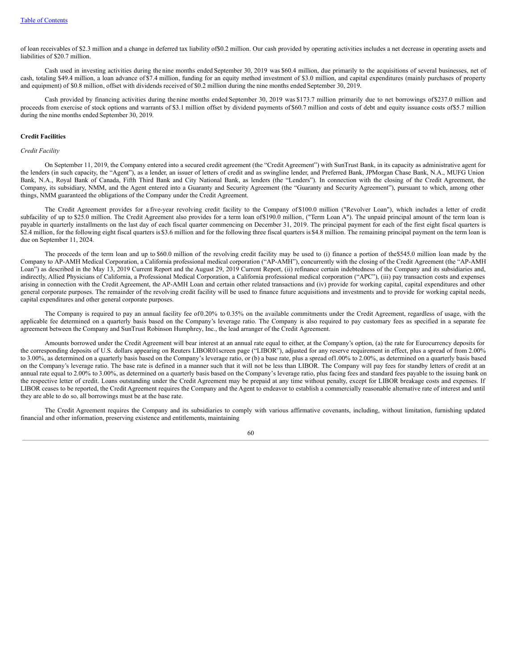of loan receivables of \$2.3 million and a change in deferred tax liability of\$0.2 million. Our cash provided by operating activities includes a net decrease in operating assets and liabilities of \$20.7 million.

Cash used in investing activities during the nine months ended September 30, 2019 was \$60.4 million, due primarily to the acquisitions of several businesses, net of cash, totaling \$49.4 million, a loan advance of \$7.4 million, funding for an equity method investment of \$3.0 million, and capital expenditures (mainly purchases of property and equipment) of \$0.8 million, offset with dividends received of \$0.2 million during the nine months ended September 30, 2019.

Cash provided by financing activities during thenine months ended September 30, 2019 was \$173.7 million primarily due to net borrowings of\$237.0 million and proceeds from exercise of stock options and warrants of \$3.1 million offset by dividend payments of \$60.7 million and costs of debt and equity issuance costs of\$5.7 million during the nine months ended September 30, 2019.

## **Credit Facilities**

#### *Credit Facility*

On September 11, 2019, the Company entered into a secured credit agreement (the "Credit Agreement") with SunTrust Bank, in its capacity as administrative agent for the lenders (in such capacity, the "Agent"), as a lender, an issuer of letters of credit and as swingline lender, and Preferred Bank, JPMorgan Chase Bank, N.A., MUFG Union Bank, N.A., Royal Bank of Canada, Fifth Third Bank and City National Bank, as lenders (the "Lenders"). In connection with the closing of the Credit Agreement, the Company, its subsidiary, NMM, and the Agent entered into a Guaranty and Security Agreement (the "Guaranty and Security Agreement"), pursuant to which, among other things, NMM guaranteed the obligations of the Company under the Credit Agreement.

The Credit Agreement provides for a five-year revolving credit facility to the Company of \$100.0 million ("Revolver Loan"), which includes a letter of credit subfacility of up to \$25.0 million. The Credit Agreement also provides for a term loan of \$190.0 million, ("Term Loan A"). The unpaid principal amount of the term loan is payable in quarterly installments on the last day of each fiscal quarter commencing on December 31, 2019. The principal payment for each of the first eight fiscal quarters is \$2.4 million, for the following eight fiscal quarters is \$3.6 million and for the following three fiscal quarters is \$4.8 million. The remaining principal payment on the term loan is due on September 11, 2024.

The proceeds of the term loan and up to \$60.0 million of the revolving credit facility may be used to (i) finance a portion of the\$545.0 million loan made by the Company to AP-AMH Medical Corporation, a California professional medical corporation ("AP-AMH"), concurrently with the closing of the Credit Agreement (the "AP-AMH Loan") as described in the May 13, 2019 Current Report and the August 29, 2019 Current Report, (ii) refinance certain indebtedness of the Company and its subsidiaries and, indirectly, Allied Physicians of California, a Professional Medical Corporation, a California professional medical corporation ("APC"), (iii) pay transaction costs and expenses arising in connection with the Credit Agreement, the AP-AMH Loan and certain other related transactions and (iv) provide for working capital, capital expenditures and other general corporate purposes. The remainder of the revolving credit facility will be used to finance future acquisitions and investments and to provide for working capital needs, capital expenditures and other general corporate purposes.

The Company is required to pay an annual facility fee of0.20% to 0.35% on the available commitments under the Credit Agreement, regardless of usage, with the applicable fee determined on a quarterly basis based on the Company's leverage ratio. The Company is also required to pay customary fees as specified in a separate fee agreement between the Company and SunTrust Robinson Humphrey, Inc., the lead arranger of the Credit Agreement.

Amounts borrowed under the Credit Agreement will bear interest at an annual rate equal to either, at the Company's option, (a) the rate for Eurocurrency deposits for the corresponding deposits of U.S. dollars appearing on Reuters LIBOR01screen page ("LIBOR"), adjusted for any reserve requirement in effect, plus a spread of from 2.00% to 3.00%, as determined on a quarterly basis based on the Company's leverage ratio, or (b) a base rate, plus a spread of1.00% to 2.00%, as determined on a quarterly basis based on the Company's leverage ratio. The base rate is defined in a manner such that it will not be less than LIBOR. The Company will pay fees for standby letters of credit at an annual rate equal to 2.00% to 3.00%, as determined on a quarterly basis based on the Company's leverage ratio, plus facing fees and standard fees payable to the issuing bank on the respective letter of credit. Loans outstanding under the Credit Agreement may be prepaid at any time without penalty, except for LIBOR breakage costs and expenses. If LIBOR ceases to be reported, the Credit Agreement requires the Company and the Agent to endeavor to establish a commercially reasonable alternative rate of interest and until they are able to do so, all borrowings must be at the base rate.

The Credit Agreement requires the Company and its subsidiaries to comply with various affirmative covenants, including, without limitation, furnishing updated financial and other information, preserving existence and entitlements, maintaining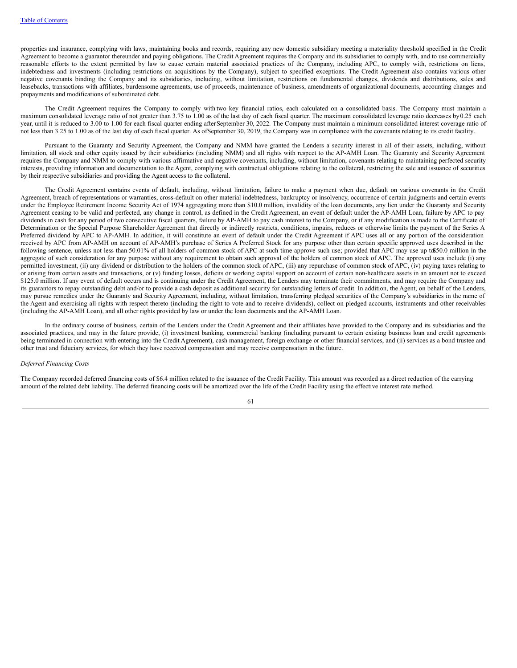properties and insurance, complying with laws, maintaining books and records, requiring any new domestic subsidiary meeting a materiality threshold specified in the Credit Agreement to become a guarantor thereunder and paying obligations. The Credit Agreement requires the Company and its subsidiaries to comply with, and to use commercially reasonable efforts to the extent permitted by law to cause certain material associated practices of the Company, including APC, to comply with, restrictions on liens, indebtedness and investments (including restrictions on acquisitions by the Company), subject to specified exceptions. The Credit Agreement also contains various other negative covenants binding the Company and its subsidiaries, including, without limitation, restrictions on fundamental changes, dividends and distributions, sales and leasebacks, transactions with affiliates, burdensome agreements, use of proceeds, maintenance of business, amendments of organizational documents, accounting changes and prepayments and modifications of subordinated debt.

The Credit Agreement requires the Company to comply with two key financial ratios, each calculated on a consolidated basis. The Company must maintain a maximum consolidated leverage ratio of not greater than 3.75 to 1.00 as of the last day of each fiscal quarter. The maximum consolidated leverage ratio decreases by0.25 each year, until it is reduced to 3.00 to 1.00 for each fiscal quarter ending afterSeptember 30, 2022. The Company must maintain a minimum consolidated interest coverage ratio of not less than 3.25 to 1.00 as of the last day of each fiscal quarter. As ofSeptember 30, 2019, the Company was in compliance with the covenants relating to its credit facility.

Pursuant to the Guaranty and Security Agreement, the Company and NMM have granted the Lenders a security interest in all of their assets, including, without limitation, all stock and other equity issued by their subsidiaries (including NMM) and all rights with respect to the AP-AMH Loan. The Guaranty and Security Agreement requires the Company and NMM to comply with various affirmative and negative covenants, including, without limitation, covenants relating to maintaining perfected security interests, providing information and documentation to the Agent, complying with contractual obligations relating to the collateral, restricting the sale and issuance of securities by their respective subsidiaries and providing the Agent access to the collateral.

The Credit Agreement contains events of default, including, without limitation, failure to make a payment when due, default on various covenants in the Credit Agreement, breach of representations or warranties, cross-default on other material indebtedness, bankruptcy or insolvency, occurrence of certain judgments and certain events under the Employee Retirement Income Security Act of 1974 aggregating more than \$10.0 million, invalidity of the loan documents, any lien under the Guaranty and Security Agreement ceasing to be valid and perfected, any change in control, as defined in the Credit Agreement, an event of default under the AP-AMH Loan, failure by APC to pay dividends in cash for any period of two consecutive fiscal quarters, failure by AP-AMH to pay cash interest to the Company, or if any modification is made to the Certificate of Determination or the Special Purpose Shareholder Agreement that directly or indirectly restricts, conditions, impairs, reduces or otherwise limits the payment of the Series A Preferred dividend by APC to AP-AMH. In addition, it will constitute an event of default under the Credit Agreement if APC uses all or any portion of the consideration received by APC from AP-AMH on account of AP-AMH's purchase of Series A Preferred Stock for any purpose other than certain specific approved uses described in the following sentence, unless not less than 50.01% of all holders of common stock of APC at such time approve such use; provided that APC may use up to\$50.0 million in the aggregate of such consideration for any purpose without any requirement to obtain such approval of the holders of common stock of APC. The approved uses include (i) any permitted investment, (ii) any dividend or distribution to the holders of the common stock of APC, (iii) any repurchase of common stock of APC, (iv) paying taxes relating to or arising from certain assets and transactions, or (v) funding losses, deficits or working capital support on account of certain non-healthcare assets in an amount not to exceed \$125.0 million. If any event of default occurs and is continuing under the Credit Agreement, the Lenders may terminate their commitments, and may require the Company and its guarantors to repay outstanding debt and/or to provide a cash deposit as additional security for outstanding letters of credit. In addition, the Agent, on behalf of the Lenders, may pursue remedies under the Guaranty and Security Agreement, including, without limitation, transferring pledged securities of the Company's subsidiaries in the name of the Agent and exercising all rights with respect thereto (including the right to vote and to receive dividends), collect on pledged accounts, instruments and other receivables (including the AP-AMH Loan), and all other rights provided by law or under the loan documents and the AP-AMH Loan.

In the ordinary course of business, certain of the Lenders under the Credit Agreement and their affiliates have provided to the Company and its subsidiaries and the associated practices, and may in the future provide, (i) investment banking, commercial banking (including pursuant to certain existing business loan and credit agreements being terminated in connection with entering into the Credit Agreement), cash management, foreign exchange or other financial services, and (ii) services as a bond trustee and other trust and fiduciary services, for which they have received compensation and may receive compensation in the future.

## *Deferred Financing Costs*

The Company recorded deferred financing costs of \$6.4 million related to the issuance of the Credit Facility. This amount was recorded as a direct reduction of the carrying amount of the related debt liability. The deferred financing costs will be amortized over the life of the Credit Facility using the effective interest rate method.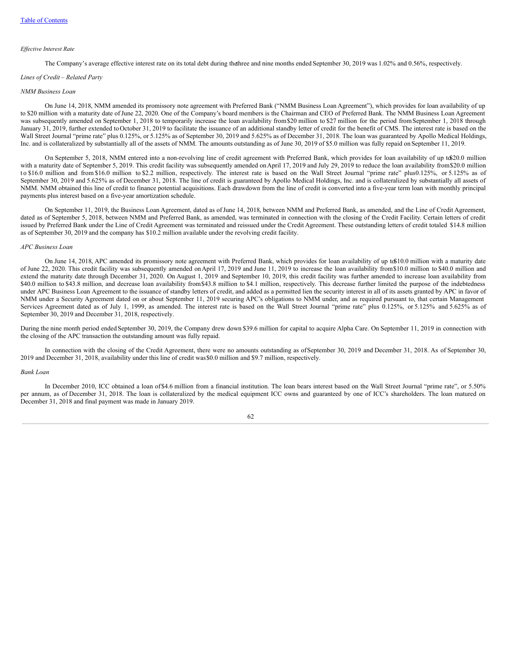#### *Ef ective Interest Rate*

The Company's average effective interest rate on its total debt during thethree and nine months ended September 30, 2019 was 1.02% and 0.56%, respectively.

#### *Lines of Credit* – *Related Party*

### *NMM Business Loan*

On June 14, 2018, NMM amended its promissory note agreement with Preferred Bank ("NMM Business Loan Agreement"), which provides for loan availability of up to \$20 million with a maturity date of June 22, 2020. One of the Company's board members is the Chairman and CEO of Preferred Bank. The NMM Business Loan Agreement was subsequently amended on September 1, 2018 to temporarily increase the loan availability from \$20 million to \$27 million for the period from September 1, 2018 through January 31, 2019, further extended to October 31, 2019 to facilitate the issuance of an additional standby letter of credit for the benefit of CMS. The interest rate is based on the Wall Street Journal "prime rate" plus 0.125%, or 5.125% as of September 30, 2019 and 5.625% as of December 31, 2018. The loan was guaranteed by Apollo Medical Holdings, Inc. and is collateralized by substantially all of the assets of NMM. The amounts outstanding as of June 30, 2019 of \$5.0 million was fully repaid on September 11, 2019.

On September 5, 2018, NMM entered into a non-revolving line of credit agreement with Preferred Bank, which provides for loan availability of up to\$20.0 million with a maturity date of September 5, 2019. This credit facility was subsequently amended on April 17, 2019 and July 29, 2019 to reduce the loan availability from \$20.0 million to \$16.0 million and from \$16.0 million to \$2.2 million, respectively. The interest rate is based on the Wall Street Journal "prime rate" plus0.125%, or 5.125% as of September 30, 2019 and 5.625% as of December 31, 2018. The line of credit is guaranteed by Apollo Medical Holdings, Inc. and is collateralized by substantially all assets of NMM. NMM obtained this line of credit to finance potential acquisitions. Each drawdown from the line of credit is converted into a five-year term loan with monthly principal payments plus interest based on a five-year amortization schedule.

On September 11, 2019, the Business Loan Agreement, dated as ofJune 14, 2018, between NMM and Preferred Bank, as amended, and the Line of Credit Agreement, dated as of September 5, 2018, between NMM and Preferred Bank, as amended, was terminated in connection with the closing of the Credit Facility. Certain letters of credit issued by Preferred Bank under the Line of Credit Agreement was terminated and reissued under the Credit Agreement. These outstanding letters of credit totaled \$14.8 million as of September 30, 2019 and the company has \$10.2 million available under the revolving credit facility.

#### *APC Business Loan*

On June 14, 2018, APC amended its promissory note agreement with Preferred Bank, which provides for loan availability of up to\$10.0 million with a maturity date of June 22, 2020. This credit facility was subsequently amended onApril 17, 2019 and June 11, 2019 to increase the loan availability from\$10.0 million to \$40.0 million and extend the maturity date through December 31, 2020. On August 1, 2019 and September 10, 2019, this credit facility was further amended to increase loan availability from \$40.0 million to \$43.8 million, and decrease loan availability from \$43.8 million to \$4.1 million, respectively. This decrease further limited the purpose of the indebtedness under APC Business Loan Agreement to the issuance of standby letters of credit, and added as a permitted lien the security interest in all of its assets granted by APC in favor of NMM under a Security Agreement dated on or about September 11, 2019 securing APC's obligations to NMM under, and as required pursuant to, that certain Management Services Agreement dated as of July 1, 1999, as amended. The interest rate is based on the Wall Street Journal "prime rate" plus 0.125%, or 5.125% and 5.625% as of September 30, 2019 and December 31, 2018, respectively.

During the nine month period ended September 30, 2019, the Company drew down \$39.6 million for capital to acquire Alpha Care. On September 11, 2019 in connection with the closing of the APC transaction the outstanding amount was fully repaid.

In connection with the closing of the Credit Agreement, there were no amounts outstanding as of September 30, 2019 and December 31, 2018. As of September 30, 2019 and December 31, 2018, availability under this line of credit was\$0.0 million and \$9.7 million, respectively.

#### *Bank Loan*

In December 2010, ICC obtained a loan of\$4.6 million from a financial institution. The loan bears interest based on the Wall Street Journal "prime rate", or 5.50% per annum, as of December 31, 2018. The loan is collateralized by the medical equipment ICC owns and guaranteed by one of ICC's shareholders. The loan matured on December 31, 2018 and final payment was made in January 2019.

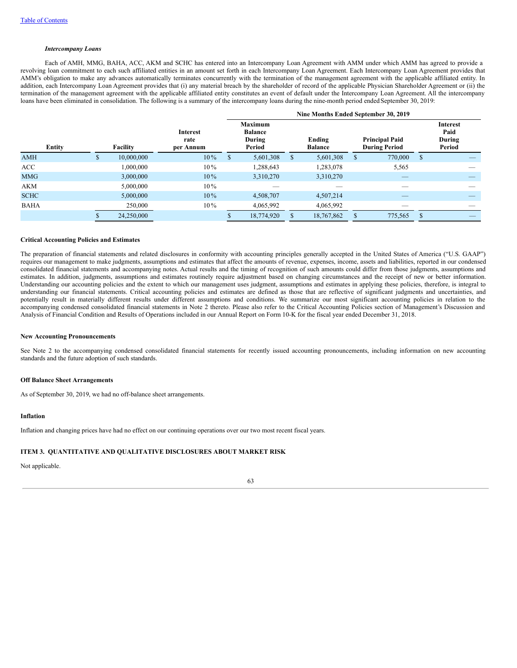### *Intercompany Loans*

Each of AMH, MMG, BAHA, ACC, AKM and SCHC has entered into an Intercompany Loan Agreement with AMM under which AMM has agreed to provide a revolving loan commitment to each such affiliated entities in an amount set forth in each Intercompany Loan Agreement. Each Intercompany Loan Agreement provides that AMM's obligation to make any advances automatically terminates concurrently with the termination of the management agreement with the applicable affiliated entity. In addition, each Intercompany Loan Agreement provides that (i) any material breach by the shareholder of record of the applicable Physician Shareholder Agreement or (ii) the termination of the management agreement with the applicable affiliated entity constitutes an event of default under the Intercompany Loan Agreement. All the intercompany loans have been eliminated in consolidation. The following is a summary of the intercompany loans during the nine-month period ended September 30, 2019:

|             |   |            |                                      | Nine Months Ended September 30, 2019 |                                                      |               |                          |               |                                               |               |                                             |
|-------------|---|------------|--------------------------------------|--------------------------------------|------------------------------------------------------|---------------|--------------------------|---------------|-----------------------------------------------|---------------|---------------------------------------------|
| Entity      |   | Facility   | <b>Interest</b><br>rate<br>per Annum |                                      | <b>Maximum</b><br><b>Balance</b><br>During<br>Period |               | Ending<br><b>Balance</b> |               | <b>Principal Paid</b><br><b>During Period</b> |               | <b>Interest</b><br>Paid<br>During<br>Period |
| <b>AMH</b>  | ъ | 10,000,000 | $10\%$                               | S                                    | 5,601,308                                            | <sup>\$</sup> | 5,601,308                | <sup>\$</sup> | 770,000                                       | <sup>\$</sup> |                                             |
| <b>ACC</b>  |   | 1.000.000  | $10\%$                               |                                      | 1,288,643                                            |               | 1,283,078                |               | 5,565                                         |               |                                             |
| <b>MMG</b>  |   | 3,000,000  | $10\%$                               |                                      | 3,310,270                                            |               | 3,310,270                |               |                                               |               |                                             |
| <b>AKM</b>  |   | 5,000,000  | $10\%$                               |                                      | __                                                   |               |                          |               |                                               |               |                                             |
| <b>SCHC</b> |   | 5,000,000  | $10\%$                               |                                      | 4,508,707                                            |               | 4,507,214                |               |                                               |               |                                             |
| <b>BAHA</b> |   | 250,000    | $10\%$                               |                                      | 4,065,992                                            |               | 4.065.992                |               |                                               |               |                                             |
|             |   | 24,250,000 |                                      |                                      | 18,774,920                                           | \$            | 18,767,862               | S             | 775,565                                       | <sup>\$</sup> |                                             |

## **Critical Accounting Policies and Estimates**

The preparation of financial statements and related disclosures in conformity with accounting principles generally accepted in the United States of America ("U.S. GAAP") requires our management to make judgments, assumptions and estimates that affect the amounts of revenue, expenses, income, assets and liabilities, reported in our condensed consolidated financial statements and accompanying notes. Actual results and the timing of recognition of such amounts could differ from those judgments, assumptions and estimates. In addition, judgments, assumptions and estimates routinely require adjustment based on changing circumstances and the receipt of new or better information. Understanding our accounting policies and the extent to which our management uses judgment, assumptions and estimates in applying these policies, therefore, is integral to understanding our financial statements. Critical accounting policies and estimates are defined as those that are reflective of significant judgments and uncertainties, and potentially result in materially different results under different assumptions and conditions. We summarize our most significant accounting policies in relation to the accompanying condensed consolidated financial statements in Note 2 thereto. Please also refer to the Critical Accounting Policies section of Management's Discussion and Analysis of Financial Condition and Results of Operations included in our Annual Report on Form 10-K for the fiscal year ended December 31, 2018.

#### **New Accounting Pronouncements**

See Note 2 to the accompanying condensed consolidated financial statements for recently issued accounting pronouncements, including information on new accounting standards and the future adoption of such standards.

#### **Off Balance Sheet Arrangements**

As of September 30, 2019, we had no off-balance sheet arrangements.

## **Inflation**

Inflation and changing prices have had no effect on our continuing operations over our two most recent fiscal years.

### **ITEM 3. QUANTITATIVE AND QUALITATIVE DISCLOSURES ABOUT MARKET RISK**

Not applicable.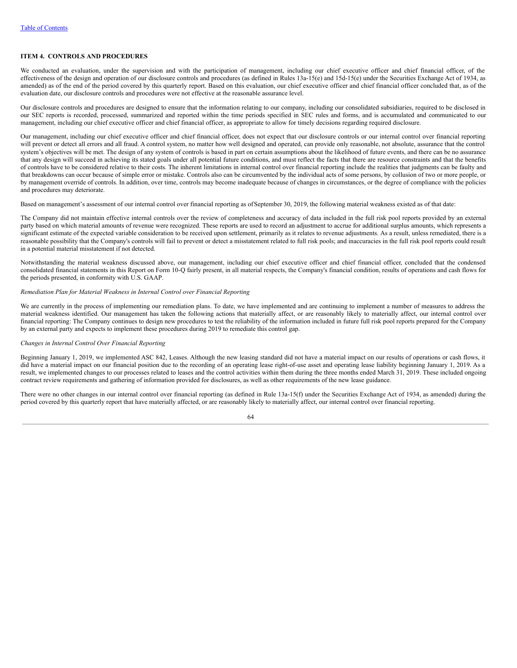## **ITEM 4. CONTROLS AND PROCEDURES**

We conducted an evaluation, under the supervision and with the participation of management, including our chief executive officer and chief financial officer, of the effectiveness of the design and operation of our disclosure controls and procedures (as defined in Rules  $13a-15(e)$  and  $15d-15(e)$  under the Securities Exchange Act of 1934, as amended) as of the end of the period covered by this quarterly report. Based on this evaluation, our chief executive officer and chief financial officer concluded that, as of the evaluation date, our disclosure controls and procedures were not effective at the reasonable assurance level.

Our disclosure controls and procedures are designed to ensure that the information relating to our company, including our consolidated subsidiaries, required to be disclosed in our SEC reports is recorded, processed, summarized and reported within the time periods specified in SEC rules and forms, and is accumulated and communicated to our management, including our chief executive officer and chief financial officer, as appropriate to allow for timely decisions regarding required disclosure.

Our management, including our chief executive officer and chief financial officer, does not expect that our disclosure controls or our internal control over financial reporting will prevent or detect all errors and all fraud. A control system, no matter how well designed and operated, can provide only reasonable, not absolute, assurance that the control system's objectives will be met. The design of any system of controls is based in part on certain assumptions about the likelihood of future events, and there can be no assurance that any design will succeed in achieving its stated goals under all potential future conditions, and must reflect the facts that there are resource constraints and that the benefits of controls have to be considered relative to their costs. The inherent limitations in internal control over financial reporting include the realities that judgments can be faulty and that breakdowns can occur because of simple error or mistake. Controls also can be circumvented by the individual acts of some persons, by collusion of two or more people, or by management override of controls. In addition, over time, controls may become inadequate because of changes in circumstances, or the degree of compliance with the policies and procedures may deteriorate.

Based on management's assessment of our internal control over financial reporting as ofSeptember 30, 2019, the following material weakness existed as of that date:

The Company did not maintain effective internal controls over the review of completeness and accuracy of data included in the full risk pool reports provided by an external party based on which material amounts of revenue were recognized. These reports are used to record an adjustment to accrue for additional surplus amounts, which represents a significant estimate of the expected variable consideration to be received upon settlement, primarily as it relates to revenue adjustments. As a result, unless remediated, there is a reasonable possibility that the Company's controls will fail to prevent or detect a misstatement related to full risk pools; and inaccuracies in the full risk pool reports could result in a potential material misstatement if not detected.

Notwithstanding the material weakness discussed above, our management, including our chief executive officer and chief financial officer, concluded that the condensed consolidated financial statements in this Report on Form 10-Q fairly present, in all material respects, the Company's financial condition, results of operations and cash flows for the periods presented, in conformity with U.S. GAAP.

## *Remediation Plan for Material Weakness in Internal Control over Financial Reporting*

We are currently in the process of implementing our remediation plans. To date, we have implemented and are continuing to implement a number of measures to address the material weakness identified. Our management has taken the following actions that materially affect, or are reasonably likely to materially affect, our internal control over financial reporting: The Company continues to design new procedures to test the reliability of the information included in future full risk pool reports prepared for the Company by an external party and expects to implement these procedures during 2019 to remediate this control gap.

## *Changes in Internal Control Over Financial Reporting*

Beginning January 1, 2019, we implemented ASC 842, Leases. Although the new leasing standard did not have a material impact on our results of operations or cash flows, it did have a material impact on our financial position due to the recording of an operating lease right-of-use asset and operating lease liability beginning January 1, 2019. As a result, we implemented changes to our processes related to leases and the control activities within them during the three months ended March 31, 2019. These included ongoing contract review requirements and gathering of information provided for disclosures, as well as other requirements of the new lease guidance.

There were no other changes in our internal control over financial reporting (as defined in Rule 13a-15(f) under the Securities Exchange Act of 1934, as amended) during the period covered by this quarterly report that have materially affected, or are reasonably likely to materially affect, our internal control over financial reporting.

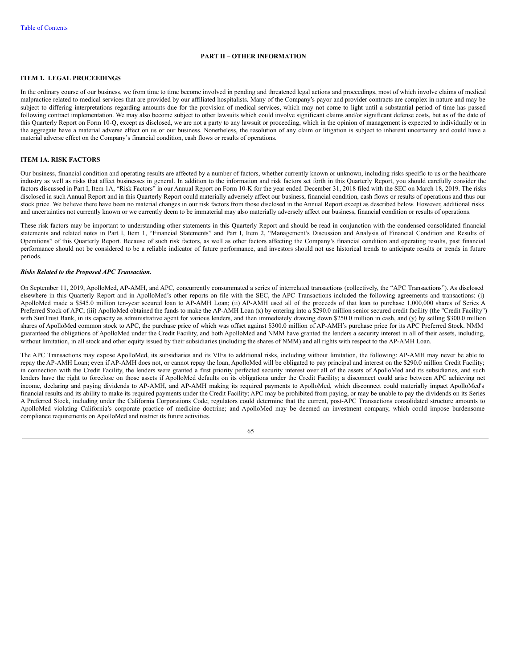## **PART II – OTHER INFORMATION**

## **ITEM 1. LEGAL PROCEEDINGS**

In the ordinary course of our business, we from time to time become involved in pending and threatened legal actions and proceedings, most of which involve claims of medical malpractice related to medical services that are provided by our affiliated hospitalists. Many of the Company's payor and provider contracts are complex in nature and may be subject to differing interpretations regarding amounts due for the provision of medical services, which may not come to light until a substantial period of time has passed following contract implementation. We may also become subject to other lawsuits which could involve significant claims and/or significant defense costs, but as of the date of this Quarterly Report on Form 10-Q, except as disclosed, we are not a party to any lawsuit or proceeding, which in the opinion of management is expected to individually or in the aggregate have a material adverse effect on us or our business. Nonetheless, the resolution of any claim or litigation is subject to inherent uncertainty and could have a material adverse effect on the Company's financial condition, cash flows or results of operations.

## **ITEM 1A. RISK FACTORS**

Our business, financial condition and operating results are affected by a number of factors, whether currently known or unknown, including risks specific to us or the healthcare industry as well as risks that affect businesses in general. In addition to the information and risk factors set forth in this Quarterly Report, you should carefully consider the factors discussed in Part I, Item 1A, "Risk Factors" in our Annual Report on Form 10-K for the year ended December 31, 2018 filed with the SEC on March 18, 2019. The risks disclosed in such Annual Report and in this Quarterly Report could materially adversely affect our business, financial condition, cash flows or results of operations and thus our stock price. We believe there have been no material changes in our risk factors from those disclosed in the Annual Report except as described below. However, additional risks and uncertainties not currently known or we currently deem to be immaterial may also materially adversely affect our business, financial condition or results of operations.

These risk factors may be important to understanding other statements in this Quarterly Report and should be read in conjunction with the condensed consolidated financial statements and related notes in Part I, Item 1, "Financial Statements" and Part I, Item 2, "Management's Discussion and Analysis of Financial Condition and Results of Operations" of this Quarterly Report. Because of such risk factors, as well as other factors affecting the Company's financial condition and operating results, past financial performance should not be considered to be a reliable indicator of future performance, and investors should not use historical trends to anticipate results or trends in future periods.

## *Risks Related to the Proposed APC Transaction.*

On September 11, 2019, ApolloMed, AP-AMH, and APC, concurrently consummated a series of interrelated transactions (collectively, the "APC Transactions"). As disclosed elsewhere in this Quarterly Report and in ApolloMed's other reports on file with the SEC, the APC Transactions included the following agreements and transactions: (i) ApolloMed made a \$545.0 million ten-year secured loan to AP-AMH Loan; (ii) AP-AMH used all of the proceeds of that loan to purchase 1,000,000 shares of Series A Preferred Stock of APC; (iii) ApolloMed obtained the funds to make the AP-AMH Loan (x) by entering into a \$290.0 million senior secured credit facility (the "Credit Facility") with SunTrust Bank, in its capacity as administrative agent for various lenders, and then immediately drawing down \$250.0 million in cash, and (y) by selling \$300.0 million shares of ApolloMed common stock to APC, the purchase price of which was offset against \$300.0 million of AP-AMH's purchase price for its APC Preferred Stock. NMM guaranteed the obligations of ApolloMed under the Credit Facility, and both ApolloMed and NMM have granted the lenders a security interest in all of their assets, including, without limitation, in all stock and other equity issued by their subsidiaries (including the shares of NMM) and all rights with respect to the AP-AMH Loan.

The APC Transactions may expose ApolloMed, its subsidiaries and its VIEs to additional risks, including without limitation, the following: AP-AMH may never be able to repay the AP-AMH Loan; even if AP-AMH does not, or cannot repay the loan, ApolloMed will be obligated to pay principal and interest on the \$290.0 million Credit Facility; in connection with the Credit Facility, the lenders were granted a first priority perfected security interest over all of the assets of ApolloMed and its subsidiaries, and such lenders have the right to foreclose on those assets if ApolloMed defaults on its obligations under the Credit Facility; a disconnect could arise between APC achieving net income, declaring and paying dividends to AP-AMH, and AP-AMH making its required payments to ApolloMed, which disconnect could materially impact ApolloMed's financial results and its ability to make its required payments under the Credit Facility; APC may be prohibited from paying, or may be unable to pay the dividends on its Series A Preferred Stock, including under the California Corporations Code; regulators could determine that the current, post-APC Transactions consolidated structure amounts to ApolloMed violating California's corporate practice of medicine doctrine; and ApolloMed may be deemed an investment company, which could impose burdensome compliance requirements on ApolloMed and restrict its future activities.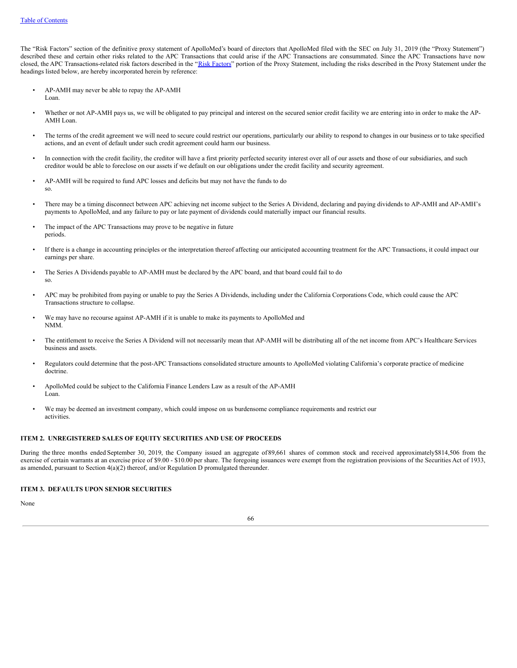The "Risk Factors" section of the definitive proxy statement of ApolloMed's board of directors that ApolloMed filed with the SEC on July 31, 2019 (the "Proxy Statement") described these and certain other risks related to the APC Transactions that could arise if the APC Transactions are consummated. Since the APC Transactions have now closed, the APC Transactions-related risk factors described in the "Risk [Factors"](http://www.sec.gov/Archives/edgar/data/1083446/000114420419036907/tv525673-def14a.htm#t26RI) portion of the Proxy Statement, including the risks described in the Proxy Statement under the headings listed below, are hereby incorporated herein by reference:

- AP-AMH may never be able to repay the AP-AMH Loan.
- Whether or not AP-AMH pays us, we will be obligated to pay principal and interest on the secured senior credit facility we are entering into in order to make the AP-AMH Loan.
- The terms of the credit agreement we will need to secure could restrict our operations, particularly our ability to respond to changes in our business or to take specified actions, and an event of default under such credit agreement could harm our business.
- In connection with the credit facility, the creditor will have a first priority perfected security interest over all of our assets and those of our subsidiaries, and such creditor would be able to foreclose on our assets if we default on our obligations under the credit facility and security agreement.
- AP-AMH will be required to fund APC losses and deficits but may not have the funds to do so.
- There may be a timing disconnect between APC achieving net income subject to the Series A Dividend, declaring and paying dividends to AP-AMH and AP-AMH's payments to ApolloMed, and any failure to pay or late payment of dividends could materially impact our financial results.
- The impact of the APC Transactions may prove to be negative in future periods.
- If there is a change in accounting principles or the interpretation thereof affecting our anticipated accounting treatment for the APC Transactions, it could impact our earnings per share.
- The Series A Dividends payable to AP-AMH must be declared by the APC board, and that board could fail to do so.
- APC may be prohibited from paying or unable to pay the Series A Dividends, including under the California Corporations Code, which could cause the APC Transactions structure to collapse.
- We may have no recourse against AP-AMH if it is unable to make its payments to ApolloMed and NMM.
- The entitlement to receive the Series A Dividend will not necessarily mean that AP-AMH will be distributing all of the net income from APC's Healthcare Services business and assets.
- Regulators could determine that the post-APC Transactions consolidated structure amounts to ApolloMed violating California's corporate practice of medicine doctrine.
- ApolloMed could be subject to the California Finance Lenders Law as a result of the AP-AMH Loan.
- We may be deemed an investment company, which could impose on us burdensome compliance requirements and restrict our activities.

## **ITEM 2. UNREGISTERED SALES OF EQUITY SECURITIES AND USE OF PROCEEDS**

During the three months ended September 30, 2019, the Company issued an aggregate of 89,661 shares of common stock and received approximately\$814,506 from the exercise of certain warrants at an exercise price of \$9.00 - \$10.00 per share. The foregoing issuances were exempt from the registration provisions of the Securities Act of 1933, as amended, pursuant to Section 4(a)(2) thereof, and/or Regulation D promulgated thereunder.

## **ITEM 3. DEFAULTS UPON SENIOR SECURITIES**

None

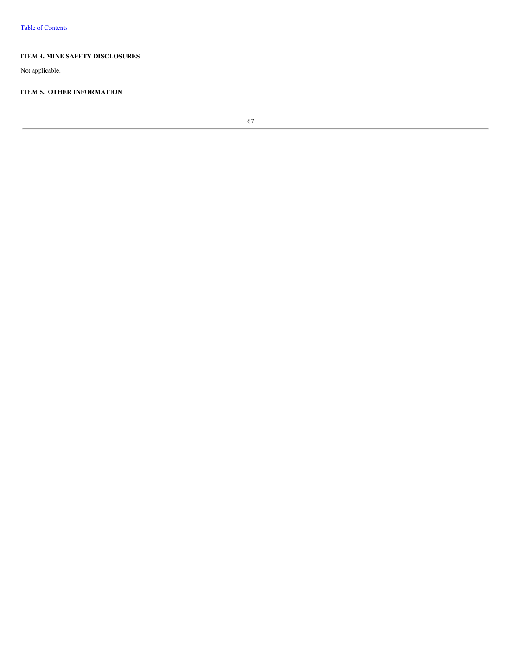## **ITEM 4. MINE SAFETY DISCLOSURES**

Not applicable.

## **ITEM 5. OTHER INFORMATION**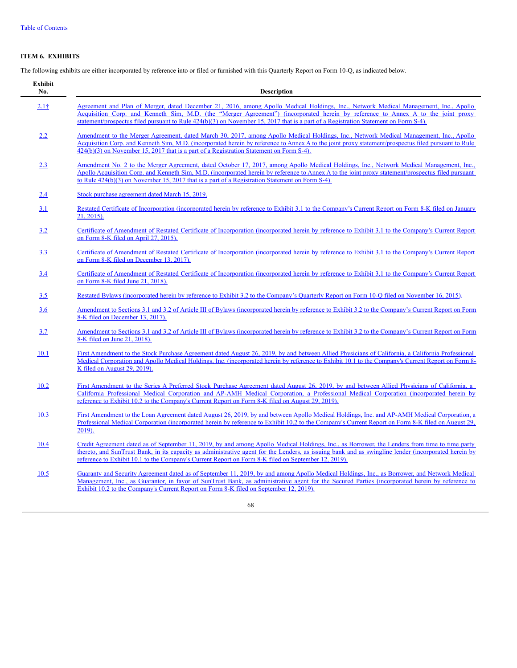# **ITEM 6. EXHIBITS**

The following exhibits are either incorporated by reference into or filed or furnished with this Quarterly Report on Form 10-Q, as indicated below.

| <b>Exhibit</b><br>No. | <b>Description</b>                                                                                                                                                                                                                                                                                                                                                                                              |
|-----------------------|-----------------------------------------------------------------------------------------------------------------------------------------------------------------------------------------------------------------------------------------------------------------------------------------------------------------------------------------------------------------------------------------------------------------|
| 2.11                  | Agreement and Plan of Merger, dated December 21, 2016, among Apollo Medical Holdings, Inc., Network Medical Management, Inc., Apollo<br>Acquisition Corp. and Kenneth Sim, M.D. (the "Merger Agreement") (incorporated herein by reference to Annex A to the joint proxy<br>statement/prospectus filed pursuant to Rule 424(b)(3) on November 15, 2017 that is a part of a Registration Statement on Form S-4). |
| 2.2                   | Amendment to the Merger Agreement, dated March 30, 2017, among Apollo Medical Holdings, Inc., Network Medical Management, Inc., Apollo<br>Acquisition Corp. and Kenneth Sim, M.D. (incorporated herein by reference to Annex A to the joint proxy statement/prospectus filed pursuant to Rule<br>$424(b)(3)$ on November 15, 2017 that is a part of a Registration Statement on Form S-4).                      |
| 2.3                   | Amendment No. 2 to the Merger Agreement, dated October 17, 2017, among Apollo Medical Holdings, Inc., Network Medical Management, Inc.,<br>Apollo Acquisition Corp. and Kenneth Sim, M.D. (incorporated herein by reference to Annex A to the joint proxy statement/prospectus filed pursuant<br>to Rule $424(b)(3)$ on November 15, 2017 that is a part of a Registration Statement on Form S-4).              |
| 2.4                   | Stock purchase agreement dated March 15, 2019.                                                                                                                                                                                                                                                                                                                                                                  |
| 3.1                   | Restated Certificate of Incorporation (incorporated herein by reference to Exhibit 3.1 to the Company's Current Report on Form 8-K filed on January<br>21, 2015).                                                                                                                                                                                                                                               |
| 3.2                   | Certificate of Amendment of Restated Certificate of Incorporation (incorporated herein by reference to Exhibit 3.1 to the Company's Current Report<br>on Form 8-K filed on April 27, 2015).                                                                                                                                                                                                                     |
| 3.3                   | Certificate of Amendment of Restated Certificate of Incorporation (incorporated herein by reference to Exhibit 3.1 to the Company's Current Report<br>on Form 8-K filed on December 13, 2017).                                                                                                                                                                                                                  |
| 3.4                   | Certificate of Amendment of Restated Certificate of Incorporation (incorporated herein by reference to Exhibit 3.1 to the Company's Current Report<br>on Form 8-K filed June 21, 2018).                                                                                                                                                                                                                         |
| <u>3.5</u>            | Restated Bylaws (incorporated herein by reference to Exhibit 3.2 to the Company's Quarterly Report on Form 10-Q filed on November 16, 2015).                                                                                                                                                                                                                                                                    |
| 3.6                   | Amendment to Sections 3.1 and 3.2 of Article III of Bylaws (incorporated herein by reference to Exhibit 3.2 to the Company's Current Report on Form<br>8-K filed on December 13, 2017).                                                                                                                                                                                                                         |
| 3.7                   | Amendment to Sections 3.1 and 3.2 of Article III of Bylaws (incorporated herein by reference to Exhibit 3.2 to the Company's Current Report on Form<br>8-K filed on June 21, 2018).                                                                                                                                                                                                                             |
| 10.1                  | First Amendment to the Stock Purchase Agreement dated August 26, 2019, by and between Allied Physicians of California, a California Professional<br>Medical Corporation and Apollo Medical Holdings, Inc. (incorporated herein by reference to Exhibit 10.1 to the Company's Current Report on Form 8-<br>K filed on August 29, 2019).                                                                          |
| 10.2                  | First Amendment to the Series A Preferred Stock Purchase Agreement dated August 26, 2019, by and between Allied Physicians of California, a<br>California Professional Medical Corporation and AP-AMH Medical Corporation, a Professional Medical Corporation (incorporated herein by<br>reference to Exhibit 10.2 to the Company's Current Report on Form 8-K filed on August 29, 2019).                       |
| 10.3                  | First Amendment to the Loan Agreement dated August 26, 2019, by and between Apollo Medical Holdings, Inc. and AP-AMH Medical Corporation, a<br>Professional Medical Corporation (incorporated herein by reference to Exhibit 10.2 to the Company's Current Report on Form 8-K filed on August 29.<br>2019).                                                                                                     |
| 10.4                  | Credit Agreement dated as of September 11, 2019, by and among Apollo Medical Holdings, Inc., as Borrower, the Lenders from time to time party<br>thereto, and SunTrust Bank, in its capacity as administrative agent for the Lenders, as issuing bank and as swingline lender (incorporated herein by<br>reference to Exhibit 10.1 to the Company's Current Report on Form 8-K filed on September 12, 2019).    |
| 10.5                  | Guaranty and Security Agreement dated as of September 11, 2019, by and among Apollo Medical Holdings, Inc., as Borrower, and Network Medical<br>Management, Inc., as Guarantor, in favor of SunTrust Bank, as administrative agent for the Secured Parties (incorporated herein by reference to<br>Exhibit 10.2 to the Company's Current Report on Form 8-K filed on September 12, 2019).                       |
|                       | 68                                                                                                                                                                                                                                                                                                                                                                                                              |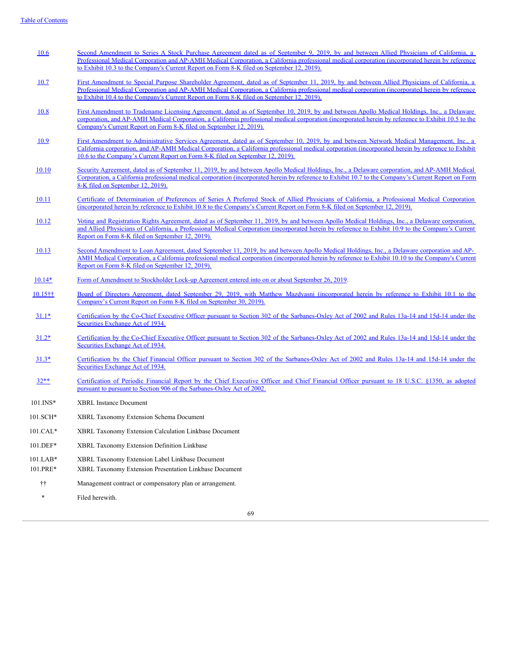- [10.6](http://www.sec.gov/Archives/edgar/data/1083446/000114420419044449/tv529206_ex10-3.htm) Second Amendment to Series A Stock Purchase Agreement dated as of September 9, 2019, by and between Allied Physicians of California, Professional Medical Corporation and AP-AMH Medical Corporation, a California professional medical corporation [\(incorporated](http://www.sec.gov/Archives/edgar/data/1083446/000114420419044449/tv529206_ex10-3.htm) herein by reference to Exhibit 10.3 to the Company's Current Report on Form 8-K filed on September 12, 2019).
- [10.7](http://www.sec.gov/Archives/edgar/data/1083446/000114420419044449/tv529206_ex10-4.htm) First Amendment to Special Purpose Shareholder Agreement, dated as of September 11, 2019, by and between Allied Physicians of California, a Professional Medical Corporation and AP-AMH Medical Corporation, a California professional medical corporation [\(incorporated](http://www.sec.gov/Archives/edgar/data/1083446/000114420419044449/tv529206_ex10-4.htm) herein by reference to Exhibit 10.4 to the Company's Current Report on Form 8-K filed on September 12, 2019).
- [10.8](http://www.sec.gov/Archives/edgar/data/1083446/000114420419044449/tv529206_ex10-5.htm) First Amendment to Tradename Licensing Agreement, dated as of September 10, 2019, by and between Apollo Medical Holdings, Inc., a Delaware corporation, and AP-AMH Medical Corporation, a California professional medical corporation [\(incorporated](http://www.sec.gov/Archives/edgar/data/1083446/000114420419044449/tv529206_ex10-5.htm) herein by reference to Exhibit 10.5 to the Company's Current Report on Form 8-K filed on September 12, 2019).
- [10.9](http://www.sec.gov/Archives/edgar/data/1083446/000114420419044449/tv529206_ex10-6.htm) First Amendment to [Administrative](http://www.sec.gov/Archives/edgar/data/1083446/000114420419044449/tv529206_ex10-6.htm) Services Agreement, dated as of September 10, 2019, by and between Network Medical Management, Inc., a California corporation, and AP-AMH Medical Corporation, a California professional medical corporation (incorporated herein by reference to Exhibit 10.6 to the Company's Current Report on Form 8-K filed on September 12, 2019).
- [10.10](http://www.sec.gov/Archives/edgar/data/1083446/000114420419044449/tv529206_ex10-7.htm) Security Agreement, dated as of September 11, 2019, by and between Apollo Medical Holdings, Inc., a Delaware corporation, and AP-AMH Medical Corporation, a California professional medical corporation [\(incorporated](http://www.sec.gov/Archives/edgar/data/1083446/000114420419044449/tv529206_ex10-7.htm) herein by reference to Exhibit 10.7 to the Company's Current Report on Form 8-K filed on September 12, 2019).
- [10.11](http://www.sec.gov/Archives/edgar/data/1083446/000114420419044449/tv529206_ex10-8.htm) Certificate of [Determination](http://www.sec.gov/Archives/edgar/data/1083446/000114420419044449/tv529206_ex10-8.htm) of Preferences of Series A Preferred Stock of Allied Physicians of California, a Professional Medical Corporation (incorporated herein by reference to Exhibit 10.8 to the Company's Current Report on Form 8-K filed on September 12, 2019).
- [10.12](http://www.sec.gov/Archives/edgar/data/1083446/000114420419044449/tv529206_ex10-9.htm) Voting and Registration Rights Agreement, dated as of September 11, 2019, by and between Apollo Medical Holdings, Inc., a Delaware corporation, and Allied Physicians of California, a Professional Medical Corporation [\(incorporated](http://www.sec.gov/Archives/edgar/data/1083446/000114420419044449/tv529206_ex10-9.htm) herein by reference to Exhibit 10.9 to the Company's Current Report on Form 8-K filed on September 12, 2019).
- [10.13](http://www.sec.gov/Archives/edgar/data/1083446/000114420419044449/tv529206_ex10-10.htm) Second Amendment to Loan Agreement, dated September 11, 2019, by and between Apollo Medical Holdings, Inc., a Delaware corporation and AP-AMH Medical Corporation, a California professional medical corporation [\(incorporated](http://www.sec.gov/Archives/edgar/data/1083446/000114420419044449/tv529206_ex10-10.htm) herein by reference to Exhibit 10.10 to the Company's Current Report on Form 8-K filed on September 12, 2019).
- [10.14\\*](#page-71-0) Form of [Amendment](#page-71-0) to Stockholder Lock-up Agreement entered into on or about September 26, 2019.
- [10.15††](http://www.sec.gov/Archives/edgar/data/1083446/000114420419046557/tv530294_ex10-1.htm) Board of Directors Agreement, dated September 29, 2019, with Matthew Mazdyasni [\(incorporated](http://www.sec.gov/Archives/edgar/data/1083446/000114420419046557/tv530294_ex10-1.htm) herein by reference to Exhibit 10.1 to the Company's Current Report on Form 8-K filed on September 30, 2019).
- [31.1\\*](#page-72-0) Certification by the Co-Chief Executive Officer pursuant to Section 302 of the [Sarbanes-Oxley](#page-72-0) Act of 2002 and Rules 13a-14 and 15d-14 under the Securities Exchange Act of 1934.
- [31.2\\*](#page-73-0) Certification by the Co-Chief Executive Officer pursuant to Section 302 of the [Sarbanes-Oxley](#page-73-0) Act of 2002 and Rules 13a-14 and 15d-14 under the Securities Exchange Act of 1934.
- [31.3\\*](#page-74-0) Certification by the Chief Financial Officer pursuant to Section 302 of the [Sarbanes-Oxley](#page-74-0) Act of 2002 and Rules 13a-14 and 15d-14 under the Securities Exchange Act of 1934.
- [32\\*\\*](#page-75-0) Certification of Periodic Financial Report by the Chief Executive Officer and Chief Financial Officer pursuant to 18 U.S.C. §1350, as adopted pursuant to pursuant to Section 906 of the [Sarbanes-Oxley](#page-75-0) Act of 2002.
- 101.INS\* XBRL Instance Document
- 101.SCH\* XBRL Taxonomy Extension Schema Document
- 101.CAL\* XBRL Taxonomy Extension Calculation Linkbase Document
- 101.DEF\* XBRL Taxonomy Extension Definition Linkbase
- 101.LAB\* XBRL Taxonomy Extension Label Linkbase Document
- 101.PRE\* XBRL Taxonomy Extension Presentation Linkbase Document
- †† Management contract or compensatory plan or arrangement.
- Filed herewith.

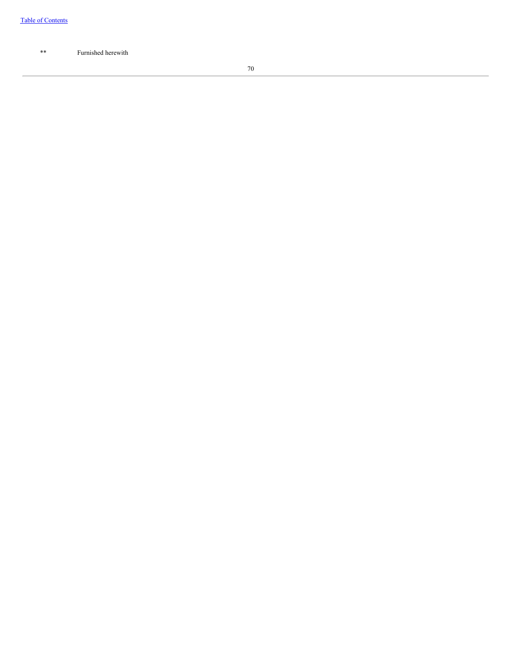\*\* Furnished herewith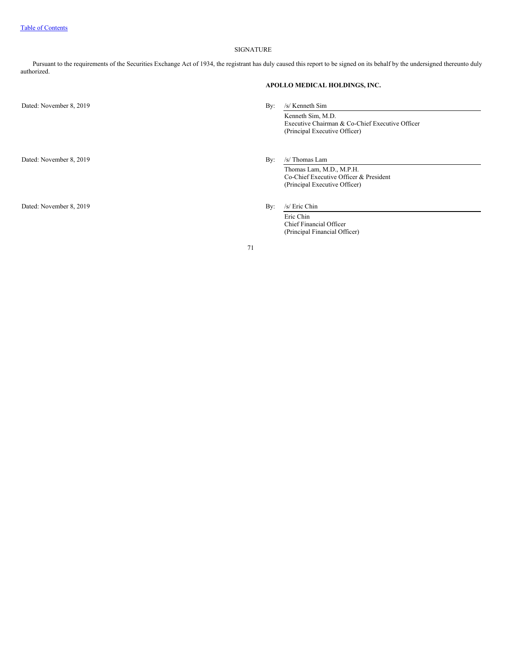## SIGNATURE

Pursuant to the requirements of the Securities Exchange Act of 1934, the registrant has duly caused this report to be signed on its behalf by the undersigned thereunto duly authorized.

Dated: November 8, 2019 By: /s/ Kenneth Sim

Dated: November 8, 2019 By: /s/ Thomas Lam

Dated: November 8, 2019 By: /s/ Eric Chin

**APOLLO MEDICAL HOLDINGS, INC.**

Kenneth Sim, M.D. Executive Chairman & Co-Chief Executive Officer (Principal Executive Officer)

Thomas Lam, M.D., M.P.H. Co-Chief Executive Officer & President (Principal Executive Officer)

Eric Chin Chief Financial Officer (Principal Financial Officer)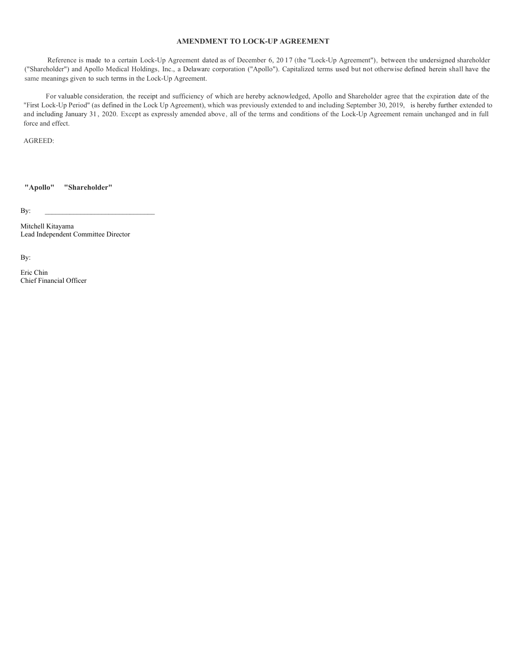## **AMENDMENT TO LOCK-UP AGREEMENT**

<span id="page-71-0"></span>Reference is made to a certain Lock-Up Agreement dated as of December 6, 20 17 (the "Lock-Up Agreement"), between the undersigned shareholder ("Shareholder") and Apollo Medical Holdings, Inc., a Delaware corporation ("Apollo"). Capitalized terms used but not otherwise defined herein shall have the same meanings given to such terms in the Lock-Up Agreement.

For valuable consideration, the receipt and sufficiency of which are hereby acknowledged, Apollo and Shareholder agree that the expiration date of the "First Lock-Up Period" (as defined in the Lock Up Agreement), which was previously extended to and including September 30, 2019, is hereby further extended to and including January 31, 2020. Except as expressly amended above, all of the terms and conditions of the Lock-Up Agreement remain unchanged and in full force and effect.

AGREED:

**"Apollo" "Shareholder"**

 $\mathbf{By:}$ 

Mitchell Kitayama Lead Independent Committee Director

By:

Eric Chin Chief Financial Officer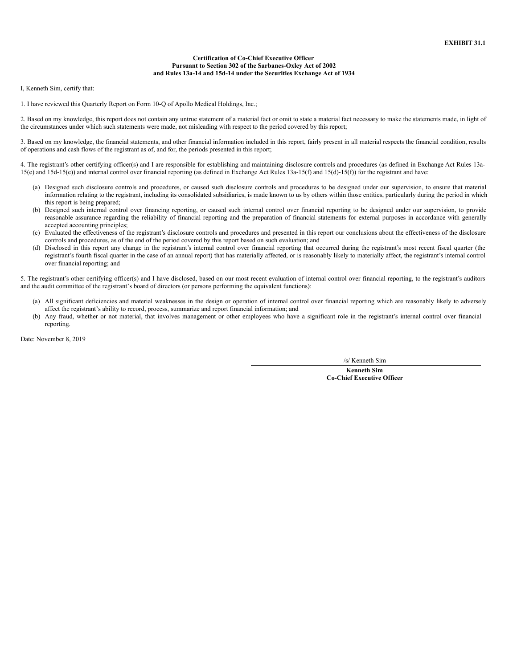## **Certification of Co-Chief Executive Officer Pursuant to Section 302 of the Sarbanes-Oxley Act of 2002 and Rules 13a-14 and 15d-14 under the Securities Exchange Act of 1934**

I, Kenneth Sim, certify that:

1. I have reviewed this Quarterly Report on Form 10-Q of Apollo Medical Holdings, Inc.;

2. Based on my knowledge, this report does not contain any untrue statement of a material fact or omit to state a material fact necessary to make the statements made, in light of the circumstances under which such statements were made, not misleading with respect to the period covered by this report;

3. Based on my knowledge, the financial statements, and other financial information included in this report, fairly present in all material respects the financial condition, results of operations and cash flows of the registrant as of, and for, the periods presented in this report;

4. The registrant's other certifying officer(s) and I are responsible for establishing and maintaining disclosure controls and procedures (as defined in Exchange Act Rules 13a-15(e) and 15d-15(e)) and internal control over financial reporting (as defined in Exchange Act Rules 13a-15(f) and 15(d)-15(f)) for the registrant and have:

- (a) Designed such disclosure controls and procedures, or caused such disclosure controls and procedures to be designed under our supervision, to ensure that material information relating to the registrant, including its consolidated subsidiaries, is made known to us by others within those entities, particularly during the period in which this report is being prepared;
- (b) Designed such internal control over financing reporting, or caused such internal control over financial reporting to be designed under our supervision, to provide reasonable assurance regarding the reliability of financial reporting and the preparation of financial statements for external purposes in accordance with generally accepted accounting principles;
- (c) Evaluated the effectiveness of the registrant's disclosure controls and procedures and presented in this report our conclusions about the effectiveness of the disclosure controls and procedures, as of the end of the period covered by this report based on such evaluation; and
- (d) Disclosed in this report any change in the registrant's internal control over financial reporting that occurred during the registrant's most recent fiscal quarter (the registrant's fourth fiscal quarter in the case of an annual report) that has materially affected, or is reasonably likely to materially affect, the registrant's internal control over financial reporting; and

5. The registrant's other certifying officer(s) and I have disclosed, based on our most recent evaluation of internal control over financial reporting, to the registrant's auditors and the audit committee of the registrant's board of directors (or persons performing the equivalent functions):

- (a) All significant deficiencies and material weaknesses in the design or operation of internal control over financial reporting which are reasonably likely to adversely affect the registrant's ability to record, process, summarize and report financial information; and
- (b) Any fraud, whether or not material, that involves management or other employees who have a significant role in the registrant's internal control over financial reporting.

Date: November 8, 2019

/s/ Kenneth Sim

**Kenneth Sim Co-Chief Executive Officer**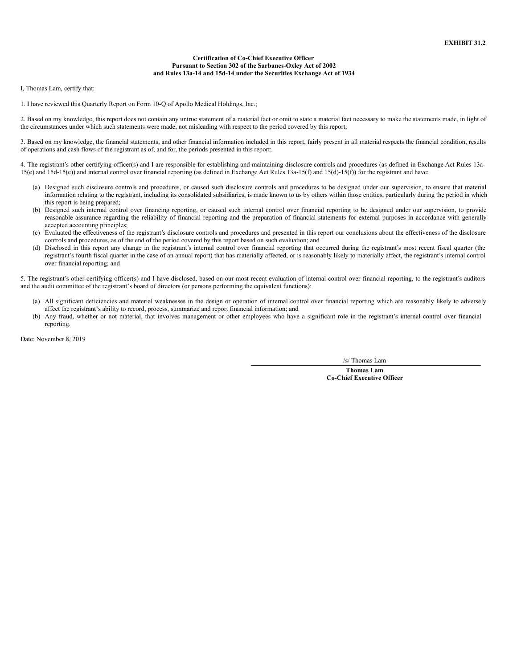## **Certification of Co-Chief Executive Officer Pursuant to Section 302 of the Sarbanes-Oxley Act of 2002 and Rules 13a-14 and 15d-14 under the Securities Exchange Act of 1934**

I, Thomas Lam, certify that:

1. I have reviewed this Quarterly Report on Form 10-Q of Apollo Medical Holdings, Inc.;

2. Based on my knowledge, this report does not contain any untrue statement of a material fact or omit to state a material fact necessary to make the statements made, in light of the circumstances under which such statements were made, not misleading with respect to the period covered by this report;

3. Based on my knowledge, the financial statements, and other financial information included in this report, fairly present in all material respects the financial condition, results of operations and cash flows of the registrant as of, and for, the periods presented in this report;

4. The registrant's other certifying officer(s) and I are responsible for establishing and maintaining disclosure controls and procedures (as defined in Exchange Act Rules 13a-15(e) and 15d-15(e)) and internal control over financial reporting (as defined in Exchange Act Rules 13a-15(f) and 15(d)-15(f)) for the registrant and have:

- (a) Designed such disclosure controls and procedures, or caused such disclosure controls and procedures to be designed under our supervision, to ensure that material information relating to the registrant, including its consolidated subsidiaries, is made known to us by others within those entities, particularly during the period in which this report is being prepared;
- (b) Designed such internal control over financing reporting, or caused such internal control over financial reporting to be designed under our supervision, to provide reasonable assurance regarding the reliability of financial reporting and the preparation of financial statements for external purposes in accordance with generally accepted accounting principles;
- (c) Evaluated the effectiveness of the registrant's disclosure controls and procedures and presented in this report our conclusions about the effectiveness of the disclosure controls and procedures, as of the end of the period covered by this report based on such evaluation; and
- (d) Disclosed in this report any change in the registrant's internal control over financial reporting that occurred during the registrant's most recent fiscal quarter (the registrant's fourth fiscal quarter in the case of an annual report) that has materially affected, or is reasonably likely to materially affect, the registrant's internal control over financial reporting; and

5. The registrant's other certifying officer(s) and I have disclosed, based on our most recent evaluation of internal control over financial reporting, to the registrant's auditors and the audit committee of the registrant's board of directors (or persons performing the equivalent functions):

- (a) All significant deficiencies and material weaknesses in the design or operation of internal control over financial reporting which are reasonably likely to adversely affect the registrant's ability to record, process, summarize and report financial information; and
- (b) Any fraud, whether or not material, that involves management or other employees who have a significant role in the registrant's internal control over financial reporting.

Date: November 8, 2019

/s/ Thomas Lam

**Thomas Lam Co-Chief Executive Officer**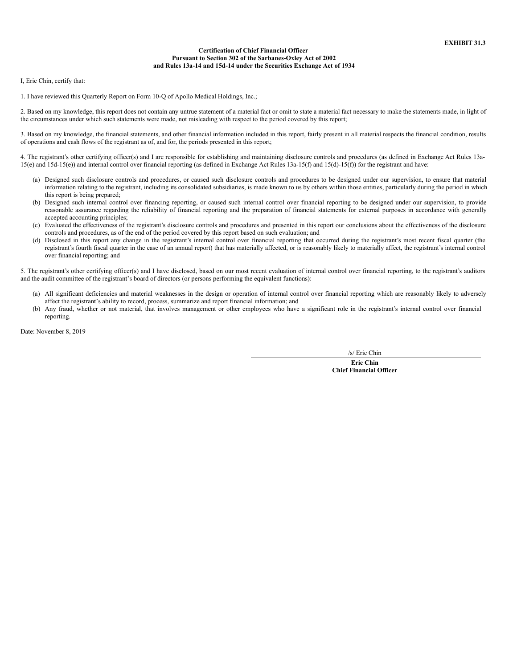## **Certification of Chief Financial Officer Pursuant to Section 302 of the Sarbanes-Oxley Act of 2002 and Rules 13a-14 and 15d-14 under the Securities Exchange Act of 1934**

I, Eric Chin, certify that:

1. I have reviewed this Quarterly Report on Form 10-Q of Apollo Medical Holdings, Inc.;

2. Based on my knowledge, this report does not contain any untrue statement of a material fact or omit to state a material fact necessary to make the statements made, in light of the circumstances under which such statements were made, not misleading with respect to the period covered by this report;

3. Based on my knowledge, the financial statements, and other financial information included in this report, fairly present in all material respects the financial condition, results of operations and cash flows of the registrant as of, and for, the periods presented in this report;

4. The registrant's other certifying officer(s) and I are responsible for establishing and maintaining disclosure controls and procedures (as defined in Exchange Act Rules 13a-15(e) and 15d-15(e)) and internal control over financial reporting (as defined in Exchange Act Rules 13a-15(f) and 15(d)-15(f)) for the registrant and have:

- (a) Designed such disclosure controls and procedures, or caused such disclosure controls and procedures to be designed under our supervision, to ensure that material information relating to the registrant, including its consolidated subsidiaries, is made known to us by others within those entities, particularly during the period in which this report is being prepared;
- (b) Designed such internal control over financing reporting, or caused such internal control over financial reporting to be designed under our supervision, to provide reasonable assurance regarding the reliability of financial reporting and the preparation of financial statements for external purposes in accordance with generally accepted accounting principles;
- (c) Evaluated the effectiveness of the registrant's disclosure controls and procedures and presented in this report our conclusions about the effectiveness of the disclosure controls and procedures, as of the end of the period covered by this report based on such evaluation; and
- (d) Disclosed in this report any change in the registrant's internal control over financial reporting that occurred during the registrant's most recent fiscal quarter (the registrant's fourth fiscal quarter in the case of an annual report) that has materially affected, or is reasonably likely to materially affect, the registrant's internal control over financial reporting; and

5. The registrant's other certifying officer(s) and I have disclosed, based on our most recent evaluation of internal control over financial reporting, to the registrant's auditors and the audit committee of the registrant's board of directors (or persons performing the equivalent functions):

- (a) All significant deficiencies and material weaknesses in the design or operation of internal control over financial reporting which are reasonably likely to adversely affect the registrant's ability to record, process, summarize and report financial information; and
- (b) Any fraud, whether or not material, that involves management or other employees who have a significant role in the registrant's internal control over financial reporting.

Date: November 8, 2019

/s/ Eric Chin

**Eric Chin Chief Financial Officer**